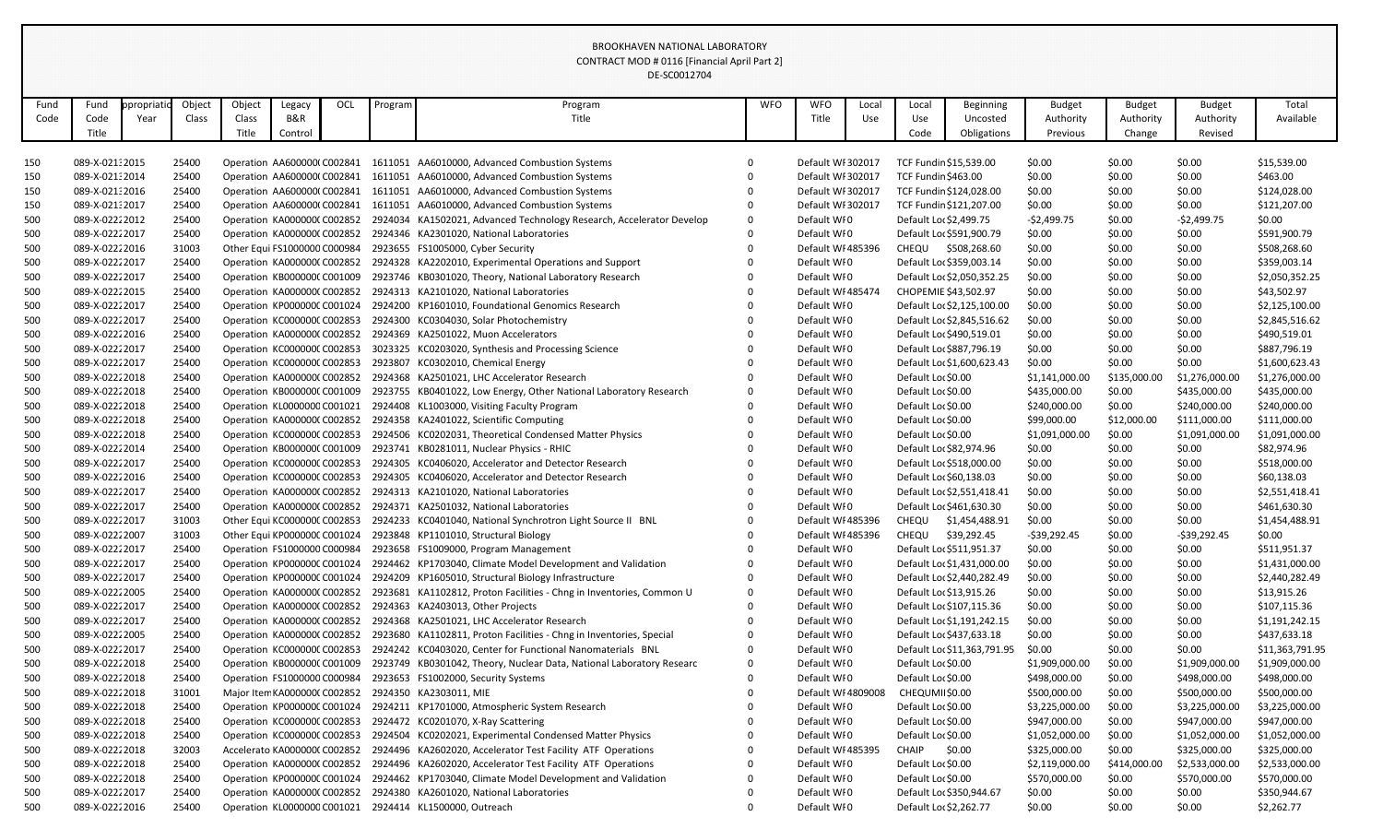|            |                                    |           |                |        |                                                           |     |         | DE-SC0012704                                                                                     |              |                            |       |                            |                                                        |                  |                  |                  |                                |
|------------|------------------------------------|-----------|----------------|--------|-----------------------------------------------------------|-----|---------|--------------------------------------------------------------------------------------------------|--------------|----------------------------|-------|----------------------------|--------------------------------------------------------|------------------|------------------|------------------|--------------------------------|
| Fund       | Fund                               | propriati | Object         | Object | Legacy                                                    | OCL | Program | Program                                                                                          | <b>WFO</b>   | <b>WFO</b>                 | Local | Local                      | <b>Beginning</b>                                       | <b>Budget</b>    | <b>Budget</b>    | <b>Budget</b>    | Total                          |
| Code       | Code                               | Year      | Class          | Class  | <b>B&amp;R</b>                                            |     |         | Title                                                                                            |              | Title                      | Use   | Use                        | Uncosted                                               | Authority        | Authority        | Authority        | Available                      |
|            | Title                              |           |                | Title  | Control                                                   |     |         |                                                                                                  |              |                            |       | Code                       | Obligations                                            | Previous         | Change           | Revised          |                                |
|            |                                    |           |                |        |                                                           |     |         |                                                                                                  |              |                            |       |                            |                                                        |                  |                  |                  |                                |
| 150        | 089-X-021:2015                     |           | 25400          |        | Operation AA600000(C002841                                |     | 1611051 | AA6010000, Advanced Combustion Systems                                                           | 0            | Default WI 302017          |       |                            | TCF Fundin \$15,539.00                                 | \$0.00           | \$0.00           | \$0.00           | \$15,539.00                    |
| 150        | 089-X-021: 2014                    |           | 25400          |        | Operation AA600000(C002841                                |     | 1611051 | AA6010000, Advanced Combustion Systems                                                           | 0            | Default WI 302017          |       | <b>TCF Fundin \$463.00</b> |                                                        | \$0.00           | \$0.00           | \$0.00           | \$463.00                       |
| 150        | 089-X-021: 2016                    |           | 25400          |        | Operation AA600000(C002841                                |     | 1611051 | AA6010000, Advanced Combustion Systems                                                           | 0            | Default WI 302017          |       |                            | TCF Fundin \$124,028.00                                | \$0.00           | \$0.00           | \$0.00           | \$124,028.00                   |
| 150        | 089-X-021:2017                     |           | 25400          |        | Operation AA600000(C002841                                |     | 1611051 | AA6010000, Advanced Combustion Systems                                                           | 0            | Default WI 302017          |       |                            | TCF Fundin \$121,207.00                                | \$0.00           | \$0.00           | \$0.00           | \$121,207.00                   |
| 500        | 089-X-02222012                     |           | 25400          |        | Operation KA000000(C002852                                |     |         | 2924034 KA1502021, Advanced Technology Research, Accelerator Develop                             | $\mathbf 0$  | Default WI0                |       |                            | Default Lor \$2,499.75                                 | $-52,499.75$     | \$0.00           | $-52,499.75$     | \$0.00                         |
| 500        | 089-X-0222 2017                    |           | 25400          |        | Operation KA0000000 C002852                               |     |         | 2924346 KA2301020, National Laboratories                                                         | $\mathbf{0}$ | Default WI0                |       |                            | Default Lor \$591,900.79                               | \$0.00           | \$0.00           | \$0.00           | \$591,900.79                   |
| 500        | 089-X-02222016                     |           | 31003          |        | Other Equi FS1000000 C000984                              |     |         | 2923655 FS1005000, Cyber Security                                                                |              | Default WI 485396          |       | <b>CHEQU</b>               | \$508,268.60                                           | \$0.00           | \$0.00           | \$0.00           | \$508,268.60                   |
| 500        | 089-X-0222 2017                    |           | 25400          |        | Operation KA000000(C002852                                |     |         | 2924328 KA2202010, Experimental Operations and Support                                           |              | Default WI0                |       |                            | Default Lor \$359,003.14                               | \$0.00           | \$0.00           | \$0.00           | \$359,003.14                   |
| 500        | 089-X-0222 2017                    |           | 25400          |        | Operation KB000000C C001009                               |     |         | 2923746 KB0301020, Theory, National Laboratory Research                                          |              | Default WI0                |       |                            | Default Lor \$2,050,352.25                             | \$0.00           | \$0.00           | \$0.00           | \$2,050,352.25                 |
| 500        | 089-X-02222015                     |           | 25400          |        | Operation KA0000000 C002852                               |     |         | 2924313 KA2101020, National Laboratories                                                         |              | Default WI 485474          |       |                            | CHOPEMIE \$43,502.97                                   | \$0.00           | \$0.00           | \$0.00           | \$43,502.97                    |
| 500        | 089-X-0222 2017                    |           | 25400          |        | Operation KP000000C C001024                               |     |         | 2924200 KP1601010, Foundational Genomics Research                                                |              | Default WI0                |       |                            | Default Lor \$2,125,100.00                             | \$0.00           | \$0.00           | \$0.00           | \$2,125,100.00                 |
| 500        | 089-X-0222 2017                    |           | 25400          |        | Operation KC000000C C002853                               |     |         | 2924300 KC0304030, Solar Photochemistry                                                          |              | Default WI0                |       |                            | Default Loc \$2,845,516.62                             | \$0.00           | \$0.00           | \$0.00           | \$2,845,516.62                 |
| 500        | 089-X-02222016                     |           | 25400          |        | Operation KA000000(C002852                                |     |         | 2924369 KA2501022, Muon Accelerators                                                             | $\mathbf{0}$ | Default WI0                |       |                            | Default Lor \$490,519.01                               | \$0.00           | \$0.00           | \$0.00           | \$490,519.01                   |
| 500        | 089-X-0222 2017                    |           | 25400          |        | Operation KC000000C C002853                               |     |         | 3023325 KC0203020, Synthesis and Processing Science                                              |              | Default WI0                |       |                            | Default Loc \$887,796.19                               | \$0.00           | \$0.00           | \$0.00           | \$887,796.19                   |
| 500        | 089-X-02222017                     |           | 25400          |        | Operation KC000000C C002853                               |     |         | 2923807 KC0302010, Chemical Energy                                                               | $\mathbf{0}$ | Default WI0                |       |                            | Default Lor \$1,600,623.43                             | \$0.00           | \$0.00           | \$0.00           | \$1,600,623.43                 |
| 500        | 089-X-02222018                     |           | 25400          |        | Operation KA0000000 C002852                               |     |         | 2924368 KA2501021, LHC Accelerator Research                                                      |              | Default WI0                |       | Default Lor \$0.00         |                                                        | \$1,141,000.00   | \$135,000.00     | \$1,276,000.00   | \$1,276,000.00                 |
| 500        | 089-X-02222018                     |           | 25400          |        | Operation KB000000C C001009                               |     |         | 2923755 KB0401022, Low Energy, Other National Laboratory Research                                | $\Omega$     | Default WI0                |       | Default Lor \$0.00         |                                                        | \$435,000.00     | \$0.00           | \$435,000.00     | \$435,000.00                   |
| 500        | 089-X-02222018                     |           | 25400          |        | Operation KL0000000 C001021                               |     |         | 2924408 KL1003000, Visiting Faculty Program                                                      | $\Omega$     | Default WI0                |       | Default Lor \$0.00         |                                                        | \$240,000.00     | \$0.00           | \$240,000.00     | \$240,000.00                   |
| 500        | 089-X-02222018                     |           | 25400          |        | Operation KA000000(C002852                                |     |         | 2924358 KA2401022, Scientific Computing                                                          |              | Default WI0                |       | Default Lor \$0.00         |                                                        | \$99,000.00      | \$12,000.00      | \$111,000.00     | \$111,000.00                   |
| 500        | 089-X-0222 2018                    |           | 25400          |        | Operation KC000000C C002853                               |     |         | 2924506 KC0202031, Theoretical Condensed Matter Physics                                          |              | Default WI0                |       | Default Lor \$0.00         |                                                        | \$1,091,000.00   | \$0.00           | \$1,091,000.00   | \$1,091,000.00                 |
| 500        | 089-X-0222 2014                    |           | 25400          |        | Operation KB000000C C001009                               |     | 2923741 | KB0281011, Nuclear Physics - RHIC                                                                |              | Default WI0                |       |                            | Default Loc \$82,974.96                                | \$0.00           | \$0.00           | \$0.00           | \$82,974.96                    |
| 500        | 089-X-02222017                     |           | 25400          |        | Operation KC000000C C002853                               |     |         | 2924305 KC0406020, Accelerator and Detector Research                                             |              | Default WI0                |       |                            | Default Lor \$518,000.00                               | \$0.00           | \$0.00           | \$0.00           | \$518,000.00                   |
| 500        | 089-X-02222016                     |           | 25400          |        | Operation KC000000C C002853                               |     |         | 2924305 KC0406020, Accelerator and Detector Research<br>2924313 KA2101020, National Laboratories |              | Default WI0                |       |                            | Default Lor \$60,138.03                                | \$0.00           | \$0.00           | \$0.00           | \$60,138.03                    |
| 500        | 089-X-0222 2017<br>089-X-0222 2017 |           | 25400<br>25400 |        | Operation KA000000(C002852<br>Operation KA0000000 C002852 |     |         | 2924371 KA2501032, National Laboratories                                                         | $\Omega$     | Default WI0<br>Default WI0 |       |                            | Default Lor \$2,551,418.41<br>Default Lor \$461,630.30 | \$0.00<br>\$0.00 | \$0.00<br>\$0.00 | \$0.00<br>\$0.00 | \$2,551,418.41<br>\$461,630.30 |
| 500<br>500 | 089-X-0222 2017                    |           | 31003          |        |                                                           |     |         | Other Equi KC000000C C002853 2924233 KC0401040, National Synchrotron Light Source II BNL         | 0            | Default WI 485396          |       | <b>CHEQU</b>               | \$1,454,488.91                                         | \$0.00           | \$0.00           | \$0.00           | \$1,454,488.91                 |
| 500        | 089-X-02222007                     |           | 31003          |        |                                                           |     |         | Other Equi KP000000C C001024 2923848 KP1101010, Structural Biology                               |              | Default WI 485396          |       | <b>CHEQU</b>               | \$39,292.45                                            | $-539,292.45$    | \$0.00           | $-539,292.45$    | \$0.00                         |
| 500        | 089-X-0222 2017                    |           | 25400          |        |                                                           |     |         | Operation FS1000000 C000984 2923658 FS1009000, Program Management                                |              | Default WI0                |       |                            | Default Loc \$511,951.37                               | \$0.00           | \$0.00           | \$0.00           | \$511,951.37                   |
| 500        | 089-X-0222 2017                    |           | 25400          |        |                                                           |     |         | Operation KP000000C C001024 2924462 KP1703040, Climate Model Development and Validation          | $\Omega$     | Default WI0                |       |                            | Default Loc \$1,431,000.00                             | \$0.00           | \$0.00           | \$0.00           | \$1,431,000.00                 |
| 500        | 089-X-02222017                     |           | 25400          |        |                                                           |     |         | Operation KP000000C C001024 2924209 KP1605010, Structural Biology Infrastructure                 | $\mathbf 0$  | Default WI0                |       |                            | Default Loc \$2,440,282.49                             | \$0.00           | \$0.00           | \$0.00           | \$2,440,282.49                 |
| 500        | 089-X-02222005                     |           | 25400          |        |                                                           |     |         | Operation KA000000(C002852 2923681 KA1102812, Proton Facilities - Chng in Inventories, Common U  | $\Omega$     | Default WI0                |       |                            | Default Loc \$13,915.26                                | \$0.00           | \$0.00           | \$0.00           | \$13,915.26                    |
| 500        | 089-X-02222017                     |           | 25400          |        |                                                           |     |         | Operation KA000000(C002852 2924363 KA2403013, Other Projects                                     | $\Omega$     | Default WI0                |       |                            | Default Loc \$107,115.36                               | \$0.00           | \$0.00           | \$0.00           | \$107,115.36                   |
| 500        | 089-X-0222 2017                    |           | 25400          |        |                                                           |     |         | Operation KA000000(C002852 2924368 KA2501021, LHC Accelerator Research                           |              | Default WI0                |       |                            | Default Lor \$1,191,242.15                             | \$0.00           | \$0.00           | \$0.00           | \$1,191,242.15                 |
| 500        | 089-X-02222005                     |           | 25400          |        | Operation KA000000(C002852                                |     |         | 2923680 KA1102811, Proton Facilities - Chng in Inventories, Special                              | $\Omega$     | Default WI0                |       |                            | Default Loc \$437,633.18                               | \$0.00           | \$0.00           | \$0.00           | \$437,633.18                   |
| 500        | 089-X-02222017                     |           | 25400          |        | Operation KC000000C C002853                               |     |         | 2924242 KC0403020, Center for Functional Nanomaterials BNL                                       | 0            | Default WI0                |       |                            | Default Loc \$11,363,791.95                            | \$0.00           | \$0.00           | \$0.00           | \$11,363,791.95                |
| 500        | 089-X-02222018                     |           | 25400          |        |                                                           |     |         | Operation KB000000C C001009 2923749 KB0301042, Theory, Nuclear Data, National Laboratory Researc | 0            | Default WI0                |       | Default Lor \$0.00         |                                                        | \$1,909,000.00   | \$0.00           | \$1,909,000.00   | \$1,909,000.00                 |
| 500        | 089-X-02222018                     |           | 25400          |        |                                                           |     |         | Operation FS1000000 C000984 2923653 FS1002000, Security Systems                                  | 0            | Default WI0                |       | Default Lor \$0.00         |                                                        | \$498,000.00     | \$0.00           | \$498,000.00     | \$498,000.00                   |
| 500        | 089-X-02222018                     |           | 31001          |        |                                                           |     |         | Major Item KA000000(C002852 2924350 KA2303011, MIE                                               |              | Default WI 4809008         |       | CHEQUMI \$0.00             |                                                        | \$500,000.00     | \$0.00           | \$500,000.00     | \$500,000.00                   |
| 500        | 089-X-02222018                     |           | 25400          |        |                                                           |     |         | Operation KP000000C C001024 2924211 KP1701000, Atmospheric System Research                       |              | Default WI0                |       | Default Lor \$0.00         |                                                        | \$3,225,000.00   | \$0.00           | \$3,225,000.00   | \$3,225,000.00                 |
| 500        | 089-X-02222018                     |           | 25400          |        |                                                           |     |         | Operation KC000000C C002853 2924472 KC0201070, X-Ray Scattering                                  |              | Default WI0                |       | Default Lor \$0.00         |                                                        | \$947,000.00     | \$0.00           | \$947,000.00     | \$947,000.00                   |
| 500        | 089-X-02222018                     |           | 25400          |        |                                                           |     |         | Operation KC000000C C002853 2924504 KC0202021, Experimental Condensed Matter Physics             | $\Omega$     | Default WI0                |       | Default Lor \$0.00         |                                                        | \$1,052,000.00   | \$0.00           | \$1,052,000.00   | \$1,052,000.00                 |
| 500        | 089-X-0222 2018                    |           | 32003          |        |                                                           |     |         | Accelerato KA0000000 C002852 2924496 KA2602020, Accelerator Test Facility ATF Operations         | $\mathbf 0$  | Default WI 485395          |       | <b>CHAIP</b>               | \$0.00                                                 | \$325,000.00     | \$0.00           | \$325,000.00     | \$325,000.00                   |
| 500        | 089-X-02222018                     |           | 25400          |        |                                                           |     |         | Operation KA000000(C002852 2924496 KA2602020, Accelerator Test Facility ATF Operations           |              | Default WI0                |       | Default Lor \$0.00         |                                                        | \$2,119,000.00   | \$414,000.00     | \$2,533,000.00   | \$2,533,000.00                 |
| 500        | 089-X-02222018                     |           | 25400          |        | Operation KP000000C C001024                               |     |         | 2924462 KP1703040, Climate Model Development and Validation                                      | $\Omega$     | Default WI0                |       | Default Lor \$0.00         |                                                        | \$570,000.00     | \$0.00           | \$570,000.00     | \$570,000.00                   |
| 500        | 089-X-02222017                     |           | 25400          |        |                                                           |     |         | Operation KA000000(C002852 2924380 KA2601020, National Laboratories                              |              | Default WI0                |       |                            | Default Loc \$350,944.67                               | \$0.00           | \$0.00           | \$0.00           | \$350,944.67                   |
| 500        | 089-X-02222016                     |           | 25400          |        |                                                           |     |         | Operation KL0000000 C001021 2924414 KL1500000, Outreach                                          | $\Omega$     | Default WI0                |       |                            | Default Loc \$2,262.77                                 | \$0.00           | \$0.00           | \$0.00           | \$2,262.77                     |
|            |                                    |           |                |        |                                                           |     |         |                                                                                                  |              |                            |       |                            |                                                        |                  |                  |                  |                                |

BROOKHAVEN NATIONAL LABORATORY CONTRACT MOD # 0116 [Financial April Part 2]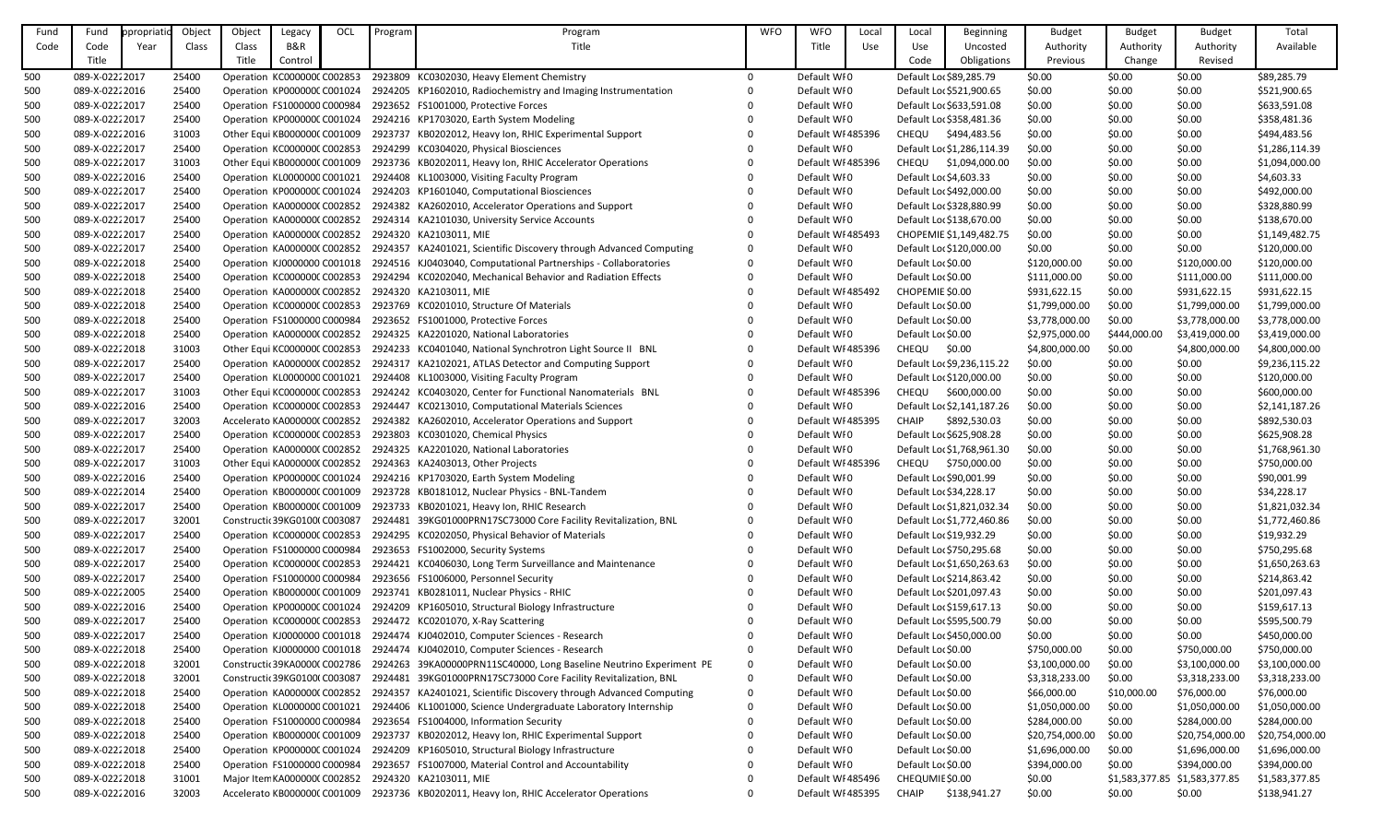| Fund | Fund            | ppropriatic | Object | Object | Legacy                        | OCL | Program | Program                                                                                       | <b>WFO</b>   | <b>WFO</b>        | Local | Local                  | <b>Beginning</b>           | <b>Budget</b>   | <b>Budget</b>  | <b>Budget</b>   | Total           |
|------|-----------------|-------------|--------|--------|-------------------------------|-----|---------|-----------------------------------------------------------------------------------------------|--------------|-------------------|-------|------------------------|----------------------------|-----------------|----------------|-----------------|-----------------|
| Code | Code            | Year        | Class  | Class  | B&R                           |     |         | Title                                                                                         |              | Title             | Use   | Use                    | Uncosted                   | Authority       | Authority      | Authority       | Available       |
|      | Title           |             |        | Title  | Control                       |     |         |                                                                                               |              |                   |       | Code                   | Obligations                | Previous        | Change         | Revised         |                 |
| 500  | 089-X-0222 2017 |             | 25400  |        | Operation KC000000C C002853   |     |         | 2923809 KC0302030, Heavy Element Chemistry                                                    | $\Omega$     | Default WI0       |       |                        | Default Lo: \$89,285.79    | \$0.00          | \$0.00         | \$0.00          | \$89,285.79     |
| 500  | 089-X-02222016  |             | 25400  |        | Operation KP000000C C001024   |     |         | 2924205 KP1602010, Radiochemistry and Imaging Instrumentation                                 | 0            | Default WI0       |       |                        | Default Lor \$521,900.65   | \$0.00          | \$0.00         | \$0.00          | \$521,900.65    |
| 500  | 089-X-0222 2017 |             | 25400  |        | Operation FS1000000 C000984   |     |         | 2923652 FS1001000, Protective Forces                                                          |              | Default WI0       |       |                        | Default Lor \$633,591.08   | \$0.00          | \$0.00         | \$0.00          | \$633,591.08    |
| 500  | 089-X-0222 2017 |             | 25400  |        | Operation KP000000C C001024   |     |         | 2924216 KP1703020, Earth System Modeling                                                      |              | Default WI0       |       |                        | Default Loc \$358,481.36   | \$0.00          | \$0.00         | \$0.00          | \$358,481.36    |
| 500  | 089-X-0222 2016 |             | 31003  |        | Other Equi KB000000C C001009  |     |         | 2923737 KB0202012, Heavy Ion, RHIC Experimental Support                                       |              | Default WI 485396 |       | <b>CHEQU</b>           | \$494,483.56               | \$0.00          | \$0.00         | \$0.00          | \$494,483.56    |
| 500  | 089-X-0222 2017 |             | 25400  |        | Operation KC000000C C002853   |     |         | 2924299 KC0304020, Physical Biosciences                                                       |              | Default WI0       |       |                        | Default Loc \$1,286,114.39 | \$0.00          | \$0.00         | \$0.00          | \$1,286,114.39  |
| 500  | 089-X-0222 2017 |             | 31003  |        | Other Equi KB0000000 C001009  |     |         | 2923736 KB0202011, Heavy Ion, RHIC Accelerator Operations                                     | $\Omega$     | Default WI 485396 |       |                        | CHEQU \$1,094,000.00       | \$0.00          | \$0.00         | \$0.00          | \$1,094,000.00  |
| 500  | 089-X-0222 2016 |             | 25400  |        | Operation KL0000000 C001021   |     |         | 2924408 KL1003000, Visiting Faculty Program                                                   |              | Default WI0       |       | Default Loc \$4,603.33 |                            | \$0.00          | \$0.00         | \$0.00          | \$4,603.33      |
| 500  | 089-X-0222 2017 |             | 25400  |        | Operation KP000000C C001024   |     |         | 2924203 KP1601040, Computational Biosciences                                                  |              | Default WI0       |       |                        | Default Lor \$492,000.00   | \$0.00          | \$0.00         | \$0.00          | \$492,000.00    |
| 500  | 089-X-0222 2017 |             | 25400  |        | Operation KA0000000 C002852   |     |         | 2924382 KA2602010, Accelerator Operations and Support                                         |              | Default WI0       |       |                        | Default Lo: \$328,880.99   | \$0.00          | \$0.00         | \$0.00          | \$328,880.99    |
| 500  | 089-X-0222 2017 |             | 25400  |        | Operation KA000000(C002852    |     |         | 2924314 KA2101030, University Service Accounts                                                | 0            | Default WI0       |       |                        | Default Lor \$138,670.00   | \$0.00          | \$0.00         | \$0.00          | \$138,670.00    |
| 500  | 089-X-0222 2017 |             | 25400  |        |                               |     |         | Operation KA000000(C002852 2924320 KA2103011, MIE                                             | $\Omega$     | Default WI 485493 |       |                        | CHOPEMIE \$1,149,482.75    | \$0.00          | \$0.00         | \$0.00          | \$1,149,482.75  |
| 500  | 089-X-02222017  |             | 25400  |        |                               |     |         | Operation KA000000(C002852 2924357 KA2401021, Scientific Discovery through Advanced Computing | $\mathbf{0}$ | Default WI0       |       |                        | Default Lor \$120,000.00   | \$0.00          | \$0.00         | \$0.00          | \$120,000.00    |
| 500  | 089-X-0222 2018 |             | 25400  |        | Operation KJ0000000 C001018   |     |         | 2924516 KJ0403040, Computational Partnerships - Collaboratories                               | $\mathbf{0}$ | Default WI0       |       | Default Lor \$0.00     |                            | \$120,000.00    | \$0.00         | \$120,000.00    | \$120,000.00    |
| 500  | 089-X-0222 2018 |             | 25400  |        | Operation KC000000CC002853    |     |         | 2924294 KC0202040, Mechanical Behavior and Radiation Effects                                  | $\mathbf{0}$ | Default WI0       |       | Default Lor \$0.00     |                            | \$111,000.00    | \$0.00         | \$111,000.00    | \$111,000.00    |
| 500  | 089-X-02222018  |             | 25400  |        | Operation KA000000(C002852    |     |         | 2924320 KA2103011, MIE                                                                        | 0            | Default WI 485492 |       | CHOPEMIE \$0.00        |                            | \$931,622.15    | \$0.00         | \$931,622.15    | \$931,622.15    |
| 500  | 089-X-02222018  |             | 25400  |        | Operation KC000000C C002853   |     |         | 2923769 KC0201010, Structure Of Materials                                                     | $\Omega$     | Default WI0       |       | Default Lor \$0.00     |                            | \$1,799,000.00  | \$0.00         | \$1,799,000.00  | \$1,799,000.00  |
| 500  | 089-X-02222018  |             | 25400  |        | Operation FS1000000 C000984   |     |         | 2923652 FS1001000, Protective Forces                                                          |              | Default WI0       |       | Default Lor \$0.00     |                            | \$3,778,000.00  | \$0.00         | \$3,778,000.00  | \$3,778,000.00  |
| 500  | 089-X-02222018  |             | 25400  |        | Operation KA0000000 C002852   |     |         | 2924325 KA2201020, National Laboratories                                                      |              | Default WI0       |       | Default Lor \$0.00     |                            | \$2,975,000.00  | \$444,000.00   | \$3,419,000.00  | \$3,419,000.00  |
| 500  | 089-X-0222 2018 |             | 31003  |        | Other Equi KC000000C C002853  |     |         | 2924233 KC0401040, National Synchrotron Light Source II BNL                                   |              | Default WI 485396 |       | CHEQU                  | \$0.00                     | \$4,800,000.00  | \$0.00         | \$4,800,000.00  | \$4,800,000.00  |
| 500  | 089-X-0222 2017 |             | 25400  |        | Operation KA0000000 C002852   |     |         | 2924317 KA2102021, ATLAS Detector and Computing Support                                       | 0            | Default WI0       |       |                        | Default Lor \$9,236,115.22 | \$0.00          | \$0.00         | \$0.00          | \$9,236,115.22  |
| 500  | 089-X-02222017  |             | 25400  |        | Operation KL0000000 C001021   |     |         | 2924408 KL1003000, Visiting Faculty Program                                                   | 0            | Default WI0       |       |                        | Default Lor \$120,000.00   | \$0.00          | \$0.00         | \$0.00          | \$120,000.00    |
| 500  | 089-X-0222 2017 |             | 31003  |        | Other Equi KC000000C C002853  |     |         | 2924242 KC0403020, Center for Functional Nanomaterials BNL                                    |              | Default WI 485396 |       | CHEQU                  | \$600,000.00               | \$0.00          | \$0.00         | \$0.00          | \$600,000.00    |
| 500  | 089-X-0222 2016 |             | 25400  |        | Operation KC000000C C002853   |     |         | 2924447 KC0213010, Computational Materials Sciences                                           | $\Omega$     | Default WI0       |       |                        | Default Loc \$2,141,187.26 | \$0.00          | \$0.00         | \$0.00          | \$2,141,187.26  |
| 500  | 089-X-02222017  |             | 32003  |        | Accelerato KA0000000 C002852  |     |         | 2924382 KA2602010, Accelerator Operations and Support                                         |              | Default WI 485395 |       | <b>CHAIP</b>           | \$892,530.03               | \$0.00          | \$0.00         | \$0.00          | \$892,530.03    |
| 500  | 089-X-0222 2017 |             | 25400  |        | Operation KC000000C C002853   |     |         | 2923803 KC0301020, Chemical Physics                                                           |              | Default WI0       |       |                        | Default Loc \$625,908.28   | \$0.00          | \$0.00         | \$0.00          | \$625,908.28    |
| 500  | 089-X-0222 2017 |             | 25400  |        | Operation KA0000000 C002852   |     |         | 2924325 KA2201020, National Laboratories                                                      |              | Default WI0       |       |                        | Default Lor \$1,768,961.30 | \$0.00          | \$0.00         | \$0.00          | \$1,768,961.30  |
| 500  | 089-X-0222 2017 |             | 31003  |        |                               |     |         | Other Equi KA000000(C002852 2924363 KA2403013, Other Projects                                 |              | Default WI 485396 |       | <b>CHEQU</b>           | \$750,000.00               | \$0.00          | \$0.00         | \$0.00          | \$750,000.00    |
| 500  | 089-X-0222 2016 |             | 25400  |        |                               |     |         | Operation KP000000C C001024 2924216 KP1703020, Earth System Modeling                          | 0            | Default WI0       |       |                        | Default Lo: \$90,001.99    | \$0.00          | \$0.00         | \$0.00          | \$90,001.99     |
| 500  | 089-X-02222014  |             | 25400  |        | Operation KB0000000 C001009   |     |         | 2923728 KB0181012, Nuclear Physics - BNL-Tandem                                               | 0            | Default WI0       |       |                        | Default Loc \$34,228.17    | \$0.00          | \$0.00         | \$0.00          | \$34,228.17     |
| 500  | 089-X-02222017  |             | 25400  |        | Operation KB000000C C001009   |     |         | 2923733 KB0201021, Heavy Ion, RHIC Research                                                   |              | Default WI0       |       |                        | Default Loc \$1,821,032.34 | \$0.00          | \$0.00         | \$0.00          | \$1,821,032.34  |
| 500  | 089-X-0222 2017 |             | 32001  |        | Constructic 39KG01000 C003087 |     |         | 2924481 39KG01000PRN17SC73000 Core Facility Revitalization, BNL                               | 0            | Default WI0       |       |                        | Default Loc \$1,772,460.86 | \$0.00          | \$0.00         | \$0.00          | \$1,772,460.86  |
| 500  | 089-X-0222 2017 |             | 25400  |        | Operation KC000000C C002853   |     |         | 2924295 KC0202050, Physical Behavior of Materials                                             | 0            | Default WI0       |       |                        | Default Loc \$19,932.29    | \$0.00          | \$0.00         | \$0.00          | \$19,932.29     |
| 500  | 089-X-02222017  |             | 25400  |        | Operation FS1000000 C000984   |     |         | 2923653 FS1002000, Security Systems                                                           |              | Default WI0       |       |                        | Default Lor \$750,295.68   | \$0.00          | \$0.00         | \$0.00          | \$750,295.68    |
| 500  | 089-X-0222 2017 |             | 25400  |        | Operation KC000000C C002853   |     |         | 2924421 KC0406030, Long Term Surveillance and Maintenance                                     |              | Default WI0       |       |                        | Default Lor \$1,650,263.63 | \$0.00          | \$0.00         | \$0.00          | \$1,650,263.63  |
| 500  | 089-X-0222 2017 |             | 25400  |        | Operation FS1000000 C000984   |     |         | 2923656 FS1006000, Personnel Security                                                         |              | Default WI0       |       |                        | Default Loc \$214,863.42   | \$0.00          | \$0.00         | \$0.00          | \$214,863.42    |
| 500  | 089-X-0222 2005 |             | 25400  |        | Operation KB000000C C001009   |     |         | 2923741 KB0281011, Nuclear Physics - RHIC                                                     |              | Default WI0       |       |                        | Default Lor \$201,097.43   | \$0.00          | \$0.00         | \$0.00          | \$201,097.43    |
| 500  | 089-X-02222016  |             | 25400  |        | Operation KP000000C C001024   |     |         | 2924209 KP1605010, Structural Biology Infrastructure                                          |              | Default WI0       |       |                        | Default Loc \$159,617.13   | \$0.00          | \$0.00         | \$0.00          | \$159,617.13    |
| 500  | 089-X-0222 2017 |             | 25400  |        | Operation KC000000C C002853   |     |         | 2924472 KC0201070, X-Ray Scattering                                                           |              | Default WI0       |       |                        | Default Lor \$595,500.79   | \$0.00          | \$0.00         | \$0.00          | \$595,500.79    |
| 500  | 089-X-0222 2017 |             | 25400  |        | Operation KJ0000000 C001018   |     |         | 2924474 KJ0402010, Computer Sciences - Research                                               |              | Default WI0       |       |                        | Default Lor \$450,000.00   | \$0.00          | \$0.00         | \$0.00          | \$450,000.00    |
| 500  | 089-X-02222018  |             | 25400  |        | Operation KJ0000000 C001018   |     |         | 2924474 KJ0402010, Computer Sciences - Research                                               |              | Default WI0       |       | Default Lor \$0.00     |                            | \$750,000.00    | \$0.00         | \$750,000.00    | \$750,000.00    |
| 500  | 089-X-02222018  |             | 32001  |        | Constructic 39KA00000 C002786 |     |         | 2924263 39KA00000PRN11SC40000, Long Baseline Neutrino Experiment PE                           | 0            | Default WI0       |       | Default Lor \$0.00     |                            | \$3,100,000.00  | \$0.00         | \$3,100,000.00  | \$3,100,000.00  |
| 500  | 089-X-02222018  |             | 32001  |        | Constructic 39KG01000 C003087 |     |         | 2924481 39KG01000PRN17SC73000 Core Facility Revitalization, BNL                               | 0            | Default WI0       |       | Default Lor \$0.00     |                            | \$3,318,233.00  | \$0.00         | \$3,318,233.00  | \$3,318,233.00  |
| 500  | 089-X-02222018  |             | 25400  |        | Operation KA0000000 C002852   |     |         | 2924357 KA2401021, Scientific Discovery through Advanced Computing                            | 0            | Default WI0       |       | Default Lor \$0.00     |                            | \$66,000.00     | \$10,000.00    | \$76,000.00     | \$76,000.00     |
| 500  | 089-X-0222 2018 |             | 25400  |        | Operation KL0000000 C001021   |     |         | 2924406 KL1001000, Science Undergraduate Laboratory Internship                                | 0            | Default WI0       |       | Default Lor \$0.00     |                            | \$1,050,000.00  | \$0.00         | \$1,050,000.00  | \$1,050,000.00  |
| 500  | 089-X-02222018  |             | 25400  |        | Operation FS1000000 C000984   |     |         | 2923654 FS1004000, Information Security                                                       |              | Default WI0       |       | Default Lor \$0.00     |                            | \$284,000.00    | \$0.00         | \$284,000.00    | \$284,000.00    |
| 500  | 089-X-02222018  |             | 25400  |        | Operation KB000000C C001009   |     |         | 2923737 KB0202012, Heavy Ion, RHIC Experimental Support                                       |              | Default WI0       |       | Default Lor \$0.00     |                            | \$20,754,000.00 | \$0.00         | \$20,754,000.00 | \$20,754,000.00 |
| 500  | 089-X-02222018  |             | 25400  |        |                               |     |         | Operation KP000000C C001024 2924209 KP1605010, Structural Biology Infrastructure              | 0            | Default WI0       |       | Default Lor \$0.00     |                            | \$1,696,000.00  | \$0.00         | \$1,696,000.00  | \$1,696,000.00  |
| 500  | 089-X-02222018  |             | 25400  |        | Operation FS1000000 C000984   |     |         | 2923657 FS1007000, Material Control and Accountability                                        |              | Default WI0       |       | Default Lor \$0.00     |                            | \$394,000.00    | \$0.00         | \$394,000.00    | \$394,000.00    |
| 500  | 089-X-0222 2018 |             | 31001  |        |                               |     |         | Major Item KA0000000 C002852 2924320 KA2103011, MIE                                           |              | Default WI 485496 |       | CHEQUMIE \$0.00        |                            | \$0.00          | \$1,583,377.85 | \$1,583,377.85  | \$1,583,377.85  |
| 500  | 089-X-0222 2016 |             | 32003  |        | Accelerato KB0000000 C001009  |     |         | 2923736 KB0202011, Heavy Ion, RHIC Accelerator Operations                                     | $\mathbf{0}$ | Default WI 485395 |       | <b>CHAIP</b>           | \$138,941.27               | \$0.00          | \$0.00         | \$0.00          | \$138,941.27    |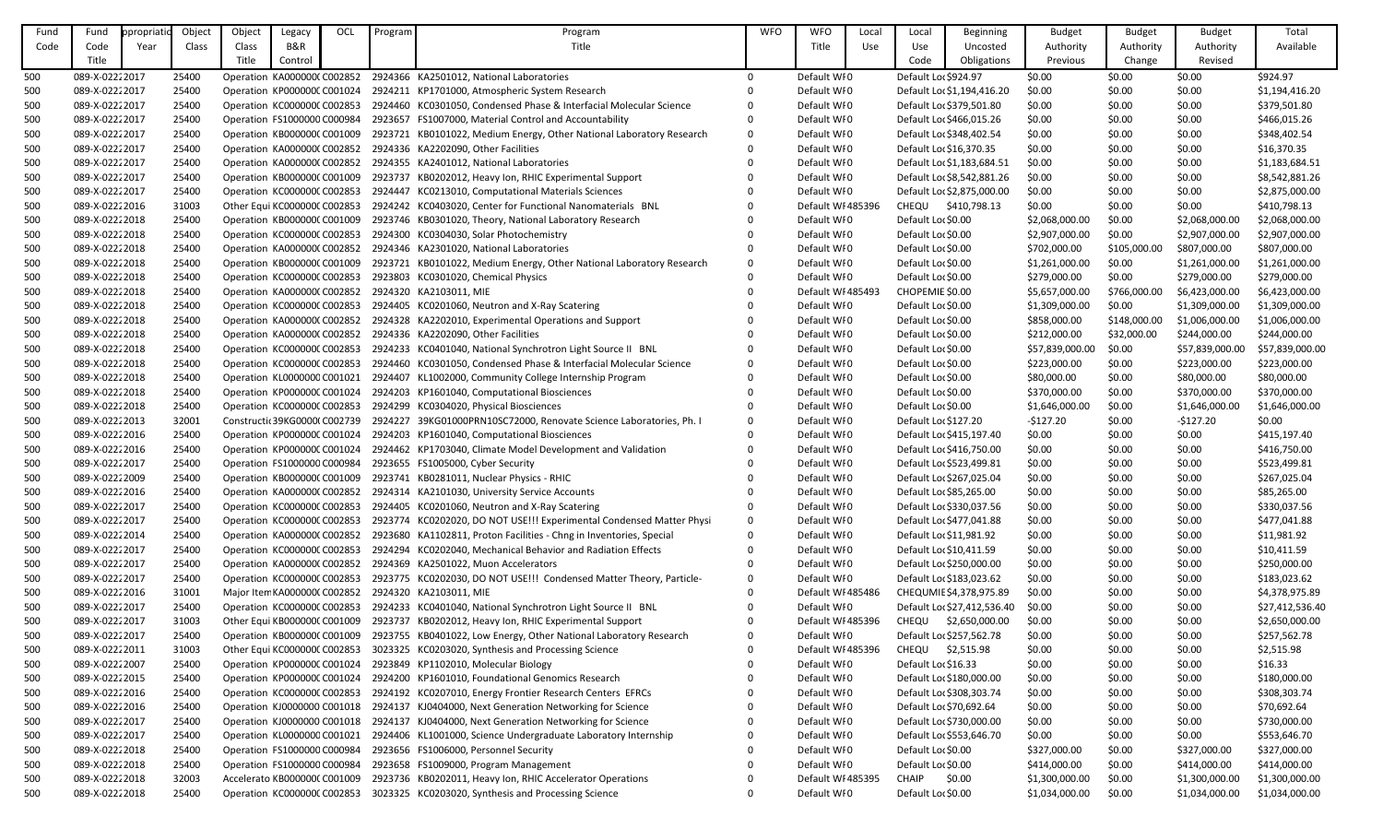| Fund       | Fund                             | ppropriatid | Object         | Object                      | Legacy                                                     | OCL | Program | Program                                                                                                                                                        | <b>WFO</b>     | <b>WFO</b>                 | Local | Local                   | Beginning                                           | <b>Budget</b>    | <b>Budget</b>    | <b>Budget</b>    | Total                       |
|------------|----------------------------------|-------------|----------------|-----------------------------|------------------------------------------------------------|-----|---------|----------------------------------------------------------------------------------------------------------------------------------------------------------------|----------------|----------------------------|-------|-------------------------|-----------------------------------------------------|------------------|------------------|------------------|-----------------------------|
| Code       | Code                             | Year        | Class          | Class                       | <b>B&amp;R</b>                                             |     |         | Title                                                                                                                                                          |                | Title                      | Use   | Use                     | Uncosted                                            | Authority        | Authority        | Authority        | Available                   |
|            | Title                            |             |                | Title                       | Control                                                    |     |         |                                                                                                                                                                |                |                            |       | Code                    | Obligations                                         | Previous         | Change           | Revised          |                             |
| 500        | 089-X-02222017                   |             | 25400          |                             | Operation KA0000000 C002852                                |     |         | 2924366 KA2501012, National Laboratories                                                                                                                       | $\overline{0}$ | Default WI0                |       | Default Lor \$924.97    |                                                     | \$0.00           | \$0.00           | \$0.00           | \$924.97                    |
| 500        | 089-X-02222017                   |             | 25400          |                             |                                                            |     |         | Operation KP000000C C001024 2924211 KP1701000, Atmospheric System Research                                                                                     |                | Default WI0                |       |                         | Default Loc \$1,194,416.20                          | \$0.00           | \$0.00           | \$0.00           | \$1,194,416.20              |
| 500        | 089-X-02222017                   |             | 25400          |                             | Operation KC000000C C002853                                |     |         | 2924460 KC0301050, Condensed Phase & Interfacial Molecular Science                                                                                             |                | Default WI0                |       |                         | Default Loc \$379,501.80                            | \$0.00           | \$0.00           | \$0.00           | \$379,501.80                |
| 500        | 089-X-02222017                   |             | 25400          |                             | Operation FS1000000 C000984                                |     |         | 2923657 FS1007000, Material Control and Accountability                                                                                                         | 0              | Default WI0                |       |                         | Default Lor \$466,015.26                            | \$0.00           | \$0.00           | \$0.00           | \$466,015.26                |
| 500        | 089-X-02222017                   |             | 25400          |                             | Operation KB0000000 C001009                                |     |         | 2923721 KB0101022, Medium Energy, Other National Laboratory Research                                                                                           | $\Omega$       | Default WI0                |       |                         | Default Lo: \$348,402.54                            | \$0.00           | \$0.00           | \$0.00           | \$348,402.54                |
| 500        | 089-X-02222017                   |             | 25400          |                             |                                                            |     |         | Operation KA000000(C002852 2924336 KA2202090, Other Facilities                                                                                                 |                | Default WI0                |       | Default Loc \$16,370.35 |                                                     | \$0.00           | \$0.00           | \$0.00           | \$16,370.35                 |
| 500        | 089-X-0222 2017                  |             | 25400          |                             |                                                            |     |         | Operation KA000000(C002852 2924355 KA2401012, National Laboratories                                                                                            |                | Default WI0                |       |                         | Default Loc \$1,183,684.51                          | \$0.00           | \$0.00           | \$0.00           | \$1,183,684.51              |
| 500        | 089-X-02222017                   |             | 25400          |                             | Operation KB000000C C001009                                |     |         | 2923737 KB0202012, Heavy Ion, RHIC Experimental Support                                                                                                        |                | Default WI0                |       |                         | Default Loc \$8,542,881.26                          | \$0.00           | \$0.00           | \$0.00           | \$8,542,881.26              |
| 500        | 089-X-02222017                   |             | 25400          |                             | Operation KC000000C C002853                                |     |         | 2924447 KC0213010, Computational Materials Sciences                                                                                                            |                | Default WI0                |       |                         | Default Lor \$2,875,000.00                          | \$0.00           | \$0.00           | \$0.00           | \$2,875,000.00              |
| 500        | 089-X-0222 2016                  |             | 31003          |                             | Other Equi KC000000C C002853                               |     |         | 2924242 KC0403020, Center for Functional Nanomaterials BNL                                                                                                     |                | Default WI 485396          |       |                         | CHEQU \$410,798.13                                  | \$0.00           | \$0.00           | \$0.00           | \$410,798.13                |
| 500        | 089-X-02222018                   |             | 25400          |                             | Operation KB000000C C001009                                |     |         | 2923746 KB0301020, Theory, National Laboratory Research                                                                                                        |                | Default WI0                |       | Default Lor \$0.00      |                                                     | \$2,068,000.00   | \$0.00           | \$2,068,000.00   | \$2,068,000.00              |
| 500        | 089-X-02222018                   |             | 25400          |                             | Operation KC000000C C002853                                |     |         | 2924300 KC0304030, Solar Photochemistry                                                                                                                        |                | Default WI0                |       | Default Lor \$0.00      |                                                     | \$2,907,000.00   | \$0.00           | \$2,907,000.00   | \$2,907,000.00              |
| 500        | 089-X-02222018                   |             | 25400          |                             | Operation KA0000000 C002852                                |     |         | 2924346 KA2301020, National Laboratories                                                                                                                       |                | Default WI0                |       | Default Lor \$0.00      |                                                     | \$702,000.00     | \$105,000.00     | \$807,000.00     | \$807,000.00                |
| 500        | 089-X-02222018                   |             | 25400          |                             | Operation KB0000000 C001009                                |     |         | 2923721 KB0101022, Medium Energy, Other National Laboratory Research                                                                                           | $\Omega$       | Default WI0                |       | Default Lor \$0.00      |                                                     | \$1,261,000.00   | \$0.00           | \$1,261,000.00   | \$1,261,000.00              |
| 500        | 089-X-02222018                   |             | 25400          |                             | Operation KC000000C C002853                                |     |         | 2923803 KC0301020, Chemical Physics                                                                                                                            |                | Default WI0                |       | Default Lor \$0.00      |                                                     | \$279,000.00     | \$0.00           | \$279,000.00     | \$279,000.00                |
| 500        | 089-X-02222018                   |             | 25400          |                             | Operation KA000000(C002852                                 |     |         | 2924320 KA2103011, MIE                                                                                                                                         |                | Default WI 485493          |       | CHOPEMIE \$0.00         |                                                     | \$5,657,000.00   | \$766,000.00     | \$6,423,000.00   | \$6,423,000.00              |
| 500        | 089-X-02222018                   |             | 25400          |                             | Operation KC000000C C002853                                |     |         | 2924405 KC0201060, Neutron and X-Ray Scatering                                                                                                                 |                | Default WI0                |       | Default Lor \$0.00      |                                                     | \$1,309,000.00   | \$0.00           | \$1,309,000.00   | \$1,309,000.00              |
| 500        | 089-X-02222018                   |             | 25400          |                             | Operation KA0000000 C002852                                |     |         | 2924328 KA2202010, Experimental Operations and Support                                                                                                         |                | Default WI0                |       | Default Lor \$0.00      |                                                     | \$858,000.00     | \$148,000.00     | \$1,006,000.00   | \$1,006,000.00              |
| 500        | 089-X-02222018                   |             | 25400          |                             | Operation KA0000000 C002852                                |     |         | 2924336 KA2202090, Other Facilities                                                                                                                            |                | Default WI0                |       | Default Lor \$0.00      |                                                     | \$212,000.00     | \$32,000.00      | \$244,000.00     | \$244,000.00                |
| 500        | 089-X-02222018                   |             | 25400          |                             | Operation KC000000C C002853                                |     |         | 2924233 KC0401040, National Synchrotron Light Source II BNL                                                                                                    |                | Default WI0                |       | Default Lor \$0.00      |                                                     | \$57,839,000.00  | \$0.00           | \$57,839,000.00  | \$57,839,000.00             |
| 500        | 089-X-02222018                   |             | 25400          |                             | Operation KC000000C C002853                                |     |         | 2924460 KC0301050, Condensed Phase & Interfacial Molecular Science                                                                                             | $\Omega$       | Default WI0                |       | Default Lor \$0.00      |                                                     | \$223,000.00     | \$0.00           | \$223,000.00     | \$223,000.00                |
| 500        | 089-X-02222018                   |             | 25400          |                             | Operation KL0000000 C001021                                |     |         | 2924407 KL1002000, Community College Internship Program                                                                                                        |                | Default WI0                |       | Default Lor \$0.00      |                                                     | \$80,000.00      | \$0.00           | \$80,000.00      | \$80,000.00                 |
| 500        | 089-X-02222018                   |             | 25400          |                             | Operation KP000000C C001024                                |     |         | 2924203 KP1601040, Computational Biosciences                                                                                                                   |                | Default WI0                |       | Default Lor \$0.00      |                                                     | \$370,000.00     | \$0.00           | \$370,000.00     | \$370,000.00                |
| 500        | 089-X-02222018                   |             | 25400          |                             | Operation KC000000C C002853                                |     |         | 2924299 KC0304020, Physical Biosciences                                                                                                                        |                | Default WI0                |       | Default Lor \$0.00      |                                                     | \$1,646,000.00   | \$0.00           | \$1,646,000.00   | \$1,646,000.00              |
| 500        | 089-X-0222 2013                  |             | 32001          |                             | Constructic 39KG0000(C002739                               |     |         | 2924227 39KG01000PRN10SC72000, Renovate Science Laboratories, Ph. I                                                                                            | 0              | Default WI0                |       | Default Loc \$127.20    |                                                     | $-5127.20$       | \$0.00           | $-5127.20$       | \$0.00                      |
| 500        | 089-X-0222 2016                  |             | 25400          |                             |                                                            |     |         | Operation KP000000C C001024 2924203 KP1601040, Computational Biosciences                                                                                       |                | Default WI0                |       |                         | Default Loc \$415,197.40                            | \$0.00           | \$0.00           | \$0.00           | \$415,197.40                |
| 500        | 089-X-0222 2016                  |             | 25400          |                             | Operation KP000000C C001024                                |     |         | 2924462 KP1703040, Climate Model Development and Validation                                                                                                    |                | Default WI0                |       |                         | Default Lor \$416,750.00                            | \$0.00           | \$0.00           | \$0.00           | \$416,750.00                |
| 500        | 089-X-02222017                   |             | 25400          |                             |                                                            |     |         | Operation FS1000000 C000984 2923655 FS1005000, Cyber Security                                                                                                  |                | Default WI0                |       |                         | Default Lor \$523,499.81                            | \$0.00           | \$0.00           | \$0.00           | \$523,499.81                |
| 500        | 089-X-02222009                   |             | 25400          |                             |                                                            |     |         | Operation KB000000C C001009 2923741 KB0281011, Nuclear Physics - RHIC                                                                                          |                | Default WI0                |       |                         | Default Lor \$267,025.04                            | \$0.00           | \$0.00           | \$0.00           | \$267,025.04                |
| 500        | 089-X-0222 2016                  |             | 25400          |                             | Operation KA0000000 C002852                                |     |         | 2924314 KA2101030, University Service Accounts                                                                                                                 |                | Default WI0                |       |                         | Default Lor \$85,265.00                             | \$0.00           | \$0.00           | \$0.00           | \$85,265.00                 |
| 500        | 089-X-0222 2017                  |             | 25400          | Operation KC000000C C002853 |                                                            |     |         | 2924405 KC0201060, Neutron and X-Ray Scatering                                                                                                                 |                | Default WI0                |       |                         | Default Loc \$330,037.56                            | \$0.00           | \$0.00           | \$0.00           | \$330,037.56                |
| 500        | 089-X-0222 2017                  |             | 25400          |                             | Operation KC000000C C002853                                |     |         | 2923774 KC0202020, DO NOT USE!!! Experimental Condensed Matter Physi                                                                                           | 0              | Default WI0                |       |                         | Default Loc \$477,041.88                            | \$0.00           | \$0.00           | \$0.00           | \$477,041.88                |
| 500        | 089-X-0222 2014                  |             | 25400          |                             |                                                            |     |         | Operation KA000000(C002852 2923680 KA1102811, Proton Facilities - Chng in Inventories, Special<br>2924294 KC0202040, Mechanical Behavior and Radiation Effects |                | Default WI0                |       |                         | Default Loc \$11,981.92                             | \$0.00           | \$0.00           | \$0.00           | \$11,981.92                 |
| 500<br>500 | 089-X-02222017<br>089-X-02222017 |             | 25400<br>25400 |                             | Operation KC000000C C002853<br>Operation KA0000000 C002852 |     |         | 2924369 KA2501022, Muon Accelerators                                                                                                                           |                | Default WI0<br>Default WI0 |       |                         | Default Lo: \$10,411.59<br>Default Lor \$250,000.00 | \$0.00<br>\$0.00 | \$0.00<br>\$0.00 | \$0.00<br>\$0.00 | \$10,411.59<br>\$250,000.00 |
| 500        | 089-X-02222017                   |             | 25400          |                             | Operation KC000000C C002853                                |     |         | 2923775 KC0202030, DO NOT USE!!! Condensed Matter Theory, Particle-                                                                                            |                | Default WI0                |       |                         | Default Loc \$183,023.62                            | \$0.00           | \$0.00           | \$0.00           | \$183,023.62                |
| 500        | 089-X-02222016                   |             | 31001          |                             | Major Iten KA0000000 C002852                               |     |         | 2924320 KA2103011, MIE                                                                                                                                         |                | Default WI 485486          |       |                         | CHEQUMIE \$4,378,975.89                             | \$0.00           | \$0.00           | \$0.00           | \$4,378,975.89              |
| 500        | 089-X-0222 2017                  |             | 25400          |                             |                                                            |     |         | Operation KC000000C C002853 2924233 KC0401040, National Synchrotron Light Source II BNL                                                                        |                | Default WI0                |       |                         | Default Loc \$27,412,536.40                         | \$0.00           | \$0.00           | \$0.00           | \$27,412,536.40             |
| 500        | 089-X-0222 2017                  |             | 31003          |                             | Other Equi KB000000C C001009                               |     |         | 2923737 KB0202012, Heavy Ion, RHIC Experimental Support                                                                                                        |                | Default WI 485396          |       |                         | CHEQU \$2,650,000.00                                | \$0.00           | \$0.00           | \$0.00           | \$2,650,000.00              |
| 500        | 089-X-02222017                   |             | 25400          |                             | Operation KB000000C C001009                                |     |         | 2923755 KB0401022, Low Energy, Other National Laboratory Research                                                                                              |                | Default WI0                |       |                         | Default Lor \$257,562.78                            | \$0.00           | \$0.00           | \$0.00           | \$257,562.78                |
| 500        | 089-X-0222 2011                  |             | 31003          |                             | Other Equi KC000000C C002853                               |     |         | 3023325 KC0203020, Synthesis and Processing Science                                                                                                            |                | Default WI 485396          |       | CHEQU \$2,515.98        |                                                     | \$0.00           | \$0.00           | \$0.00           | \$2,515.98                  |
| 500        | 089-X-0222 2007                  |             | 25400          |                             |                                                            |     |         | Operation KP000000C C001024 2923849 KP1102010, Molecular Biology                                                                                               |                | Default WI0                |       | Default Lor \$16.33     |                                                     | \$0.00           | \$0.00           | \$0.00           | \$16.33                     |
| 500        | 089-X-02222015                   |             | 25400          |                             |                                                            |     |         | Operation KP000000C C001024 2924200 KP1601010, Foundational Genomics Research                                                                                  |                | Default WI0                |       |                         | Default Lor \$180,000.00                            | \$0.00           | \$0.00           | \$0.00           | \$180,000.00                |
| 500        | 089-X-0222 2016                  |             | 25400          |                             | Operation KC000000C C002853                                |     |         | 2924192 KC0207010, Energy Frontier Research Centers EFRCs                                                                                                      |                | Default WI0                |       |                         | Default Loc \$308,303.74                            | \$0.00           | \$0.00           | \$0.00           | \$308,303.74                |
| 500        | 089-X-0222 2016                  |             | 25400          |                             |                                                            |     |         | Operation KJ0000000 C001018 2924137 KJ0404000, Next Generation Networking for Science                                                                          |                | Default WI0                |       | Default Lor \$70,692.64 |                                                     | \$0.00           | \$0.00           | \$0.00           | \$70,692.64                 |
| 500        | 089-X-02222017                   |             | 25400          |                             |                                                            |     |         | Operation KJ0000000 C001018 2924137 KJ0404000, Next Generation Networking for Science                                                                          |                | Default WI0                |       |                         | Default Lor \$730,000.00                            | \$0.00           | \$0.00           | \$0.00           | \$730,000.00                |
| 500        | 089-X-02222017                   |             | 25400          |                             |                                                            |     |         | Operation KL0000000 C001021 2924406 KL1001000, Science Undergraduate Laboratory Internship                                                                     |                | Default WI0                |       |                         | Default Loc \$553,646.70                            | \$0.00           | \$0.00           | \$0.00           | \$553,646.70                |
| 500        | 089-X-0222 2018                  |             | 25400          |                             |                                                            |     |         | Operation FS1000000 C000984 2923656 FS1006000, Personnel Security                                                                                              |                | Default WI0                |       | Default Lor \$0.00      |                                                     | \$327,000.00     | \$0.00           | \$327,000.00     | \$327,000.00                |
| 500        | 089-X-02222018                   |             | 25400          |                             | Operation FS1000000 C000984                                |     |         | 2923658 FS1009000, Program Management                                                                                                                          |                | Default WI0                |       | Default Lor \$0.00      |                                                     | \$414,000.00     | \$0.00           | \$414,000.00     | \$414,000.00                |
| 500        | 089-X-02222018                   |             | 32003          |                             | Accelerato KB000000C C001009                               |     |         | 2923736 KB0202011, Heavy Ion, RHIC Accelerator Operations                                                                                                      |                | Default WI 485395          |       | <b>CHAIP</b>            | \$0.00                                              | \$1,300,000.00   | \$0.00           | \$1,300,000.00   | \$1,300,000.00              |
| 500        | 089-X-02222018                   |             | 25400          |                             |                                                            |     |         | Operation KC000000C C002853 3023325 KC0203020, Synthesis and Processing Science                                                                                |                | Default WI0                |       | Default Lor \$0.00      |                                                     | \$1,034,000.00   | \$0.00           | \$1,034,000.00   | \$1,034,000.00              |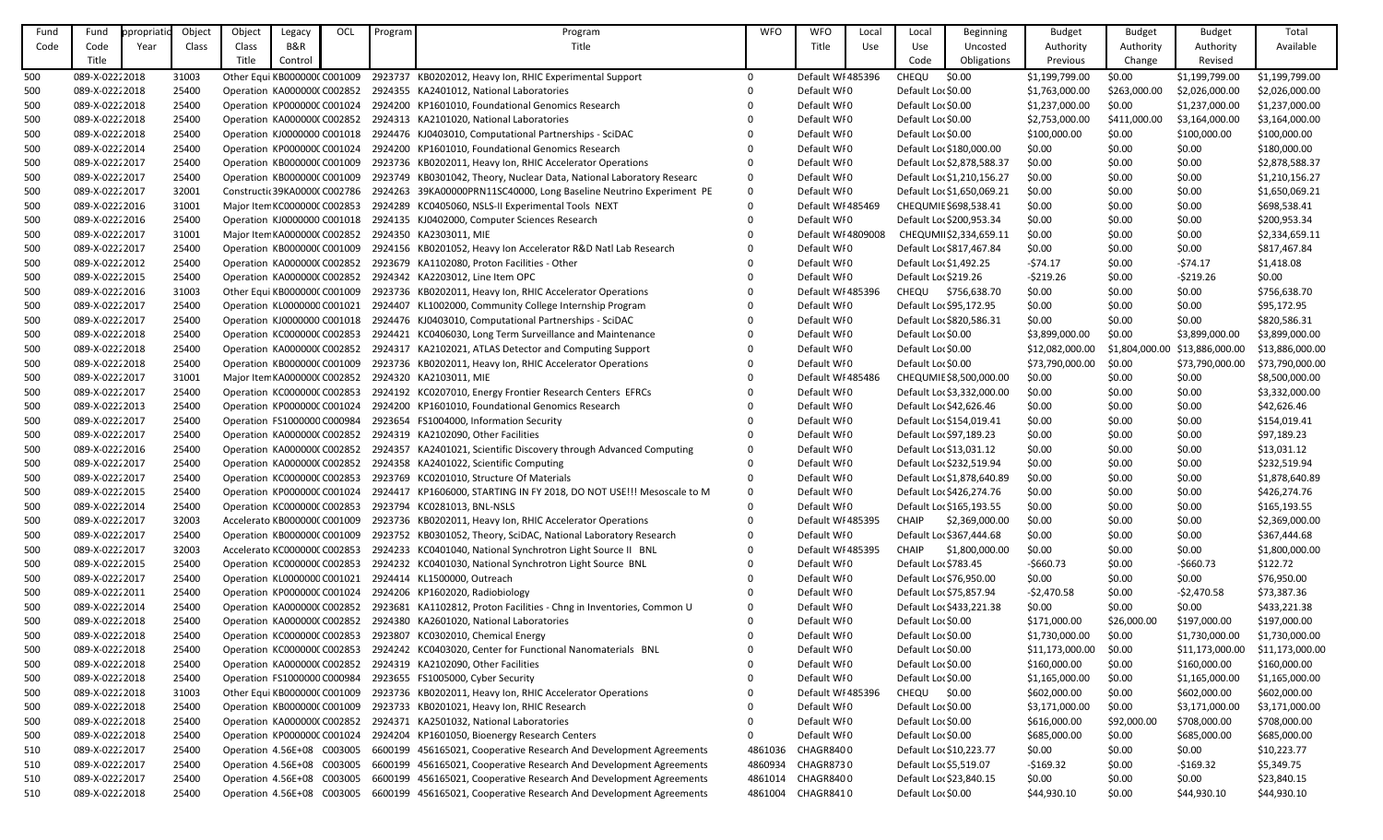| Fund | Fund            | ppropriatic | Object | Object | Legacy                       | OCL | Program | Program                                                                                           | <b>WFO</b>   | <b>WFO</b>         | Local | Local                   | <b>Beginning</b>           | <b>Budget</b>   | <b>Budget</b>  | <b>Budget</b>   | Total           |
|------|-----------------|-------------|--------|--------|------------------------------|-----|---------|---------------------------------------------------------------------------------------------------|--------------|--------------------|-------|-------------------------|----------------------------|-----------------|----------------|-----------------|-----------------|
| Code | Code            | Year        | Class  | Class  | <b>B&amp;R</b>               |     |         | Title                                                                                             |              | Title              | Use   | Use                     | Uncosted                   | Authority       | Authority      | Authority       | Available       |
|      | Title           |             |        | Title  | Control                      |     |         |                                                                                                   |              |                    |       | Code                    | Obligations                | Previous        | Change         | Revised         |                 |
| 500  | 089-X-02222018  |             | 31003  |        | Other Equi KB000000C C001009 |     |         | 2923737 KB0202012, Heavy Ion, RHIC Experimental Support                                           | $\Omega$     | Default WI 485396  |       | CHEQU                   | \$0.00                     | \$1,199,799.00  | \$0.00         | \$1,199,799.00  | \$1,199,799.00  |
| 500  | 089-X-02222018  |             | 25400  |        |                              |     |         | Operation KA000000(C002852 2924355 KA2401012, National Laboratories                               |              | Default WI0        |       | Default Lor \$0.00      |                            | \$1,763,000.00  | \$263,000.00   | \$2,026,000.00  | \$2,026,000.00  |
| 500  | 089-X-02222018  |             | 25400  |        | Operation KP000000C C001024  |     |         | 2924200 KP1601010, Foundational Genomics Research                                                 |              | Default WI0        |       | Default Lor \$0.00      |                            | \$1,237,000.00  | \$0.00         | \$1,237,000.00  | \$1,237,000.00  |
| 500  | 089-X-02222018  |             | 25400  |        | Operation KA000000(C002852   |     |         | 2924313 KA2101020, National Laboratories                                                          |              | Default WI0        |       | Default Lor \$0.00      |                            | \$2,753,000.00  | \$411,000.00   | \$3,164,000.00  | \$3,164,000.00  |
| 500  | 089-X-02222018  |             | 25400  |        |                              |     |         | Operation KJ0000000 C001018 2924476 KJ0403010, Computational Partnerships - SciDAC                |              | Default WI0        |       | Default Lor \$0.00      |                            | \$100,000.00    | \$0.00         | \$100,000.00    | \$100,000.00    |
| 500  | 089-X-0222 2014 |             | 25400  |        |                              |     |         | Operation KP000000C C001024 2924200 KP1601010, Foundational Genomics Research                     |              | Default WI0        |       |                         | Default Lo: \$180,000.00   | \$0.00          | \$0.00         | \$0.00          | \$180,000.00    |
| 500  | 089-X-0222 2017 |             | 25400  |        |                              |     |         | Operation KB000000C C001009 2923736 KB0202011, Heavy Ion, RHIC Accelerator Operations             |              | Default WI0        |       |                         | Default Loc \$2,878,588.37 | \$0.00          | \$0.00         | \$0.00          | \$2,878,588.37  |
| 500  | 089-X-02222017  |             | 25400  |        | Operation KB0000000 C001009  |     |         | 2923749 KB0301042, Theory, Nuclear Data, National Laboratory Researc                              |              | Default WI0        |       |                         | Default Loc \$1,210,156.27 | \$0.00          | \$0.00         | \$0.00          | \$1,210,156.27  |
| 500  | 089-X-02222017  |             | 32001  |        |                              |     |         | Constructic 39KA0000C C002786 2924263 39KA00000PRN11SC40000, Long Baseline Neutrino Experiment PE | $\mathbf{0}$ | Default WI0        |       |                         | Default Lor \$1,650,069.21 | \$0.00          | \$0.00         | \$0.00          | \$1,650,069.21  |
| 500  | 089-X-0222 2016 |             | 31001  |        | Major Iten KC0000000 C002853 |     |         | 2924289 KC0405060, NSLS-II Experimental Tools NEXT                                                |              | Default WI 485469  |       |                         | CHEQUMIE \$698,538.41      | \$0.00          | \$0.00         | \$0.00          | \$698,538.41    |
| 500  | 089-X-02222016  |             | 25400  |        |                              |     |         | Operation KJ0000000 C001018 2924135 KJ0402000, Computer Sciences Research                         |              | Default WI0        |       |                         | Default Loc \$200,953.34   | \$0.00          | \$0.00         | \$0.00          | \$200,953.34    |
| 500  | 089-X-0222 2017 |             | 31001  |        |                              |     |         | Major Item KA000000(C002852 2924350 KA2303011, MIE                                                |              | Default WI 4809008 |       |                         | CHEQUMI \$2,334,659.11     | \$0.00          | \$0.00         | \$0.00          | \$2,334,659.11  |
| 500  | 089-X-0222 2017 |             | 25400  |        | Operation KB0000000 C001009  |     |         | 2924156 KB0201052, Heavy Ion Accelerator R&D Natl Lab Research                                    |              | Default WI0        |       |                         | Default Loc \$817,467.84   | \$0.00          | \$0.00         | \$0.00          | \$817,467.84    |
| 500  | 089-X-0222 2012 |             | 25400  |        |                              |     |         | Operation KA000000(C002852 2923679 KA1102080, Proton Facilities - Other                           |              | Default WI0        |       | Default Lor \$1,492.25  |                            | $-574.17$       | \$0.00         | $-574.17$       | \$1,418.08      |
| 500  | 089-X-0222 2015 |             | 25400  |        | Operation KA000000(C002852   |     |         | 2924342 KA2203012, Line Item OPC                                                                  |              | Default WI0        |       | Default Loc \$219.26    |                            | $-5219.26$      | \$0.00         | $-5219.26$      | \$0.00          |
| 500  | 089-X-02222016  |             | 31003  |        | Other Equi KB0000000 C001009 |     |         | 2923736 KB0202011, Heavy Ion, RHIC Accelerator Operations                                         |              | Default WI 485396  |       |                         | CHEQU \$756,638.70         | \$0.00          | \$0.00         | \$0.00          | \$756,638.70    |
| 500  | 089-X-0222 2017 |             | 25400  |        |                              |     |         | Operation KL0000000 C001021 2924407 KL1002000, Community College Internship Program               |              | Default WI0        |       |                         | Default Loc \$95,172.95    | \$0.00          | \$0.00         | \$0.00          | \$95,172.95     |
| 500  | 089-X-0222 2017 |             | 25400  |        |                              |     |         | Operation KJ0000000 C001018 2924476 KJ0403010, Computational Partnerships - SciDAC                |              | Default WI0        |       |                         | Default Lor \$820,586.31   | \$0.00          | \$0.00         | \$0.00          | \$820,586.31    |
| 500  | 089-X-02222018  |             | 25400  |        | Operation KC000000C C002853  |     |         | 2924421 KC0406030, Long Term Surveillance and Maintenance                                         |              | Default WI0        |       | Default Lor \$0.00      |                            | \$3,899,000.00  | \$0.00         | \$3,899,000.00  | \$3,899,000.00  |
| 500  | 089-X-02222018  |             | 25400  |        | Operation KA0000000 C002852  |     |         | 2924317 KA2102021, ATLAS Detector and Computing Support                                           |              | Default WI0        |       | Default Lor \$0.00      |                            | \$12,082,000.00 | \$1,804,000.00 | \$13,886,000.00 | \$13,886,000.00 |
| 500  | 089-X-02222018  |             | 25400  |        | Operation KB0000000 C001009  |     |         | 2923736 KB0202011, Heavy Ion, RHIC Accelerator Operations                                         |              | Default WI0        |       | Default Lor \$0.00      |                            | \$73,790,000.00 | \$0.00         | \$73,790,000.00 | \$73,790,000.00 |
| 500  | 089-X-02222017  |             | 31001  |        | Major Item KA0000000 C002852 |     |         | 2924320 KA2103011, MIE                                                                            |              | Default WI 485486  |       |                         | CHEQUMIE \$8,500,000.00    | \$0.00          | \$0.00         | \$0.00          | \$8,500,000.00  |
| 500  | 089-X-02222017  |             | 25400  |        | Operation KC000000C C002853  |     |         | 2924192 KC0207010, Energy Frontier Research Centers EFRCs                                         |              | Default WI0        |       |                         | Default Loc \$3,332,000.00 | \$0.00          | \$0.00         | \$0.00          | \$3,332,000.00  |
| 500  | 089-X-0222 2013 |             | 25400  |        | Operation KP000000C C001024  |     |         | 2924200 KP1601010, Foundational Genomics Research                                                 |              | Default WI0        |       |                         | Default Lor \$42,626.46    | \$0.00          | \$0.00         | \$0.00          | \$42,626.46     |
| 500  | 089-X-0222 2017 |             | 25400  |        | Operation FS1000000 C000984  |     |         | 2923654 FS1004000, Information Security                                                           |              | Default WI0        |       |                         | Default Loc \$154,019.41   | \$0.00          | \$0.00         | \$0.00          | \$154,019.41    |
| 500  | 089-X-02222017  |             | 25400  |        |                              |     |         | Operation KA000000(C002852 2924319 KA2102090, Other Facilities                                    |              | Default WI0        |       |                         | Default Lor \$97,189.23    | \$0.00          | \$0.00         | \$0.00          | \$97,189.23     |
| 500  | 089-X-0222 2016 |             | 25400  |        |                              |     |         | Operation KA000000(C002852 2924357 KA2401021, Scientific Discovery through Advanced Computing     |              | Default WI0        |       | Default Lo: \$13,031.12 |                            | \$0.00          | \$0.00         | \$0.00          | \$13,031.12     |
| 500  | 089-X-02222017  |             | 25400  |        |                              |     |         | Operation KA000000(C002852 2924358 KA2401022, Scientific Computing                                |              | Default WI0        |       |                         | Default Loc \$232,519.94   | \$0.00          | \$0.00         | \$0.00          | \$232,519.94    |
| 500  | 089-X-02222017  |             | 25400  |        |                              |     |         | Operation KC000000C C002853 2923769 KC0201010, Structure Of Materials                             |              | Default WI0        |       |                         | Default Loc \$1,878,640.89 | \$0.00          | \$0.00         | \$0.00          | \$1,878,640.89  |
| 500  | 089-X-02222015  |             | 25400  |        |                              |     |         | Operation KP000000C C001024 2924417 KP1606000, STARTING IN FY 2018, DO NOT USE!!! Mesoscale to M  | 0            | Default WI0        |       |                         | Default Loc \$426,274.76   | \$0.00          | \$0.00         | \$0.00          | \$426,274.76    |
| 500  | 089-X-0222 2014 |             | 25400  |        |                              |     |         | Operation KC000000C C002853 2923794 KC0281013, BNL-NSLS                                           |              | Default WI0        |       |                         | Default Loc \$165,193.55   | \$0.00          | \$0.00         | \$0.00          | \$165,193.55    |
| 500  | 089-X-02222017  |             | 32003  |        | Accelerato KB0000000 C001009 |     |         | 2923736 KB0202011, Heavy Ion, RHIC Accelerator Operations                                         |              | Default WI 485395  |       | <b>CHAIP</b>            | \$2,369,000.00             | \$0.00          | \$0.00         | \$0.00          | \$2,369,000.00  |
| 500  | 089-X-02222017  |             | 25400  |        | Operation KB000000C C001009  |     |         | 2923752 KB0301052, Theory, SciDAC, National Laboratory Research                                   |              | Default WI0        |       |                         | Default Loc \$367,444.68   | \$0.00          | \$0.00         | \$0.00          | \$367,444.68    |
| 500  | 089-X-02222017  |             | 32003  |        | Accelerato KC000000C C002853 |     |         | 2924233 KC0401040, National Synchrotron Light Source II BNL                                       |              | Default WI 485395  |       | CHAIP                   | \$1,800,000.00             | \$0.00          | \$0.00         | \$0.00          | \$1,800,000.00  |
| 500  | 089-X-0222 2015 |             | 25400  |        | Operation KC000000C C002853  |     |         | 2924232 KC0401030, National Synchrotron Light Source BNL                                          |              | Default WI0        |       | Default Lor \$783.45    |                            | $-5660.73$      | \$0.00         | $-5660.73$      | \$122.72        |
| 500  | 089-X-0222 2017 |             | 25400  |        |                              |     |         | Operation KL0000000 C001021 2924414 KL1500000, Outreach                                           |              | Default WI0        |       |                         | Default Lo: \$76,950.00    | \$0.00          | \$0.00         | \$0.00          | \$76,950.00     |
| 500  | 089-X-02222011  |             | 25400  |        |                              |     |         | Operation KP000000C C001024 2924206 KP1602020, Radiobiology                                       |              | Default WI0        |       | Default Loc \$75,857.94 |                            | $-52,470.58$    | \$0.00         | $-52,470.58$    | \$73,387.36     |
| 500  | 089-X-0222 2014 |             | 25400  |        |                              |     |         | Operation KA000000(C002852 2923681 KA1102812, Proton Facilities - Chng in Inventories, Common U   |              | Default WI0        |       |                         | Default Loc \$433,221.38   | \$0.00          | \$0.00         | \$0.00          | \$433,221.38    |
| 500  | 089-X-02222018  |             | 25400  |        |                              |     |         | Operation KA000000(C002852 2924380 KA2601020, National Laboratories                               |              | Default WI0        |       | Default Lor \$0.00      |                            | \$171,000.00    | \$26,000.00    | \$197,000.00    | \$197,000.00    |
| 500  | 089-X-02222018  |             | 25400  |        | Operation KC000000C C002853  |     |         | 2923807 KC0302010, Chemical Energy                                                                |              | Default WI0        |       | Default Lor \$0.00      |                            | \$1,730,000.00  | \$0.00         | \$1,730,000.00  | \$1,730,000.00  |
| 500  | 089-X-02222018  |             | 25400  |        | Operation KC000000C C002853  |     |         | 2924242 KC0403020, Center for Functional Nanomaterials BNL                                        |              | Default WI0        |       | Default Lor \$0.00      |                            | \$11,173,000.00 | \$0.00         | \$11,173,000.00 | \$11,173,000.00 |
| 500  | 089-X-02222018  |             | 25400  |        | Operation KA000000(C002852   |     |         | 2924319 KA2102090, Other Facilities                                                               |              | Default WI0        |       | Default Lor \$0.00      |                            | \$160,000.00    | \$0.00         | \$160,000.00    | \$160,000.00    |
| 500  | 089-X-02222018  |             | 25400  |        |                              |     |         | Operation FS1000000 C000984 2923655 FS1005000, Cyber Security                                     |              | Default WI0        |       | Default Lor \$0.00      |                            | \$1,165,000.00  | \$0.00         | \$1,165,000.00  | \$1,165,000.00  |
| 500  | 089-X-02222018  |             | 31003  |        | Other Equi KB000000C C001009 |     |         | 2923736 KB0202011, Heavy Ion, RHIC Accelerator Operations                                         |              | Default WI 485396  |       | <b>CHEQU</b>            | \$0.00                     | \$602,000.00    | \$0.00         | \$602,000.00    | \$602,000.00    |
| 500  | 089-X-0222 2018 |             | 25400  |        | Operation KB000000C C001009  |     |         | 2923733 KB0201021, Heavy Ion, RHIC Research                                                       |              | Default WI0        |       | Default Lor \$0.00      |                            | \$3,171,000.00  | \$0.00         | \$3,171,000.00  | \$3,171,000.00  |
| 500  | 089-X-02222018  |             | 25400  |        | Operation KA0000000 C002852  |     |         | 2924371 KA2501032, National Laboratories                                                          |              | Default WI0        |       | Default Lor \$0.00      |                            | \$616,000.00    | \$92,000.00    | \$708,000.00    | \$708,000.00    |
| 500  | 089-X-02222018  |             | 25400  |        |                              |     |         | Operation KP000000C C001024 2924204 KP1601050, Bioenergy Research Centers                         |              | Default WI0        |       | Default Lor \$0.00      |                            | \$685,000.00    | \$0.00         | \$685,000.00    | \$685,000.00    |
| 510  | 089-X-0222 2017 |             | 25400  |        |                              |     |         | Operation 4.56E+08 C003005 6600199 456165021, Cooperative Research And Development Agreements     | 4861036      | CHAGR8400          |       |                         | Default Loc \$10,223.77    | \$0.00          | \$0.00         | \$0.00          | \$10,223.77     |
| 510  | 089-X-02222017  |             | 25400  |        | Operation 4.56E+08 C003005   |     |         | 6600199 456165021, Cooperative Research And Development Agreements                                | 4860934      | CHAGR8730          |       | Default Lor \$5,519.07  |                            | $-5169.32$      | \$0.00         | $-5169.32$      | \$5,349.75      |
| 510  | 089-X-02222017  |             | 25400  |        | Operation 4.56E+08 C003005   |     |         | 6600199 456165021, Cooperative Research And Development Agreements                                | 4861014      | CHAGR8400          |       |                         | Default Lor \$23,840.15    | \$0.00          | \$0.00         | \$0.00          | \$23,840.15     |
| 510  | 089-X-02222018  |             | 25400  |        |                              |     |         | Operation 4.56E+08 C003005 6600199 456165021, Cooperative Research And Development Agreements     | 4861004      | CHAGR8410          |       | Default Lor \$0.00      |                            | \$44,930.10     | \$0.00         | \$44,930.10     | \$44,930.10     |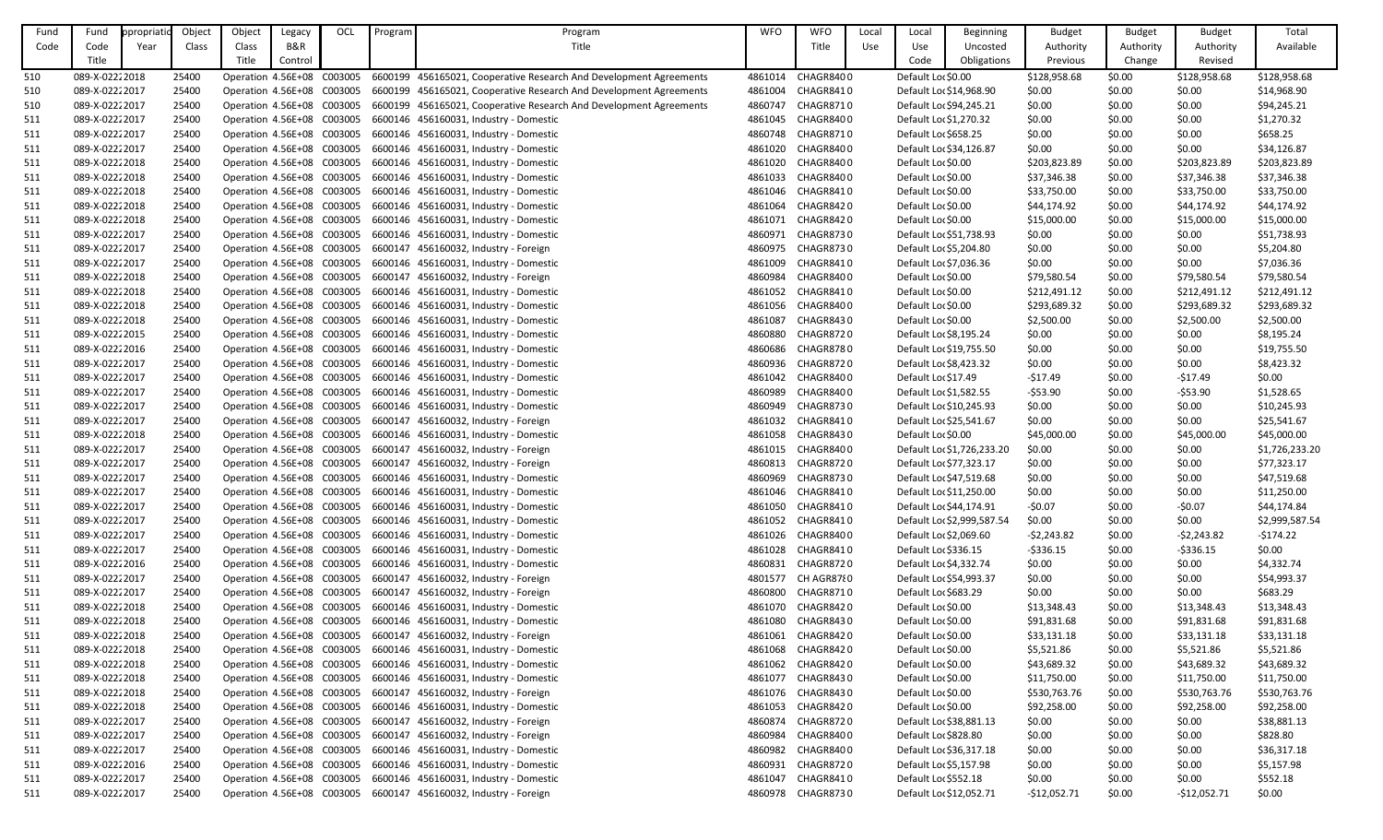| Title<br>B&R<br>Title<br>Code<br>Use<br>Code<br>Year<br>Class<br>Class<br>Uncosted<br>Authority<br>Authority<br>Authority<br>Available<br>Use<br>Title<br>Title<br>Revised<br>Control<br>Code<br>Obligations<br>Previous<br>Change<br>089-X-02222018<br>CHAGR8400<br>Default Lor \$0.00<br>\$0.00<br>510<br>25400<br>Operation 4.56E+08 C003005<br>6600199 456165021, Cooperative Research And Development Agreements<br>4861014<br>\$128,958.68<br>\$128,958.68<br>\$128,958.68<br>\$0.00<br>510<br>089-X-0222 2017<br>25400<br>Operation 4.56E+08 C003005 6600199 456165021, Cooperative Research And Development Agreements<br>4861004 CHAGR8410<br>Default Lor \$14,968.90<br>\$0.00<br>\$0.00<br>\$14,968.90<br>089-X-02222017<br>CHAGR8710<br>\$94,245.21<br>510<br>25400<br>Operation 4.56E+08 C003005<br>6600199 456165021, Cooperative Research And Development Agreements<br>4860747<br>Default Loc \$94,245.21<br>\$0.00<br>\$0.00<br>\$0.00<br>\$1,270.32<br>511<br>089-X-0222 2017<br>25400<br>Operation 4.56E+08 C003005<br>6600146 456160031, Industry - Domestic<br>4861045<br>CHAGR8400<br>Default Loc \$1,270.32<br>\$0.00<br>\$0.00<br>\$0.00<br>089-X-02222017<br>Operation 4.56E+08 C003005<br>6600146 456160031, Industry - Domestic<br>4860748 CHAGR8710<br>Default Lor \$658.25<br>\$0.00<br>\$658.25<br>511<br>25400<br>\$0.00<br>\$0.00<br>511<br>089-X-02222017<br>Operation 4.56E+08 C003005<br>6600146 456160031, Industry - Domestic<br>CHAGR8400<br>\$0.00<br>\$0.00<br>\$34,126.87<br>25400<br>4861020<br>Default Loc \$34,126.87<br>\$0.00<br>511<br>089-X-02222018<br>Operation 4.56E+08 C003005<br>6600146 456160031, Industry - Domestic<br>4861020<br>CHAGR8400<br>\$0.00<br>\$203,823.89<br>25400<br>Default Lor \$0.00<br>\$203,823.89<br>\$203,823.89<br>089-X-02222018<br>Operation 4.56E+08 C003005<br>4861033<br>CHAGR8400<br>Default Lor \$0.00<br>\$37,346.38<br>511<br>25400<br>6600146 456160031, Industry - Domestic<br>\$37,346.38<br>\$0.00<br>\$37,346.38<br>Operation 4.56E+08 C003005<br>CHAGR8410<br>\$33,750.00<br>\$0.00<br>\$33,750.00<br>511<br>089-X-0222 2018<br>25400<br>6600146 456160031, Industry - Domestic<br>4861046<br>Default Lor \$0.00<br>\$33,750.00<br>089-X-02222018<br>Operation 4.56E+08 C003005<br>6600146 456160031, Industry - Domestic<br>4861064<br>CHAGR8420<br>Default Lor \$0.00<br>\$44,174.92<br>\$44,174.92<br>511<br>25400<br>\$44,174.92<br>\$0.00<br>089-X-02222018<br>Operation 4.56E+08 C003005<br>6600146 456160031, Industry - Domestic<br>4861071<br>CHAGR8420<br>\$0.00<br>\$15,000.00<br>\$15,000.00<br>511<br>25400<br>Default Lor \$0.00<br>\$15,000.00<br>089-X-0222 2017<br>Operation 4.56E+08 C003005<br>6600146 456160031, Industry - Domestic<br>4860971<br>CHAGR8730<br>\$0.00<br>\$0.00<br>\$51,738.93<br>511<br>25400<br>Default Loc \$51,738.93<br>\$0.00<br>\$0.00<br>\$5,204.80<br>511<br>089-X-0222 2017<br>25400<br>Operation 4.56E+08 C003005<br>6600147 456160032, Industry - Foreign<br>4860975<br>CHAGR8730<br>Default Lor \$5,204.80<br>\$0.00<br>\$0.00<br>\$0.00<br>\$0.00<br>\$7,036.36<br>511<br>089-X-02222017<br>25400<br>Operation 4.56E+08 C003005<br>6600146 456160031, Industry - Domestic<br>4861009<br>CHAGR8410<br>Default Lor \$7,036.36<br>\$0.00<br>4860984<br>Default Lor \$0.00<br>\$79,580.54<br>511<br>089-X-02222018<br>25400<br>Operation 4.56E+08 C003005<br>6600147 456160032, Industry - Foreign<br>CHAGR8400<br>\$79,580.54<br>\$0.00<br>\$79,580.54<br>511<br>089-X-02222018<br>25400<br>Operation 4.56E+08 C003005<br>6600146 456160031, Industry - Domestic<br>4861052<br>CHAGR8410<br>Default Lor \$0.00<br>\$212,491.12<br>\$0.00<br>\$212,491.12<br>\$212,491.12<br>Default Lor \$0.00<br>089-X-02222018<br>25400<br>Operation 4.56E+08 C003005<br>6600146 456160031, Industry - Domestic<br>4861056 CHAGR8400<br>\$293,689.32<br>\$0.00<br>\$293,689.32<br>\$293,689.32<br>511<br>\$2,500.00<br>511<br>089-X-02222018<br>25400<br>Operation 4.56E+08 C003005<br>6600146 456160031, Industry - Domestic<br>4861087<br>CHAGR8430<br>Default Lor \$0.00<br>\$2,500.00<br>\$0.00<br>\$2,500.00<br>4860880<br>\$0.00<br>\$8,195.24<br>511<br>089-X-0222 2015<br>25400<br>Operation 4.56E+08 C003005<br>6600146 456160031, Industry - Domestic<br>CHAGR8720<br>Default Lor \$8,195.24<br>\$0.00<br>\$0.00<br>511<br>089-X-02222016<br>25400<br>Operation 4.56E+08 C003005<br>6600146 456160031, Industry - Domestic<br>4860686<br>CHAGR8780<br>Default Loc \$19,755.50<br>\$0.00<br>\$0.00<br>\$0.00<br>\$19,755.50<br>511<br>089-X-0222 2017<br>25400<br>Operation 4.56E+08 C003005<br>6600146 456160031, Industry - Domestic<br>4860936<br>CHAGR8720<br>Default Loc \$8,423.32<br>\$0.00<br>\$0.00<br>\$0.00<br>\$8,423.32<br>089-X-02222017<br>Operation 4.56E+08 C003005<br>6600146 456160031, Industry - Domestic<br>4861042<br>CHAGR8400<br>\$0.00<br>511<br>25400<br>Default Lor \$17.49<br>$-517.49$<br>\$0.00<br>$-517.49$<br>\$1,528.65<br>511<br>089-X-0222 2017<br>25400<br>Operation 4.56E+08 C003005<br>6600146 456160031, Industry - Domestic<br>4860989<br>CHAGR8400<br>Default Loc \$1,582.55<br>$-553.90$<br>\$0.00<br>$-553.90$<br>089-X-02222017<br>Operation 4.56E+08 C003005<br>4860949<br>\$0.00<br>\$0.00<br>511<br>25400<br>6600146 456160031, Industry - Domestic<br>CHAGR8730<br>Default Lor \$10,245.93<br>\$0.00<br>\$10,245.93<br>511<br>089-X-0222 2017<br>Operation 4.56E+08 C003005<br>6600147 456160032, Industry - Foreign<br>CHAGR8410<br>\$0.00<br>\$25,541.67<br>25400<br>4861032<br>Default Loc \$25,541.67<br>\$0.00<br>\$0.00<br>Operation 4.56E+08 C003005<br>4861058<br>CHAGR8430<br>\$0.00<br>\$45,000.00<br>\$45,000.00<br>511<br>089-X-02222018<br>25400<br>6600146 456160031, Industry - Domestic<br>Default Lor \$0.00<br>\$45,000.00<br>089-X-02222017<br>Operation 4.56E+08 C003005<br>6600147 456160032, Industry - Foreign<br>4861015<br>CHAGR8400<br>\$1,726,233.20<br>511<br>25400<br>Default Loc \$1,726,233.20<br>\$0.00<br>\$0.00<br>\$0.00<br>Operation 4.56E+08 C003005<br>4860813<br>CHAGR8720<br>Default Lo: \$77,323.17<br>\$0.00<br>\$0.00<br>\$0.00<br>\$77,323.17<br>511<br>089-X-0222 2017<br>25400<br>6600147 456160032, Industry - Foreign<br>089-X-02222017<br>4860969 CHAGR8730<br>Default Lo: \$47,519.68<br>\$0.00<br>\$47,519.68<br>511<br>25400<br>Operation 4.56E+08 C003005 6600146 456160031, Industry - Domestic<br>\$0.00<br>\$0.00<br>089-X-02222017<br>4861046 CHAGR8410<br>\$0.00<br>\$11,250.00<br>511<br>25400<br>Operation 4.56E+08 C003005<br>6600146 456160031, Industry - Domestic<br>Default Lor \$11,250.00<br>\$0.00<br>\$0.00<br>Operation 4.56E+08 C003005<br>6600146 456160031, Industry - Domestic<br>Default Lor \$44,174.91<br>\$44,174.84<br>089-X-0222 2017<br>25400<br>4861050<br>CHAGR8410<br>$-50.07$<br>\$0.00<br>$-50.07$<br>511<br>089-X-02222017<br>\$2,999,587.54<br>Operation 4.56E+08 C003005<br>6600146 456160031, Industry - Domestic<br>4861052<br>CHAGR8410<br>Default Lor \$2,999,587.54<br>\$0.00<br>511<br>25400<br>\$0.00<br>\$0.00<br>089-X-0222 2017<br>Operation 4.56E+08 C003005<br>6600146 456160031, Industry - Domestic<br>4861026<br>CHAGR8400<br>Default Lor \$2,069.60<br>$-52,243.82$<br>\$0.00<br>$-52,243.82$<br>-\$174.22<br>511<br>25400<br>6600146 456160031, Industry - Domestic<br>Default Lor \$336.15<br>\$0.00<br>089-X-0222 2017<br>Operation 4.56E+08 C003005<br>4861028<br>CHAGR8410<br>$-5336.15$<br>$-5336.15$<br>511<br>25400<br>\$0.00<br>089-X-02222016<br>Operation 4.56E+08 C003005<br>6600146 456160031, Industry - Domestic<br>4860831<br>CHAGR8720<br>Default Loc \$4,332.74<br>\$0.00<br>\$0.00<br>\$0.00<br>\$4,332.74<br>511<br>25400<br>089-X-0222 2017<br>25400<br>Operation 4.56E+08 C003005<br>6600147 456160032, Industry - Foreign<br>4801577<br>CH AGR87{0<br>Default Loc \$54,993.37<br>\$0.00<br>\$0.00<br>\$54,993.37<br>511<br>\$0.00<br>\$683.29<br>511<br>089-X-0222 2017<br>Operation 4.56E+08 C003005<br>6600147 456160032, Industry - Foreign<br>4860800<br>CHAGR8710<br>Default Lor \$683.29<br>\$0.00<br>\$0.00<br>\$0.00<br>25400<br>\$13,348.43<br>089-X-02222018<br>Operation 4.56E+08 C003005<br>6600146 456160031, Industry - Domestic<br>4861070<br>CHAGR8420<br>Default Lor \$0.00<br>\$13,348.43<br>\$0.00<br>511<br>25400<br>\$13,348.43<br>Default Lor \$0.00<br>089-X-02222018<br>25400<br>Operation 4.56E+08 C003005<br>6600146 456160031, Industry - Domestic<br>4861080<br>CHAGR8430<br>\$91,831.68<br>\$91,831.68<br>\$91,831.68<br>511<br>\$0.00<br>089-X-02222018<br>25400<br>Operation 4.56E+08 C003005<br>6600147 456160032, Industry - Foreign<br>4861061<br>CHAGR8420<br>Default Lor \$0.00<br>\$33,131.18<br>\$0.00<br>\$33,131.18<br>\$33,131.18<br>511<br>089-X-02222018<br>Operation 4.56E+08 C003005 6600146 456160031, Industry - Domestic<br>4861068 CHAGR8420<br>Default Lor \$0.00<br>\$5,521.86<br>\$5,521.86<br>\$5,521.86<br>511<br>25400<br>\$0.00<br>511<br>089-X-02222018<br>Operation 4.56E+08 C003005 6600146 456160031, Industry - Domestic<br>4861062 CHAGR8420<br>Default Lor \$0.00<br>\$43,689.32<br>\$0.00<br>\$43,689.32<br>\$43,689.32<br>25400<br>089-X-0222 2018<br>Operation 4.56E+08 C003005 6600146 456160031, Industry - Domestic<br>4861077 CHAGR8430<br>Default Lor \$0.00<br>\$11,750.00<br>\$11,750.00<br>\$11,750.00<br>511<br>25400<br>\$0.00<br>089-X-0222 2018<br>4861076 CHAGR8430<br>Default Lor \$0.00<br>511<br>25400<br>Operation 4.56E+08 C003005<br>6600147 456160032, Industry - Foreign<br>\$530,763.76<br>\$530,763.76<br>\$530,763.76<br>\$0.00<br>511<br>089-X-02222018<br>25400<br>Operation 4.56E+08 C003005<br>6600146 456160031, Industry - Domestic<br>4861053<br>CHAGR8420<br>Default Lor \$0.00<br>\$92,258.00<br>\$0.00<br>\$92,258.00<br>\$92,258.00<br>4860874<br>089-X-02222017<br>Operation 4.56E+08 C003005<br>6600147 456160032, Industry - Foreign<br>CHAGR8720<br>\$0.00<br>\$38,881.13<br>511<br>25400<br>Default Loc \$38,881.13<br>\$0.00<br>\$0.00<br>089-X-0222 2017<br>Operation 4.56E+08 C003005 6600147 456160032, Industry - Foreign<br>4860984<br>CHAGR8400<br>\$828.80<br>511<br>Default Lor \$828.80<br>\$0.00<br>\$0.00<br>\$0.00<br>25400<br>089-X-02222017<br>Operation 4.56E+08 C003005 6600146 456160031, Industry - Domestic<br>4860982 CHAGR8400<br>\$36,317.18<br>511<br>25400<br>Default Lor \$36,317.18<br>\$0.00<br>\$0.00<br>\$0.00<br>089-X-0222 2016<br>Operation 4.56E+08 C003005<br>6600146 456160031, Industry - Domestic<br>4860931<br>CHAGR8720<br>\$0.00<br>\$5,157.98<br>511<br>25400<br>Default Loc \$5,157.98<br>\$0.00<br>\$0.00<br>Operation 4.56E+08 C003005<br>6600146 456160031, Industry - Domestic<br>CHAGR8410<br>\$0.00<br>\$552.18<br>089-X-0222 2017<br>25400<br>4861047<br>Default Lor \$552.18<br>\$0.00<br>\$0.00<br>511<br>089-X-02222017<br>Operation 4.56E+08 C003005 6600147 456160032, Industry - Foreign<br>4860978 CHAGR8730<br>\$0.00<br>25400<br>Default Lor \$12,052.71<br>$-$12,052.71$<br>\$0.00<br>-\$12,052.71<br>511 | Fund | Fund | ppropriatic | Object | Object | Legacy | OCL | Program | Program | <b>WFO</b> | <b>WFO</b> | Local | Local | <b>Beginning</b> | <b>Budget</b> | <b>Budget</b> | <b>Budget</b> | Total |
|----------------------------------------------------------------------------------------------------------------------------------------------------------------------------------------------------------------------------------------------------------------------------------------------------------------------------------------------------------------------------------------------------------------------------------------------------------------------------------------------------------------------------------------------------------------------------------------------------------------------------------------------------------------------------------------------------------------------------------------------------------------------------------------------------------------------------------------------------------------------------------------------------------------------------------------------------------------------------------------------------------------------------------------------------------------------------------------------------------------------------------------------------------------------------------------------------------------------------------------------------------------------------------------------------------------------------------------------------------------------------------------------------------------------------------------------------------------------------------------------------------------------------------------------------------------------------------------------------------------------------------------------------------------------------------------------------------------------------------------------------------------------------------------------------------------------------------------------------------------------------------------------------------------------------------------------------------------------------------------------------------------------------------------------------------------------------------------------------------------------------------------------------------------------------------------------------------------------------------------------------------------------------------------------------------------------------------------------------------------------------------------------------------------------------------------------------------------------------------------------------------------------------------------------------------------------------------------------------------------------------------------------------------------------------------------------------------------------------------------------------------------------------------------------------------------------------------------------------------------------------------------------------------------------------------------------------------------------------------------------------------------------------------------------------------------------------------------------------------------------------------------------------------------------------------------------------------------------------------------------------------------------------------------------------------------------------------------------------------------------------------------------------------------------------------------------------------------------------------------------------------------------------------------------------------------------------------------------------------------------------------------------------------------------------------------------------------------------------------------------------------------------------------------------------------------------------------------------------------------------------------------------------------------------------------------------------------------------------------------------------------------------------------------------------------------------------------------------------------------------------------------------------------------------------------------------------------------------------------------------------------------------------------------------------------------------------------------------------------------------------------------------------------------------------------------------------------------------------------------------------------------------------------------------------------------------------------------------------------------------------------------------------------------------------------------------------------------------------------------------------------------------------------------------------------------------------------------------------------------------------------------------------------------------------------------------------------------------------------------------------------------------------------------------------------------------------------------------------------------------------------------------------------------------------------------------------------------------------------------------------------------------------------------------------------------------------------------------------------------------------------------------------------------------------------------------------------------------------------------------------------------------------------------------------------------------------------------------------------------------------------------------------------------------------------------------------------------------------------------------------------------------------------------------------------------------------------------------------------------------------------------------------------------------------------------------------------------------------------------------------------------------------------------------------------------------------------------------------------------------------------------------------------------------------------------------------------------------------------------------------------------------------------------------------------------------------------------------------------------------------------------------------------------------------------------------------------------------------------------------------------------------------------------------------------------------------------------------------------------------------------------------------------------------------------------------------------------------------------------------------------------------------------------------------------------------------------------------------------------------------------------------------------------------------------------------------------------------------------------------------------------------------------------------------------------------------------------------------------------------------------------------------------------------------------------------------------------------------------------------------------------------------------------------------------------------------------------------------------------------------------------------------------------------------------------------------------------------------------------------------------------------------------------------------------------------------------------------------------------------------------------------------------------------------------------------------------------------------------------------------------------------------------------------------------------------------------------------------------------------------------------------------------------------------------------------------------------------------------------------------------------------------------------------------------------------------------------------------------------------------------------------------------------------------------------------------------------------------------------------------------------------------------------------------------------------------------------------------------------------------------------------------------------------------------------------------------------------------------------------------------------------------------------------------------------------------------------------------------------------------------------------------------------------------------------------------------------------------------------------------------------------------------------------------------------------------------------------------------------------------------------------------------------------------------------------------------------------------------------------------------------------------------------------------------------------------------------------------------------------------------------------------------------------------------------------------------------------------------------------------------------------------------------------------------------------------------------------------------------------------------------------------------------------------------------------------------------------------------------------------------------------------------------------------------------------------------------------------------------------------------------------------------------------------------------------------------------------------------------------------------------------------------------------------------------------------------------------------------------------------------------------------------------------------------------------------------------------------------------------------------------------------------------------------------------------------------------------------------------------------------------------------------------------------------------------------------------------------------------------------------------------------------------------------------------------------------------------------------------------------------------------------------------------------------------------------------------------------------------------------------------------------------------------------------------------------------------------------------------------------------------------------------------------------------------------------------------------------------------------------------------------------------------------------------------------------------------------------------------------------------------------------------------------------------------------------------------------------------------------------------------------------------------------------------------------------------------------------------|------|------|-------------|--------|--------|--------|-----|---------|---------|------------|------------|-------|-------|------------------|---------------|---------------|---------------|-------|
|                                                                                                                                                                                                                                                                                                                                                                                                                                                                                                                                                                                                                                                                                                                                                                                                                                                                                                                                                                                                                                                                                                                                                                                                                                                                                                                                                                                                                                                                                                                                                                                                                                                                                                                                                                                                                                                                                                                                                                                                                                                                                                                                                                                                                                                                                                                                                                                                                                                                                                                                                                                                                                                                                                                                                                                                                                                                                                                                                                                                                                                                                                                                                                                                                                                                                                                                                                                                                                                                                                                                                                                                                                                                                                                                                                                                                                                                                                                                                                                                                                                                                                                                                                                                                                                                                                                                                                                                                                                                                                                                                                                                                                                                                                                                                                                                                                                                                                                                                                                                                                                                                                                                                                                                                                                                                                                                                                                                                                                                                                                                                                                                                                                                                                                                                                                                                                                                                                                                                                                                                                                                                                                                                                                                                                                                                                                                                                                                                                                                                                                                                                                                                                                                                                                                                                                                                                                                                                                                                                                                                                                                                                                                                                                                                                                                                                                                                                                                                                                                                                                                                                                                                                                                                                                                                                                                                                                                                                                                                                                                                                                                                                                                                                                                                                                                                                                                                                                                                                                                                                                                                                                                                                                                                                                                                                                                                                                                                                                                                                                                                                                                                                                                                                                                                                                                                                                                                                                                                                                                                                                                                                                                                                                                                                                                                                                                                                                                                                                                                                                                                                                                                                                                                                                                                                                                                                                                                                                                                                                                                                                                                                                                                                                                                                                                                                                                                                                                                                                                                                                                                                                                                                          |      |      |             |        |        |        |     |         |         |            |            |       |       |                  |               |               |               |       |
|                                                                                                                                                                                                                                                                                                                                                                                                                                                                                                                                                                                                                                                                                                                                                                                                                                                                                                                                                                                                                                                                                                                                                                                                                                                                                                                                                                                                                                                                                                                                                                                                                                                                                                                                                                                                                                                                                                                                                                                                                                                                                                                                                                                                                                                                                                                                                                                                                                                                                                                                                                                                                                                                                                                                                                                                                                                                                                                                                                                                                                                                                                                                                                                                                                                                                                                                                                                                                                                                                                                                                                                                                                                                                                                                                                                                                                                                                                                                                                                                                                                                                                                                                                                                                                                                                                                                                                                                                                                                                                                                                                                                                                                                                                                                                                                                                                                                                                                                                                                                                                                                                                                                                                                                                                                                                                                                                                                                                                                                                                                                                                                                                                                                                                                                                                                                                                                                                                                                                                                                                                                                                                                                                                                                                                                                                                                                                                                                                                                                                                                                                                                                                                                                                                                                                                                                                                                                                                                                                                                                                                                                                                                                                                                                                                                                                                                                                                                                                                                                                                                                                                                                                                                                                                                                                                                                                                                                                                                                                                                                                                                                                                                                                                                                                                                                                                                                                                                                                                                                                                                                                                                                                                                                                                                                                                                                                                                                                                                                                                                                                                                                                                                                                                                                                                                                                                                                                                                                                                                                                                                                                                                                                                                                                                                                                                                                                                                                                                                                                                                                                                                                                                                                                                                                                                                                                                                                                                                                                                                                                                                                                                                                                                                                                                                                                                                                                                                                                                                                                                                                                                                                                                          |      |      |             |        |        |        |     |         |         |            |            |       |       |                  |               |               |               |       |
|                                                                                                                                                                                                                                                                                                                                                                                                                                                                                                                                                                                                                                                                                                                                                                                                                                                                                                                                                                                                                                                                                                                                                                                                                                                                                                                                                                                                                                                                                                                                                                                                                                                                                                                                                                                                                                                                                                                                                                                                                                                                                                                                                                                                                                                                                                                                                                                                                                                                                                                                                                                                                                                                                                                                                                                                                                                                                                                                                                                                                                                                                                                                                                                                                                                                                                                                                                                                                                                                                                                                                                                                                                                                                                                                                                                                                                                                                                                                                                                                                                                                                                                                                                                                                                                                                                                                                                                                                                                                                                                                                                                                                                                                                                                                                                                                                                                                                                                                                                                                                                                                                                                                                                                                                                                                                                                                                                                                                                                                                                                                                                                                                                                                                                                                                                                                                                                                                                                                                                                                                                                                                                                                                                                                                                                                                                                                                                                                                                                                                                                                                                                                                                                                                                                                                                                                                                                                                                                                                                                                                                                                                                                                                                                                                                                                                                                                                                                                                                                                                                                                                                                                                                                                                                                                                                                                                                                                                                                                                                                                                                                                                                                                                                                                                                                                                                                                                                                                                                                                                                                                                                                                                                                                                                                                                                                                                                                                                                                                                                                                                                                                                                                                                                                                                                                                                                                                                                                                                                                                                                                                                                                                                                                                                                                                                                                                                                                                                                                                                                                                                                                                                                                                                                                                                                                                                                                                                                                                                                                                                                                                                                                                                                                                                                                                                                                                                                                                                                                                                                                                                                                                                                          |      |      |             |        |        |        |     |         |         |            |            |       |       |                  |               |               |               |       |
|                                                                                                                                                                                                                                                                                                                                                                                                                                                                                                                                                                                                                                                                                                                                                                                                                                                                                                                                                                                                                                                                                                                                                                                                                                                                                                                                                                                                                                                                                                                                                                                                                                                                                                                                                                                                                                                                                                                                                                                                                                                                                                                                                                                                                                                                                                                                                                                                                                                                                                                                                                                                                                                                                                                                                                                                                                                                                                                                                                                                                                                                                                                                                                                                                                                                                                                                                                                                                                                                                                                                                                                                                                                                                                                                                                                                                                                                                                                                                                                                                                                                                                                                                                                                                                                                                                                                                                                                                                                                                                                                                                                                                                                                                                                                                                                                                                                                                                                                                                                                                                                                                                                                                                                                                                                                                                                                                                                                                                                                                                                                                                                                                                                                                                                                                                                                                                                                                                                                                                                                                                                                                                                                                                                                                                                                                                                                                                                                                                                                                                                                                                                                                                                                                                                                                                                                                                                                                                                                                                                                                                                                                                                                                                                                                                                                                                                                                                                                                                                                                                                                                                                                                                                                                                                                                                                                                                                                                                                                                                                                                                                                                                                                                                                                                                                                                                                                                                                                                                                                                                                                                                                                                                                                                                                                                                                                                                                                                                                                                                                                                                                                                                                                                                                                                                                                                                                                                                                                                                                                                                                                                                                                                                                                                                                                                                                                                                                                                                                                                                                                                                                                                                                                                                                                                                                                                                                                                                                                                                                                                                                                                                                                                                                                                                                                                                                                                                                                                                                                                                                                                                                                                                          |      |      |             |        |        |        |     |         |         |            |            |       |       |                  |               |               |               |       |
|                                                                                                                                                                                                                                                                                                                                                                                                                                                                                                                                                                                                                                                                                                                                                                                                                                                                                                                                                                                                                                                                                                                                                                                                                                                                                                                                                                                                                                                                                                                                                                                                                                                                                                                                                                                                                                                                                                                                                                                                                                                                                                                                                                                                                                                                                                                                                                                                                                                                                                                                                                                                                                                                                                                                                                                                                                                                                                                                                                                                                                                                                                                                                                                                                                                                                                                                                                                                                                                                                                                                                                                                                                                                                                                                                                                                                                                                                                                                                                                                                                                                                                                                                                                                                                                                                                                                                                                                                                                                                                                                                                                                                                                                                                                                                                                                                                                                                                                                                                                                                                                                                                                                                                                                                                                                                                                                                                                                                                                                                                                                                                                                                                                                                                                                                                                                                                                                                                                                                                                                                                                                                                                                                                                                                                                                                                                                                                                                                                                                                                                                                                                                                                                                                                                                                                                                                                                                                                                                                                                                                                                                                                                                                                                                                                                                                                                                                                                                                                                                                                                                                                                                                                                                                                                                                                                                                                                                                                                                                                                                                                                                                                                                                                                                                                                                                                                                                                                                                                                                                                                                                                                                                                                                                                                                                                                                                                                                                                                                                                                                                                                                                                                                                                                                                                                                                                                                                                                                                                                                                                                                                                                                                                                                                                                                                                                                                                                                                                                                                                                                                                                                                                                                                                                                                                                                                                                                                                                                                                                                                                                                                                                                                                                                                                                                                                                                                                                                                                                                                                                                                                                                                                          |      |      |             |        |        |        |     |         |         |            |            |       |       |                  |               |               |               |       |
|                                                                                                                                                                                                                                                                                                                                                                                                                                                                                                                                                                                                                                                                                                                                                                                                                                                                                                                                                                                                                                                                                                                                                                                                                                                                                                                                                                                                                                                                                                                                                                                                                                                                                                                                                                                                                                                                                                                                                                                                                                                                                                                                                                                                                                                                                                                                                                                                                                                                                                                                                                                                                                                                                                                                                                                                                                                                                                                                                                                                                                                                                                                                                                                                                                                                                                                                                                                                                                                                                                                                                                                                                                                                                                                                                                                                                                                                                                                                                                                                                                                                                                                                                                                                                                                                                                                                                                                                                                                                                                                                                                                                                                                                                                                                                                                                                                                                                                                                                                                                                                                                                                                                                                                                                                                                                                                                                                                                                                                                                                                                                                                                                                                                                                                                                                                                                                                                                                                                                                                                                                                                                                                                                                                                                                                                                                                                                                                                                                                                                                                                                                                                                                                                                                                                                                                                                                                                                                                                                                                                                                                                                                                                                                                                                                                                                                                                                                                                                                                                                                                                                                                                                                                                                                                                                                                                                                                                                                                                                                                                                                                                                                                                                                                                                                                                                                                                                                                                                                                                                                                                                                                                                                                                                                                                                                                                                                                                                                                                                                                                                                                                                                                                                                                                                                                                                                                                                                                                                                                                                                                                                                                                                                                                                                                                                                                                                                                                                                                                                                                                                                                                                                                                                                                                                                                                                                                                                                                                                                                                                                                                                                                                                                                                                                                                                                                                                                                                                                                                                                                                                                                                                                          |      |      |             |        |        |        |     |         |         |            |            |       |       |                  |               |               |               |       |
|                                                                                                                                                                                                                                                                                                                                                                                                                                                                                                                                                                                                                                                                                                                                                                                                                                                                                                                                                                                                                                                                                                                                                                                                                                                                                                                                                                                                                                                                                                                                                                                                                                                                                                                                                                                                                                                                                                                                                                                                                                                                                                                                                                                                                                                                                                                                                                                                                                                                                                                                                                                                                                                                                                                                                                                                                                                                                                                                                                                                                                                                                                                                                                                                                                                                                                                                                                                                                                                                                                                                                                                                                                                                                                                                                                                                                                                                                                                                                                                                                                                                                                                                                                                                                                                                                                                                                                                                                                                                                                                                                                                                                                                                                                                                                                                                                                                                                                                                                                                                                                                                                                                                                                                                                                                                                                                                                                                                                                                                                                                                                                                                                                                                                                                                                                                                                                                                                                                                                                                                                                                                                                                                                                                                                                                                                                                                                                                                                                                                                                                                                                                                                                                                                                                                                                                                                                                                                                                                                                                                                                                                                                                                                                                                                                                                                                                                                                                                                                                                                                                                                                                                                                                                                                                                                                                                                                                                                                                                                                                                                                                                                                                                                                                                                                                                                                                                                                                                                                                                                                                                                                                                                                                                                                                                                                                                                                                                                                                                                                                                                                                                                                                                                                                                                                                                                                                                                                                                                                                                                                                                                                                                                                                                                                                                                                                                                                                                                                                                                                                                                                                                                                                                                                                                                                                                                                                                                                                                                                                                                                                                                                                                                                                                                                                                                                                                                                                                                                                                                                                                                                                                                                          |      |      |             |        |        |        |     |         |         |            |            |       |       |                  |               |               |               |       |
|                                                                                                                                                                                                                                                                                                                                                                                                                                                                                                                                                                                                                                                                                                                                                                                                                                                                                                                                                                                                                                                                                                                                                                                                                                                                                                                                                                                                                                                                                                                                                                                                                                                                                                                                                                                                                                                                                                                                                                                                                                                                                                                                                                                                                                                                                                                                                                                                                                                                                                                                                                                                                                                                                                                                                                                                                                                                                                                                                                                                                                                                                                                                                                                                                                                                                                                                                                                                                                                                                                                                                                                                                                                                                                                                                                                                                                                                                                                                                                                                                                                                                                                                                                                                                                                                                                                                                                                                                                                                                                                                                                                                                                                                                                                                                                                                                                                                                                                                                                                                                                                                                                                                                                                                                                                                                                                                                                                                                                                                                                                                                                                                                                                                                                                                                                                                                                                                                                                                                                                                                                                                                                                                                                                                                                                                                                                                                                                                                                                                                                                                                                                                                                                                                                                                                                                                                                                                                                                                                                                                                                                                                                                                                                                                                                                                                                                                                                                                                                                                                                                                                                                                                                                                                                                                                                                                                                                                                                                                                                                                                                                                                                                                                                                                                                                                                                                                                                                                                                                                                                                                                                                                                                                                                                                                                                                                                                                                                                                                                                                                                                                                                                                                                                                                                                                                                                                                                                                                                                                                                                                                                                                                                                                                                                                                                                                                                                                                                                                                                                                                                                                                                                                                                                                                                                                                                                                                                                                                                                                                                                                                                                                                                                                                                                                                                                                                                                                                                                                                                                                                                                                                                                          |      |      |             |        |        |        |     |         |         |            |            |       |       |                  |               |               |               |       |
|                                                                                                                                                                                                                                                                                                                                                                                                                                                                                                                                                                                                                                                                                                                                                                                                                                                                                                                                                                                                                                                                                                                                                                                                                                                                                                                                                                                                                                                                                                                                                                                                                                                                                                                                                                                                                                                                                                                                                                                                                                                                                                                                                                                                                                                                                                                                                                                                                                                                                                                                                                                                                                                                                                                                                                                                                                                                                                                                                                                                                                                                                                                                                                                                                                                                                                                                                                                                                                                                                                                                                                                                                                                                                                                                                                                                                                                                                                                                                                                                                                                                                                                                                                                                                                                                                                                                                                                                                                                                                                                                                                                                                                                                                                                                                                                                                                                                                                                                                                                                                                                                                                                                                                                                                                                                                                                                                                                                                                                                                                                                                                                                                                                                                                                                                                                                                                                                                                                                                                                                                                                                                                                                                                                                                                                                                                                                                                                                                                                                                                                                                                                                                                                                                                                                                                                                                                                                                                                                                                                                                                                                                                                                                                                                                                                                                                                                                                                                                                                                                                                                                                                                                                                                                                                                                                                                                                                                                                                                                                                                                                                                                                                                                                                                                                                                                                                                                                                                                                                                                                                                                                                                                                                                                                                                                                                                                                                                                                                                                                                                                                                                                                                                                                                                                                                                                                                                                                                                                                                                                                                                                                                                                                                                                                                                                                                                                                                                                                                                                                                                                                                                                                                                                                                                                                                                                                                                                                                                                                                                                                                                                                                                                                                                                                                                                                                                                                                                                                                                                                                                                                                                                                          |      |      |             |        |        |        |     |         |         |            |            |       |       |                  |               |               |               |       |
|                                                                                                                                                                                                                                                                                                                                                                                                                                                                                                                                                                                                                                                                                                                                                                                                                                                                                                                                                                                                                                                                                                                                                                                                                                                                                                                                                                                                                                                                                                                                                                                                                                                                                                                                                                                                                                                                                                                                                                                                                                                                                                                                                                                                                                                                                                                                                                                                                                                                                                                                                                                                                                                                                                                                                                                                                                                                                                                                                                                                                                                                                                                                                                                                                                                                                                                                                                                                                                                                                                                                                                                                                                                                                                                                                                                                                                                                                                                                                                                                                                                                                                                                                                                                                                                                                                                                                                                                                                                                                                                                                                                                                                                                                                                                                                                                                                                                                                                                                                                                                                                                                                                                                                                                                                                                                                                                                                                                                                                                                                                                                                                                                                                                                                                                                                                                                                                                                                                                                                                                                                                                                                                                                                                                                                                                                                                                                                                                                                                                                                                                                                                                                                                                                                                                                                                                                                                                                                                                                                                                                                                                                                                                                                                                                                                                                                                                                                                                                                                                                                                                                                                                                                                                                                                                                                                                                                                                                                                                                                                                                                                                                                                                                                                                                                                                                                                                                                                                                                                                                                                                                                                                                                                                                                                                                                                                                                                                                                                                                                                                                                                                                                                                                                                                                                                                                                                                                                                                                                                                                                                                                                                                                                                                                                                                                                                                                                                                                                                                                                                                                                                                                                                                                                                                                                                                                                                                                                                                                                                                                                                                                                                                                                                                                                                                                                                                                                                                                                                                                                                                                                                                                                          |      |      |             |        |        |        |     |         |         |            |            |       |       |                  |               |               |               |       |
|                                                                                                                                                                                                                                                                                                                                                                                                                                                                                                                                                                                                                                                                                                                                                                                                                                                                                                                                                                                                                                                                                                                                                                                                                                                                                                                                                                                                                                                                                                                                                                                                                                                                                                                                                                                                                                                                                                                                                                                                                                                                                                                                                                                                                                                                                                                                                                                                                                                                                                                                                                                                                                                                                                                                                                                                                                                                                                                                                                                                                                                                                                                                                                                                                                                                                                                                                                                                                                                                                                                                                                                                                                                                                                                                                                                                                                                                                                                                                                                                                                                                                                                                                                                                                                                                                                                                                                                                                                                                                                                                                                                                                                                                                                                                                                                                                                                                                                                                                                                                                                                                                                                                                                                                                                                                                                                                                                                                                                                                                                                                                                                                                                                                                                                                                                                                                                                                                                                                                                                                                                                                                                                                                                                                                                                                                                                                                                                                                                                                                                                                                                                                                                                                                                                                                                                                                                                                                                                                                                                                                                                                                                                                                                                                                                                                                                                                                                                                                                                                                                                                                                                                                                                                                                                                                                                                                                                                                                                                                                                                                                                                                                                                                                                                                                                                                                                                                                                                                                                                                                                                                                                                                                                                                                                                                                                                                                                                                                                                                                                                                                                                                                                                                                                                                                                                                                                                                                                                                                                                                                                                                                                                                                                                                                                                                                                                                                                                                                                                                                                                                                                                                                                                                                                                                                                                                                                                                                                                                                                                                                                                                                                                                                                                                                                                                                                                                                                                                                                                                                                                                                                                                                          |      |      |             |        |        |        |     |         |         |            |            |       |       |                  |               |               |               |       |
|                                                                                                                                                                                                                                                                                                                                                                                                                                                                                                                                                                                                                                                                                                                                                                                                                                                                                                                                                                                                                                                                                                                                                                                                                                                                                                                                                                                                                                                                                                                                                                                                                                                                                                                                                                                                                                                                                                                                                                                                                                                                                                                                                                                                                                                                                                                                                                                                                                                                                                                                                                                                                                                                                                                                                                                                                                                                                                                                                                                                                                                                                                                                                                                                                                                                                                                                                                                                                                                                                                                                                                                                                                                                                                                                                                                                                                                                                                                                                                                                                                                                                                                                                                                                                                                                                                                                                                                                                                                                                                                                                                                                                                                                                                                                                                                                                                                                                                                                                                                                                                                                                                                                                                                                                                                                                                                                                                                                                                                                                                                                                                                                                                                                                                                                                                                                                                                                                                                                                                                                                                                                                                                                                                                                                                                                                                                                                                                                                                                                                                                                                                                                                                                                                                                                                                                                                                                                                                                                                                                                                                                                                                                                                                                                                                                                                                                                                                                                                                                                                                                                                                                                                                                                                                                                                                                                                                                                                                                                                                                                                                                                                                                                                                                                                                                                                                                                                                                                                                                                                                                                                                                                                                                                                                                                                                                                                                                                                                                                                                                                                                                                                                                                                                                                                                                                                                                                                                                                                                                                                                                                                                                                                                                                                                                                                                                                                                                                                                                                                                                                                                                                                                                                                                                                                                                                                                                                                                                                                                                                                                                                                                                                                                                                                                                                                                                                                                                                                                                                                                                                                                                                                                          |      |      |             |        |        |        |     |         |         |            |            |       |       |                  |               |               |               |       |
|                                                                                                                                                                                                                                                                                                                                                                                                                                                                                                                                                                                                                                                                                                                                                                                                                                                                                                                                                                                                                                                                                                                                                                                                                                                                                                                                                                                                                                                                                                                                                                                                                                                                                                                                                                                                                                                                                                                                                                                                                                                                                                                                                                                                                                                                                                                                                                                                                                                                                                                                                                                                                                                                                                                                                                                                                                                                                                                                                                                                                                                                                                                                                                                                                                                                                                                                                                                                                                                                                                                                                                                                                                                                                                                                                                                                                                                                                                                                                                                                                                                                                                                                                                                                                                                                                                                                                                                                                                                                                                                                                                                                                                                                                                                                                                                                                                                                                                                                                                                                                                                                                                                                                                                                                                                                                                                                                                                                                                                                                                                                                                                                                                                                                                                                                                                                                                                                                                                                                                                                                                                                                                                                                                                                                                                                                                                                                                                                                                                                                                                                                                                                                                                                                                                                                                                                                                                                                                                                                                                                                                                                                                                                                                                                                                                                                                                                                                                                                                                                                                                                                                                                                                                                                                                                                                                                                                                                                                                                                                                                                                                                                                                                                                                                                                                                                                                                                                                                                                                                                                                                                                                                                                                                                                                                                                                                                                                                                                                                                                                                                                                                                                                                                                                                                                                                                                                                                                                                                                                                                                                                                                                                                                                                                                                                                                                                                                                                                                                                                                                                                                                                                                                                                                                                                                                                                                                                                                                                                                                                                                                                                                                                                                                                                                                                                                                                                                                                                                                                                                                                                                                                                                          |      |      |             |        |        |        |     |         |         |            |            |       |       |                  |               |               |               |       |
|                                                                                                                                                                                                                                                                                                                                                                                                                                                                                                                                                                                                                                                                                                                                                                                                                                                                                                                                                                                                                                                                                                                                                                                                                                                                                                                                                                                                                                                                                                                                                                                                                                                                                                                                                                                                                                                                                                                                                                                                                                                                                                                                                                                                                                                                                                                                                                                                                                                                                                                                                                                                                                                                                                                                                                                                                                                                                                                                                                                                                                                                                                                                                                                                                                                                                                                                                                                                                                                                                                                                                                                                                                                                                                                                                                                                                                                                                                                                                                                                                                                                                                                                                                                                                                                                                                                                                                                                                                                                                                                                                                                                                                                                                                                                                                                                                                                                                                                                                                                                                                                                                                                                                                                                                                                                                                                                                                                                                                                                                                                                                                                                                                                                                                                                                                                                                                                                                                                                                                                                                                                                                                                                                                                                                                                                                                                                                                                                                                                                                                                                                                                                                                                                                                                                                                                                                                                                                                                                                                                                                                                                                                                                                                                                                                                                                                                                                                                                                                                                                                                                                                                                                                                                                                                                                                                                                                                                                                                                                                                                                                                                                                                                                                                                                                                                                                                                                                                                                                                                                                                                                                                                                                                                                                                                                                                                                                                                                                                                                                                                                                                                                                                                                                                                                                                                                                                                                                                                                                                                                                                                                                                                                                                                                                                                                                                                                                                                                                                                                                                                                                                                                                                                                                                                                                                                                                                                                                                                                                                                                                                                                                                                                                                                                                                                                                                                                                                                                                                                                                                                                                                                                                          |      |      |             |        |        |        |     |         |         |            |            |       |       |                  |               |               |               |       |
|                                                                                                                                                                                                                                                                                                                                                                                                                                                                                                                                                                                                                                                                                                                                                                                                                                                                                                                                                                                                                                                                                                                                                                                                                                                                                                                                                                                                                                                                                                                                                                                                                                                                                                                                                                                                                                                                                                                                                                                                                                                                                                                                                                                                                                                                                                                                                                                                                                                                                                                                                                                                                                                                                                                                                                                                                                                                                                                                                                                                                                                                                                                                                                                                                                                                                                                                                                                                                                                                                                                                                                                                                                                                                                                                                                                                                                                                                                                                                                                                                                                                                                                                                                                                                                                                                                                                                                                                                                                                                                                                                                                                                                                                                                                                                                                                                                                                                                                                                                                                                                                                                                                                                                                                                                                                                                                                                                                                                                                                                                                                                                                                                                                                                                                                                                                                                                                                                                                                                                                                                                                                                                                                                                                                                                                                                                                                                                                                                                                                                                                                                                                                                                                                                                                                                                                                                                                                                                                                                                                                                                                                                                                                                                                                                                                                                                                                                                                                                                                                                                                                                                                                                                                                                                                                                                                                                                                                                                                                                                                                                                                                                                                                                                                                                                                                                                                                                                                                                                                                                                                                                                                                                                                                                                                                                                                                                                                                                                                                                                                                                                                                                                                                                                                                                                                                                                                                                                                                                                                                                                                                                                                                                                                                                                                                                                                                                                                                                                                                                                                                                                                                                                                                                                                                                                                                                                                                                                                                                                                                                                                                                                                                                                                                                                                                                                                                                                                                                                                                                                                                                                                                                                          |      |      |             |        |        |        |     |         |         |            |            |       |       |                  |               |               |               |       |
|                                                                                                                                                                                                                                                                                                                                                                                                                                                                                                                                                                                                                                                                                                                                                                                                                                                                                                                                                                                                                                                                                                                                                                                                                                                                                                                                                                                                                                                                                                                                                                                                                                                                                                                                                                                                                                                                                                                                                                                                                                                                                                                                                                                                                                                                                                                                                                                                                                                                                                                                                                                                                                                                                                                                                                                                                                                                                                                                                                                                                                                                                                                                                                                                                                                                                                                                                                                                                                                                                                                                                                                                                                                                                                                                                                                                                                                                                                                                                                                                                                                                                                                                                                                                                                                                                                                                                                                                                                                                                                                                                                                                                                                                                                                                                                                                                                                                                                                                                                                                                                                                                                                                                                                                                                                                                                                                                                                                                                                                                                                                                                                                                                                                                                                                                                                                                                                                                                                                                                                                                                                                                                                                                                                                                                                                                                                                                                                                                                                                                                                                                                                                                                                                                                                                                                                                                                                                                                                                                                                                                                                                                                                                                                                                                                                                                                                                                                                                                                                                                                                                                                                                                                                                                                                                                                                                                                                                                                                                                                                                                                                                                                                                                                                                                                                                                                                                                                                                                                                                                                                                                                                                                                                                                                                                                                                                                                                                                                                                                                                                                                                                                                                                                                                                                                                                                                                                                                                                                                                                                                                                                                                                                                                                                                                                                                                                                                                                                                                                                                                                                                                                                                                                                                                                                                                                                                                                                                                                                                                                                                                                                                                                                                                                                                                                                                                                                                                                                                                                                                                                                                                                                                          |      |      |             |        |        |        |     |         |         |            |            |       |       |                  |               |               |               |       |
|                                                                                                                                                                                                                                                                                                                                                                                                                                                                                                                                                                                                                                                                                                                                                                                                                                                                                                                                                                                                                                                                                                                                                                                                                                                                                                                                                                                                                                                                                                                                                                                                                                                                                                                                                                                                                                                                                                                                                                                                                                                                                                                                                                                                                                                                                                                                                                                                                                                                                                                                                                                                                                                                                                                                                                                                                                                                                                                                                                                                                                                                                                                                                                                                                                                                                                                                                                                                                                                                                                                                                                                                                                                                                                                                                                                                                                                                                                                                                                                                                                                                                                                                                                                                                                                                                                                                                                                                                                                                                                                                                                                                                                                                                                                                                                                                                                                                                                                                                                                                                                                                                                                                                                                                                                                                                                                                                                                                                                                                                                                                                                                                                                                                                                                                                                                                                                                                                                                                                                                                                                                                                                                                                                                                                                                                                                                                                                                                                                                                                                                                                                                                                                                                                                                                                                                                                                                                                                                                                                                                                                                                                                                                                                                                                                                                                                                                                                                                                                                                                                                                                                                                                                                                                                                                                                                                                                                                                                                                                                                                                                                                                                                                                                                                                                                                                                                                                                                                                                                                                                                                                                                                                                                                                                                                                                                                                                                                                                                                                                                                                                                                                                                                                                                                                                                                                                                                                                                                                                                                                                                                                                                                                                                                                                                                                                                                                                                                                                                                                                                                                                                                                                                                                                                                                                                                                                                                                                                                                                                                                                                                                                                                                                                                                                                                                                                                                                                                                                                                                                                                                                                                                                          |      |      |             |        |        |        |     |         |         |            |            |       |       |                  |               |               |               |       |
|                                                                                                                                                                                                                                                                                                                                                                                                                                                                                                                                                                                                                                                                                                                                                                                                                                                                                                                                                                                                                                                                                                                                                                                                                                                                                                                                                                                                                                                                                                                                                                                                                                                                                                                                                                                                                                                                                                                                                                                                                                                                                                                                                                                                                                                                                                                                                                                                                                                                                                                                                                                                                                                                                                                                                                                                                                                                                                                                                                                                                                                                                                                                                                                                                                                                                                                                                                                                                                                                                                                                                                                                                                                                                                                                                                                                                                                                                                                                                                                                                                                                                                                                                                                                                                                                                                                                                                                                                                                                                                                                                                                                                                                                                                                                                                                                                                                                                                                                                                                                                                                                                                                                                                                                                                                                                                                                                                                                                                                                                                                                                                                                                                                                                                                                                                                                                                                                                                                                                                                                                                                                                                                                                                                                                                                                                                                                                                                                                                                                                                                                                                                                                                                                                                                                                                                                                                                                                                                                                                                                                                                                                                                                                                                                                                                                                                                                                                                                                                                                                                                                                                                                                                                                                                                                                                                                                                                                                                                                                                                                                                                                                                                                                                                                                                                                                                                                                                                                                                                                                                                                                                                                                                                                                                                                                                                                                                                                                                                                                                                                                                                                                                                                                                                                                                                                                                                                                                                                                                                                                                                                                                                                                                                                                                                                                                                                                                                                                                                                                                                                                                                                                                                                                                                                                                                                                                                                                                                                                                                                                                                                                                                                                                                                                                                                                                                                                                                                                                                                                                                                                                                                                                          |      |      |             |        |        |        |     |         |         |            |            |       |       |                  |               |               |               |       |
|                                                                                                                                                                                                                                                                                                                                                                                                                                                                                                                                                                                                                                                                                                                                                                                                                                                                                                                                                                                                                                                                                                                                                                                                                                                                                                                                                                                                                                                                                                                                                                                                                                                                                                                                                                                                                                                                                                                                                                                                                                                                                                                                                                                                                                                                                                                                                                                                                                                                                                                                                                                                                                                                                                                                                                                                                                                                                                                                                                                                                                                                                                                                                                                                                                                                                                                                                                                                                                                                                                                                                                                                                                                                                                                                                                                                                                                                                                                                                                                                                                                                                                                                                                                                                                                                                                                                                                                                                                                                                                                                                                                                                                                                                                                                                                                                                                                                                                                                                                                                                                                                                                                                                                                                                                                                                                                                                                                                                                                                                                                                                                                                                                                                                                                                                                                                                                                                                                                                                                                                                                                                                                                                                                                                                                                                                                                                                                                                                                                                                                                                                                                                                                                                                                                                                                                                                                                                                                                                                                                                                                                                                                                                                                                                                                                                                                                                                                                                                                                                                                                                                                                                                                                                                                                                                                                                                                                                                                                                                                                                                                                                                                                                                                                                                                                                                                                                                                                                                                                                                                                                                                                                                                                                                                                                                                                                                                                                                                                                                                                                                                                                                                                                                                                                                                                                                                                                                                                                                                                                                                                                                                                                                                                                                                                                                                                                                                                                                                                                                                                                                                                                                                                                                                                                                                                                                                                                                                                                                                                                                                                                                                                                                                                                                                                                                                                                                                                                                                                                                                                                                                                                                                          |      |      |             |        |        |        |     |         |         |            |            |       |       |                  |               |               |               |       |
|                                                                                                                                                                                                                                                                                                                                                                                                                                                                                                                                                                                                                                                                                                                                                                                                                                                                                                                                                                                                                                                                                                                                                                                                                                                                                                                                                                                                                                                                                                                                                                                                                                                                                                                                                                                                                                                                                                                                                                                                                                                                                                                                                                                                                                                                                                                                                                                                                                                                                                                                                                                                                                                                                                                                                                                                                                                                                                                                                                                                                                                                                                                                                                                                                                                                                                                                                                                                                                                                                                                                                                                                                                                                                                                                                                                                                                                                                                                                                                                                                                                                                                                                                                                                                                                                                                                                                                                                                                                                                                                                                                                                                                                                                                                                                                                                                                                                                                                                                                                                                                                                                                                                                                                                                                                                                                                                                                                                                                                                                                                                                                                                                                                                                                                                                                                                                                                                                                                                                                                                                                                                                                                                                                                                                                                                                                                                                                                                                                                                                                                                                                                                                                                                                                                                                                                                                                                                                                                                                                                                                                                                                                                                                                                                                                                                                                                                                                                                                                                                                                                                                                                                                                                                                                                                                                                                                                                                                                                                                                                                                                                                                                                                                                                                                                                                                                                                                                                                                                                                                                                                                                                                                                                                                                                                                                                                                                                                                                                                                                                                                                                                                                                                                                                                                                                                                                                                                                                                                                                                                                                                                                                                                                                                                                                                                                                                                                                                                                                                                                                                                                                                                                                                                                                                                                                                                                                                                                                                                                                                                                                                                                                                                                                                                                                                                                                                                                                                                                                                                                                                                                                                                                          |      |      |             |        |        |        |     |         |         |            |            |       |       |                  |               |               |               |       |
|                                                                                                                                                                                                                                                                                                                                                                                                                                                                                                                                                                                                                                                                                                                                                                                                                                                                                                                                                                                                                                                                                                                                                                                                                                                                                                                                                                                                                                                                                                                                                                                                                                                                                                                                                                                                                                                                                                                                                                                                                                                                                                                                                                                                                                                                                                                                                                                                                                                                                                                                                                                                                                                                                                                                                                                                                                                                                                                                                                                                                                                                                                                                                                                                                                                                                                                                                                                                                                                                                                                                                                                                                                                                                                                                                                                                                                                                                                                                                                                                                                                                                                                                                                                                                                                                                                                                                                                                                                                                                                                                                                                                                                                                                                                                                                                                                                                                                                                                                                                                                                                                                                                                                                                                                                                                                                                                                                                                                                                                                                                                                                                                                                                                                                                                                                                                                                                                                                                                                                                                                                                                                                                                                                                                                                                                                                                                                                                                                                                                                                                                                                                                                                                                                                                                                                                                                                                                                                                                                                                                                                                                                                                                                                                                                                                                                                                                                                                                                                                                                                                                                                                                                                                                                                                                                                                                                                                                                                                                                                                                                                                                                                                                                                                                                                                                                                                                                                                                                                                                                                                                                                                                                                                                                                                                                                                                                                                                                                                                                                                                                                                                                                                                                                                                                                                                                                                                                                                                                                                                                                                                                                                                                                                                                                                                                                                                                                                                                                                                                                                                                                                                                                                                                                                                                                                                                                                                                                                                                                                                                                                                                                                                                                                                                                                                                                                                                                                                                                                                                                                                                                                                                                          |      |      |             |        |        |        |     |         |         |            |            |       |       |                  |               |               |               |       |
|                                                                                                                                                                                                                                                                                                                                                                                                                                                                                                                                                                                                                                                                                                                                                                                                                                                                                                                                                                                                                                                                                                                                                                                                                                                                                                                                                                                                                                                                                                                                                                                                                                                                                                                                                                                                                                                                                                                                                                                                                                                                                                                                                                                                                                                                                                                                                                                                                                                                                                                                                                                                                                                                                                                                                                                                                                                                                                                                                                                                                                                                                                                                                                                                                                                                                                                                                                                                                                                                                                                                                                                                                                                                                                                                                                                                                                                                                                                                                                                                                                                                                                                                                                                                                                                                                                                                                                                                                                                                                                                                                                                                                                                                                                                                                                                                                                                                                                                                                                                                                                                                                                                                                                                                                                                                                                                                                                                                                                                                                                                                                                                                                                                                                                                                                                                                                                                                                                                                                                                                                                                                                                                                                                                                                                                                                                                                                                                                                                                                                                                                                                                                                                                                                                                                                                                                                                                                                                                                                                                                                                                                                                                                                                                                                                                                                                                                                                                                                                                                                                                                                                                                                                                                                                                                                                                                                                                                                                                                                                                                                                                                                                                                                                                                                                                                                                                                                                                                                                                                                                                                                                                                                                                                                                                                                                                                                                                                                                                                                                                                                                                                                                                                                                                                                                                                                                                                                                                                                                                                                                                                                                                                                                                                                                                                                                                                                                                                                                                                                                                                                                                                                                                                                                                                                                                                                                                                                                                                                                                                                                                                                                                                                                                                                                                                                                                                                                                                                                                                                                                                                                                                                                          |      |      |             |        |        |        |     |         |         |            |            |       |       |                  |               |               |               |       |
|                                                                                                                                                                                                                                                                                                                                                                                                                                                                                                                                                                                                                                                                                                                                                                                                                                                                                                                                                                                                                                                                                                                                                                                                                                                                                                                                                                                                                                                                                                                                                                                                                                                                                                                                                                                                                                                                                                                                                                                                                                                                                                                                                                                                                                                                                                                                                                                                                                                                                                                                                                                                                                                                                                                                                                                                                                                                                                                                                                                                                                                                                                                                                                                                                                                                                                                                                                                                                                                                                                                                                                                                                                                                                                                                                                                                                                                                                                                                                                                                                                                                                                                                                                                                                                                                                                                                                                                                                                                                                                                                                                                                                                                                                                                                                                                                                                                                                                                                                                                                                                                                                                                                                                                                                                                                                                                                                                                                                                                                                                                                                                                                                                                                                                                                                                                                                                                                                                                                                                                                                                                                                                                                                                                                                                                                                                                                                                                                                                                                                                                                                                                                                                                                                                                                                                                                                                                                                                                                                                                                                                                                                                                                                                                                                                                                                                                                                                                                                                                                                                                                                                                                                                                                                                                                                                                                                                                                                                                                                                                                                                                                                                                                                                                                                                                                                                                                                                                                                                                                                                                                                                                                                                                                                                                                                                                                                                                                                                                                                                                                                                                                                                                                                                                                                                                                                                                                                                                                                                                                                                                                                                                                                                                                                                                                                                                                                                                                                                                                                                                                                                                                                                                                                                                                                                                                                                                                                                                                                                                                                                                                                                                                                                                                                                                                                                                                                                                                                                                                                                                                                                                                                                          |      |      |             |        |        |        |     |         |         |            |            |       |       |                  |               |               |               |       |
|                                                                                                                                                                                                                                                                                                                                                                                                                                                                                                                                                                                                                                                                                                                                                                                                                                                                                                                                                                                                                                                                                                                                                                                                                                                                                                                                                                                                                                                                                                                                                                                                                                                                                                                                                                                                                                                                                                                                                                                                                                                                                                                                                                                                                                                                                                                                                                                                                                                                                                                                                                                                                                                                                                                                                                                                                                                                                                                                                                                                                                                                                                                                                                                                                                                                                                                                                                                                                                                                                                                                                                                                                                                                                                                                                                                                                                                                                                                                                                                                                                                                                                                                                                                                                                                                                                                                                                                                                                                                                                                                                                                                                                                                                                                                                                                                                                                                                                                                                                                                                                                                                                                                                                                                                                                                                                                                                                                                                                                                                                                                                                                                                                                                                                                                                                                                                                                                                                                                                                                                                                                                                                                                                                                                                                                                                                                                                                                                                                                                                                                                                                                                                                                                                                                                                                                                                                                                                                                                                                                                                                                                                                                                                                                                                                                                                                                                                                                                                                                                                                                                                                                                                                                                                                                                                                                                                                                                                                                                                                                                                                                                                                                                                                                                                                                                                                                                                                                                                                                                                                                                                                                                                                                                                                                                                                                                                                                                                                                                                                                                                                                                                                                                                                                                                                                                                                                                                                                                                                                                                                                                                                                                                                                                                                                                                                                                                                                                                                                                                                                                                                                                                                                                                                                                                                                                                                                                                                                                                                                                                                                                                                                                                                                                                                                                                                                                                                                                                                                                                                                                                                                                                                          |      |      |             |        |        |        |     |         |         |            |            |       |       |                  |               |               |               |       |
|                                                                                                                                                                                                                                                                                                                                                                                                                                                                                                                                                                                                                                                                                                                                                                                                                                                                                                                                                                                                                                                                                                                                                                                                                                                                                                                                                                                                                                                                                                                                                                                                                                                                                                                                                                                                                                                                                                                                                                                                                                                                                                                                                                                                                                                                                                                                                                                                                                                                                                                                                                                                                                                                                                                                                                                                                                                                                                                                                                                                                                                                                                                                                                                                                                                                                                                                                                                                                                                                                                                                                                                                                                                                                                                                                                                                                                                                                                                                                                                                                                                                                                                                                                                                                                                                                                                                                                                                                                                                                                                                                                                                                                                                                                                                                                                                                                                                                                                                                                                                                                                                                                                                                                                                                                                                                                                                                                                                                                                                                                                                                                                                                                                                                                                                                                                                                                                                                                                                                                                                                                                                                                                                                                                                                                                                                                                                                                                                                                                                                                                                                                                                                                                                                                                                                                                                                                                                                                                                                                                                                                                                                                                                                                                                                                                                                                                                                                                                                                                                                                                                                                                                                                                                                                                                                                                                                                                                                                                                                                                                                                                                                                                                                                                                                                                                                                                                                                                                                                                                                                                                                                                                                                                                                                                                                                                                                                                                                                                                                                                                                                                                                                                                                                                                                                                                                                                                                                                                                                                                                                                                                                                                                                                                                                                                                                                                                                                                                                                                                                                                                                                                                                                                                                                                                                                                                                                                                                                                                                                                                                                                                                                                                                                                                                                                                                                                                                                                                                                                                                                                                                                                                                          |      |      |             |        |        |        |     |         |         |            |            |       |       |                  |               |               |               |       |
|                                                                                                                                                                                                                                                                                                                                                                                                                                                                                                                                                                                                                                                                                                                                                                                                                                                                                                                                                                                                                                                                                                                                                                                                                                                                                                                                                                                                                                                                                                                                                                                                                                                                                                                                                                                                                                                                                                                                                                                                                                                                                                                                                                                                                                                                                                                                                                                                                                                                                                                                                                                                                                                                                                                                                                                                                                                                                                                                                                                                                                                                                                                                                                                                                                                                                                                                                                                                                                                                                                                                                                                                                                                                                                                                                                                                                                                                                                                                                                                                                                                                                                                                                                                                                                                                                                                                                                                                                                                                                                                                                                                                                                                                                                                                                                                                                                                                                                                                                                                                                                                                                                                                                                                                                                                                                                                                                                                                                                                                                                                                                                                                                                                                                                                                                                                                                                                                                                                                                                                                                                                                                                                                                                                                                                                                                                                                                                                                                                                                                                                                                                                                                                                                                                                                                                                                                                                                                                                                                                                                                                                                                                                                                                                                                                                                                                                                                                                                                                                                                                                                                                                                                                                                                                                                                                                                                                                                                                                                                                                                                                                                                                                                                                                                                                                                                                                                                                                                                                                                                                                                                                                                                                                                                                                                                                                                                                                                                                                                                                                                                                                                                                                                                                                                                                                                                                                                                                                                                                                                                                                                                                                                                                                                                                                                                                                                                                                                                                                                                                                                                                                                                                                                                                                                                                                                                                                                                                                                                                                                                                                                                                                                                                                                                                                                                                                                                                                                                                                                                                                                                                                                                                          |      |      |             |        |        |        |     |         |         |            |            |       |       |                  |               |               |               |       |
|                                                                                                                                                                                                                                                                                                                                                                                                                                                                                                                                                                                                                                                                                                                                                                                                                                                                                                                                                                                                                                                                                                                                                                                                                                                                                                                                                                                                                                                                                                                                                                                                                                                                                                                                                                                                                                                                                                                                                                                                                                                                                                                                                                                                                                                                                                                                                                                                                                                                                                                                                                                                                                                                                                                                                                                                                                                                                                                                                                                                                                                                                                                                                                                                                                                                                                                                                                                                                                                                                                                                                                                                                                                                                                                                                                                                                                                                                                                                                                                                                                                                                                                                                                                                                                                                                                                                                                                                                                                                                                                                                                                                                                                                                                                                                                                                                                                                                                                                                                                                                                                                                                                                                                                                                                                                                                                                                                                                                                                                                                                                                                                                                                                                                                                                                                                                                                                                                                                                                                                                                                                                                                                                                                                                                                                                                                                                                                                                                                                                                                                                                                                                                                                                                                                                                                                                                                                                                                                                                                                                                                                                                                                                                                                                                                                                                                                                                                                                                                                                                                                                                                                                                                                                                                                                                                                                                                                                                                                                                                                                                                                                                                                                                                                                                                                                                                                                                                                                                                                                                                                                                                                                                                                                                                                                                                                                                                                                                                                                                                                                                                                                                                                                                                                                                                                                                                                                                                                                                                                                                                                                                                                                                                                                                                                                                                                                                                                                                                                                                                                                                                                                                                                                                                                                                                                                                                                                                                                                                                                                                                                                                                                                                                                                                                                                                                                                                                                                                                                                                                                                                                                                                                          |      |      |             |        |        |        |     |         |         |            |            |       |       |                  |               |               |               |       |
|                                                                                                                                                                                                                                                                                                                                                                                                                                                                                                                                                                                                                                                                                                                                                                                                                                                                                                                                                                                                                                                                                                                                                                                                                                                                                                                                                                                                                                                                                                                                                                                                                                                                                                                                                                                                                                                                                                                                                                                                                                                                                                                                                                                                                                                                                                                                                                                                                                                                                                                                                                                                                                                                                                                                                                                                                                                                                                                                                                                                                                                                                                                                                                                                                                                                                                                                                                                                                                                                                                                                                                                                                                                                                                                                                                                                                                                                                                                                                                                                                                                                                                                                                                                                                                                                                                                                                                                                                                                                                                                                                                                                                                                                                                                                                                                                                                                                                                                                                                                                                                                                                                                                                                                                                                                                                                                                                                                                                                                                                                                                                                                                                                                                                                                                                                                                                                                                                                                                                                                                                                                                                                                                                                                                                                                                                                                                                                                                                                                                                                                                                                                                                                                                                                                                                                                                                                                                                                                                                                                                                                                                                                                                                                                                                                                                                                                                                                                                                                                                                                                                                                                                                                                                                                                                                                                                                                                                                                                                                                                                                                                                                                                                                                                                                                                                                                                                                                                                                                                                                                                                                                                                                                                                                                                                                                                                                                                                                                                                                                                                                                                                                                                                                                                                                                                                                                                                                                                                                                                                                                                                                                                                                                                                                                                                                                                                                                                                                                                                                                                                                                                                                                                                                                                                                                                                                                                                                                                                                                                                                                                                                                                                                                                                                                                                                                                                                                                                                                                                                                                                                                                                                                          |      |      |             |        |        |        |     |         |         |            |            |       |       |                  |               |               |               |       |
|                                                                                                                                                                                                                                                                                                                                                                                                                                                                                                                                                                                                                                                                                                                                                                                                                                                                                                                                                                                                                                                                                                                                                                                                                                                                                                                                                                                                                                                                                                                                                                                                                                                                                                                                                                                                                                                                                                                                                                                                                                                                                                                                                                                                                                                                                                                                                                                                                                                                                                                                                                                                                                                                                                                                                                                                                                                                                                                                                                                                                                                                                                                                                                                                                                                                                                                                                                                                                                                                                                                                                                                                                                                                                                                                                                                                                                                                                                                                                                                                                                                                                                                                                                                                                                                                                                                                                                                                                                                                                                                                                                                                                                                                                                                                                                                                                                                                                                                                                                                                                                                                                                                                                                                                                                                                                                                                                                                                                                                                                                                                                                                                                                                                                                                                                                                                                                                                                                                                                                                                                                                                                                                                                                                                                                                                                                                                                                                                                                                                                                                                                                                                                                                                                                                                                                                                                                                                                                                                                                                                                                                                                                                                                                                                                                                                                                                                                                                                                                                                                                                                                                                                                                                                                                                                                                                                                                                                                                                                                                                                                                                                                                                                                                                                                                                                                                                                                                                                                                                                                                                                                                                                                                                                                                                                                                                                                                                                                                                                                                                                                                                                                                                                                                                                                                                                                                                                                                                                                                                                                                                                                                                                                                                                                                                                                                                                                                                                                                                                                                                                                                                                                                                                                                                                                                                                                                                                                                                                                                                                                                                                                                                                                                                                                                                                                                                                                                                                                                                                                                                                                                                                                                          |      |      |             |        |        |        |     |         |         |            |            |       |       |                  |               |               |               |       |
|                                                                                                                                                                                                                                                                                                                                                                                                                                                                                                                                                                                                                                                                                                                                                                                                                                                                                                                                                                                                                                                                                                                                                                                                                                                                                                                                                                                                                                                                                                                                                                                                                                                                                                                                                                                                                                                                                                                                                                                                                                                                                                                                                                                                                                                                                                                                                                                                                                                                                                                                                                                                                                                                                                                                                                                                                                                                                                                                                                                                                                                                                                                                                                                                                                                                                                                                                                                                                                                                                                                                                                                                                                                                                                                                                                                                                                                                                                                                                                                                                                                                                                                                                                                                                                                                                                                                                                                                                                                                                                                                                                                                                                                                                                                                                                                                                                                                                                                                                                                                                                                                                                                                                                                                                                                                                                                                                                                                                                                                                                                                                                                                                                                                                                                                                                                                                                                                                                                                                                                                                                                                                                                                                                                                                                                                                                                                                                                                                                                                                                                                                                                                                                                                                                                                                                                                                                                                                                                                                                                                                                                                                                                                                                                                                                                                                                                                                                                                                                                                                                                                                                                                                                                                                                                                                                                                                                                                                                                                                                                                                                                                                                                                                                                                                                                                                                                                                                                                                                                                                                                                                                                                                                                                                                                                                                                                                                                                                                                                                                                                                                                                                                                                                                                                                                                                                                                                                                                                                                                                                                                                                                                                                                                                                                                                                                                                                                                                                                                                                                                                                                                                                                                                                                                                                                                                                                                                                                                                                                                                                                                                                                                                                                                                                                                                                                                                                                                                                                                                                                                                                                                                                                          |      |      |             |        |        |        |     |         |         |            |            |       |       |                  |               |               |               |       |
|                                                                                                                                                                                                                                                                                                                                                                                                                                                                                                                                                                                                                                                                                                                                                                                                                                                                                                                                                                                                                                                                                                                                                                                                                                                                                                                                                                                                                                                                                                                                                                                                                                                                                                                                                                                                                                                                                                                                                                                                                                                                                                                                                                                                                                                                                                                                                                                                                                                                                                                                                                                                                                                                                                                                                                                                                                                                                                                                                                                                                                                                                                                                                                                                                                                                                                                                                                                                                                                                                                                                                                                                                                                                                                                                                                                                                                                                                                                                                                                                                                                                                                                                                                                                                                                                                                                                                                                                                                                                                                                                                                                                                                                                                                                                                                                                                                                                                                                                                                                                                                                                                                                                                                                                                                                                                                                                                                                                                                                                                                                                                                                                                                                                                                                                                                                                                                                                                                                                                                                                                                                                                                                                                                                                                                                                                                                                                                                                                                                                                                                                                                                                                                                                                                                                                                                                                                                                                                                                                                                                                                                                                                                                                                                                                                                                                                                                                                                                                                                                                                                                                                                                                                                                                                                                                                                                                                                                                                                                                                                                                                                                                                                                                                                                                                                                                                                                                                                                                                                                                                                                                                                                                                                                                                                                                                                                                                                                                                                                                                                                                                                                                                                                                                                                                                                                                                                                                                                                                                                                                                                                                                                                                                                                                                                                                                                                                                                                                                                                                                                                                                                                                                                                                                                                                                                                                                                                                                                                                                                                                                                                                                                                                                                                                                                                                                                                                                                                                                                                                                                                                                                                                                          |      |      |             |        |        |        |     |         |         |            |            |       |       |                  |               |               |               |       |
|                                                                                                                                                                                                                                                                                                                                                                                                                                                                                                                                                                                                                                                                                                                                                                                                                                                                                                                                                                                                                                                                                                                                                                                                                                                                                                                                                                                                                                                                                                                                                                                                                                                                                                                                                                                                                                                                                                                                                                                                                                                                                                                                                                                                                                                                                                                                                                                                                                                                                                                                                                                                                                                                                                                                                                                                                                                                                                                                                                                                                                                                                                                                                                                                                                                                                                                                                                                                                                                                                                                                                                                                                                                                                                                                                                                                                                                                                                                                                                                                                                                                                                                                                                                                                                                                                                                                                                                                                                                                                                                                                                                                                                                                                                                                                                                                                                                                                                                                                                                                                                                                                                                                                                                                                                                                                                                                                                                                                                                                                                                                                                                                                                                                                                                                                                                                                                                                                                                                                                                                                                                                                                                                                                                                                                                                                                                                                                                                                                                                                                                                                                                                                                                                                                                                                                                                                                                                                                                                                                                                                                                                                                                                                                                                                                                                                                                                                                                                                                                                                                                                                                                                                                                                                                                                                                                                                                                                                                                                                                                                                                                                                                                                                                                                                                                                                                                                                                                                                                                                                                                                                                                                                                                                                                                                                                                                                                                                                                                                                                                                                                                                                                                                                                                                                                                                                                                                                                                                                                                                                                                                                                                                                                                                                                                                                                                                                                                                                                                                                                                                                                                                                                                                                                                                                                                                                                                                                                                                                                                                                                                                                                                                                                                                                                                                                                                                                                                                                                                                                                                                                                                                                                          |      |      |             |        |        |        |     |         |         |            |            |       |       |                  |               |               |               |       |
|                                                                                                                                                                                                                                                                                                                                                                                                                                                                                                                                                                                                                                                                                                                                                                                                                                                                                                                                                                                                                                                                                                                                                                                                                                                                                                                                                                                                                                                                                                                                                                                                                                                                                                                                                                                                                                                                                                                                                                                                                                                                                                                                                                                                                                                                                                                                                                                                                                                                                                                                                                                                                                                                                                                                                                                                                                                                                                                                                                                                                                                                                                                                                                                                                                                                                                                                                                                                                                                                                                                                                                                                                                                                                                                                                                                                                                                                                                                                                                                                                                                                                                                                                                                                                                                                                                                                                                                                                                                                                                                                                                                                                                                                                                                                                                                                                                                                                                                                                                                                                                                                                                                                                                                                                                                                                                                                                                                                                                                                                                                                                                                                                                                                                                                                                                                                                                                                                                                                                                                                                                                                                                                                                                                                                                                                                                                                                                                                                                                                                                                                                                                                                                                                                                                                                                                                                                                                                                                                                                                                                                                                                                                                                                                                                                                                                                                                                                                                                                                                                                                                                                                                                                                                                                                                                                                                                                                                                                                                                                                                                                                                                                                                                                                                                                                                                                                                                                                                                                                                                                                                                                                                                                                                                                                                                                                                                                                                                                                                                                                                                                                                                                                                                                                                                                                                                                                                                                                                                                                                                                                                                                                                                                                                                                                                                                                                                                                                                                                                                                                                                                                                                                                                                                                                                                                                                                                                                                                                                                                                                                                                                                                                                                                                                                                                                                                                                                                                                                                                                                                                                                                                                                          |      |      |             |        |        |        |     |         |         |            |            |       |       |                  |               |               |               |       |
|                                                                                                                                                                                                                                                                                                                                                                                                                                                                                                                                                                                                                                                                                                                                                                                                                                                                                                                                                                                                                                                                                                                                                                                                                                                                                                                                                                                                                                                                                                                                                                                                                                                                                                                                                                                                                                                                                                                                                                                                                                                                                                                                                                                                                                                                                                                                                                                                                                                                                                                                                                                                                                                                                                                                                                                                                                                                                                                                                                                                                                                                                                                                                                                                                                                                                                                                                                                                                                                                                                                                                                                                                                                                                                                                                                                                                                                                                                                                                                                                                                                                                                                                                                                                                                                                                                                                                                                                                                                                                                                                                                                                                                                                                                                                                                                                                                                                                                                                                                                                                                                                                                                                                                                                                                                                                                                                                                                                                                                                                                                                                                                                                                                                                                                                                                                                                                                                                                                                                                                                                                                                                                                                                                                                                                                                                                                                                                                                                                                                                                                                                                                                                                                                                                                                                                                                                                                                                                                                                                                                                                                                                                                                                                                                                                                                                                                                                                                                                                                                                                                                                                                                                                                                                                                                                                                                                                                                                                                                                                                                                                                                                                                                                                                                                                                                                                                                                                                                                                                                                                                                                                                                                                                                                                                                                                                                                                                                                                                                                                                                                                                                                                                                                                                                                                                                                                                                                                                                                                                                                                                                                                                                                                                                                                                                                                                                                                                                                                                                                                                                                                                                                                                                                                                                                                                                                                                                                                                                                                                                                                                                                                                                                                                                                                                                                                                                                                                                                                                                                                                                                                                                                                          |      |      |             |        |        |        |     |         |         |            |            |       |       |                  |               |               |               |       |
|                                                                                                                                                                                                                                                                                                                                                                                                                                                                                                                                                                                                                                                                                                                                                                                                                                                                                                                                                                                                                                                                                                                                                                                                                                                                                                                                                                                                                                                                                                                                                                                                                                                                                                                                                                                                                                                                                                                                                                                                                                                                                                                                                                                                                                                                                                                                                                                                                                                                                                                                                                                                                                                                                                                                                                                                                                                                                                                                                                                                                                                                                                                                                                                                                                                                                                                                                                                                                                                                                                                                                                                                                                                                                                                                                                                                                                                                                                                                                                                                                                                                                                                                                                                                                                                                                                                                                                                                                                                                                                                                                                                                                                                                                                                                                                                                                                                                                                                                                                                                                                                                                                                                                                                                                                                                                                                                                                                                                                                                                                                                                                                                                                                                                                                                                                                                                                                                                                                                                                                                                                                                                                                                                                                                                                                                                                                                                                                                                                                                                                                                                                                                                                                                                                                                                                                                                                                                                                                                                                                                                                                                                                                                                                                                                                                                                                                                                                                                                                                                                                                                                                                                                                                                                                                                                                                                                                                                                                                                                                                                                                                                                                                                                                                                                                                                                                                                                                                                                                                                                                                                                                                                                                                                                                                                                                                                                                                                                                                                                                                                                                                                                                                                                                                                                                                                                                                                                                                                                                                                                                                                                                                                                                                                                                                                                                                                                                                                                                                                                                                                                                                                                                                                                                                                                                                                                                                                                                                                                                                                                                                                                                                                                                                                                                                                                                                                                                                                                                                                                                                                                                                                                                          |      |      |             |        |        |        |     |         |         |            |            |       |       |                  |               |               |               |       |
|                                                                                                                                                                                                                                                                                                                                                                                                                                                                                                                                                                                                                                                                                                                                                                                                                                                                                                                                                                                                                                                                                                                                                                                                                                                                                                                                                                                                                                                                                                                                                                                                                                                                                                                                                                                                                                                                                                                                                                                                                                                                                                                                                                                                                                                                                                                                                                                                                                                                                                                                                                                                                                                                                                                                                                                                                                                                                                                                                                                                                                                                                                                                                                                                                                                                                                                                                                                                                                                                                                                                                                                                                                                                                                                                                                                                                                                                                                                                                                                                                                                                                                                                                                                                                                                                                                                                                                                                                                                                                                                                                                                                                                                                                                                                                                                                                                                                                                                                                                                                                                                                                                                                                                                                                                                                                                                                                                                                                                                                                                                                                                                                                                                                                                                                                                                                                                                                                                                                                                                                                                                                                                                                                                                                                                                                                                                                                                                                                                                                                                                                                                                                                                                                                                                                                                                                                                                                                                                                                                                                                                                                                                                                                                                                                                                                                                                                                                                                                                                                                                                                                                                                                                                                                                                                                                                                                                                                                                                                                                                                                                                                                                                                                                                                                                                                                                                                                                                                                                                                                                                                                                                                                                                                                                                                                                                                                                                                                                                                                                                                                                                                                                                                                                                                                                                                                                                                                                                                                                                                                                                                                                                                                                                                                                                                                                                                                                                                                                                                                                                                                                                                                                                                                                                                                                                                                                                                                                                                                                                                                                                                                                                                                                                                                                                                                                                                                                                                                                                                                                                                                                                                                                          |      |      |             |        |        |        |     |         |         |            |            |       |       |                  |               |               |               |       |
|                                                                                                                                                                                                                                                                                                                                                                                                                                                                                                                                                                                                                                                                                                                                                                                                                                                                                                                                                                                                                                                                                                                                                                                                                                                                                                                                                                                                                                                                                                                                                                                                                                                                                                                                                                                                                                                                                                                                                                                                                                                                                                                                                                                                                                                                                                                                                                                                                                                                                                                                                                                                                                                                                                                                                                                                                                                                                                                                                                                                                                                                                                                                                                                                                                                                                                                                                                                                                                                                                                                                                                                                                                                                                                                                                                                                                                                                                                                                                                                                                                                                                                                                                                                                                                                                                                                                                                                                                                                                                                                                                                                                                                                                                                                                                                                                                                                                                                                                                                                                                                                                                                                                                                                                                                                                                                                                                                                                                                                                                                                                                                                                                                                                                                                                                                                                                                                                                                                                                                                                                                                                                                                                                                                                                                                                                                                                                                                                                                                                                                                                                                                                                                                                                                                                                                                                                                                                                                                                                                                                                                                                                                                                                                                                                                                                                                                                                                                                                                                                                                                                                                                                                                                                                                                                                                                                                                                                                                                                                                                                                                                                                                                                                                                                                                                                                                                                                                                                                                                                                                                                                                                                                                                                                                                                                                                                                                                                                                                                                                                                                                                                                                                                                                                                                                                                                                                                                                                                                                                                                                                                                                                                                                                                                                                                                                                                                                                                                                                                                                                                                                                                                                                                                                                                                                                                                                                                                                                                                                                                                                                                                                                                                                                                                                                                                                                                                                                                                                                                                                                                                                                                                                          |      |      |             |        |        |        |     |         |         |            |            |       |       |                  |               |               |               |       |
|                                                                                                                                                                                                                                                                                                                                                                                                                                                                                                                                                                                                                                                                                                                                                                                                                                                                                                                                                                                                                                                                                                                                                                                                                                                                                                                                                                                                                                                                                                                                                                                                                                                                                                                                                                                                                                                                                                                                                                                                                                                                                                                                                                                                                                                                                                                                                                                                                                                                                                                                                                                                                                                                                                                                                                                                                                                                                                                                                                                                                                                                                                                                                                                                                                                                                                                                                                                                                                                                                                                                                                                                                                                                                                                                                                                                                                                                                                                                                                                                                                                                                                                                                                                                                                                                                                                                                                                                                                                                                                                                                                                                                                                                                                                                                                                                                                                                                                                                                                                                                                                                                                                                                                                                                                                                                                                                                                                                                                                                                                                                                                                                                                                                                                                                                                                                                                                                                                                                                                                                                                                                                                                                                                                                                                                                                                                                                                                                                                                                                                                                                                                                                                                                                                                                                                                                                                                                                                                                                                                                                                                                                                                                                                                                                                                                                                                                                                                                                                                                                                                                                                                                                                                                                                                                                                                                                                                                                                                                                                                                                                                                                                                                                                                                                                                                                                                                                                                                                                                                                                                                                                                                                                                                                                                                                                                                                                                                                                                                                                                                                                                                                                                                                                                                                                                                                                                                                                                                                                                                                                                                                                                                                                                                                                                                                                                                                                                                                                                                                                                                                                                                                                                                                                                                                                                                                                                                                                                                                                                                                                                                                                                                                                                                                                                                                                                                                                                                                                                                                                                                                                                                                                          |      |      |             |        |        |        |     |         |         |            |            |       |       |                  |               |               |               |       |
|                                                                                                                                                                                                                                                                                                                                                                                                                                                                                                                                                                                                                                                                                                                                                                                                                                                                                                                                                                                                                                                                                                                                                                                                                                                                                                                                                                                                                                                                                                                                                                                                                                                                                                                                                                                                                                                                                                                                                                                                                                                                                                                                                                                                                                                                                                                                                                                                                                                                                                                                                                                                                                                                                                                                                                                                                                                                                                                                                                                                                                                                                                                                                                                                                                                                                                                                                                                                                                                                                                                                                                                                                                                                                                                                                                                                                                                                                                                                                                                                                                                                                                                                                                                                                                                                                                                                                                                                                                                                                                                                                                                                                                                                                                                                                                                                                                                                                                                                                                                                                                                                                                                                                                                                                                                                                                                                                                                                                                                                                                                                                                                                                                                                                                                                                                                                                                                                                                                                                                                                                                                                                                                                                                                                                                                                                                                                                                                                                                                                                                                                                                                                                                                                                                                                                                                                                                                                                                                                                                                                                                                                                                                                                                                                                                                                                                                                                                                                                                                                                                                                                                                                                                                                                                                                                                                                                                                                                                                                                                                                                                                                                                                                                                                                                                                                                                                                                                                                                                                                                                                                                                                                                                                                                                                                                                                                                                                                                                                                                                                                                                                                                                                                                                                                                                                                                                                                                                                                                                                                                                                                                                                                                                                                                                                                                                                                                                                                                                                                                                                                                                                                                                                                                                                                                                                                                                                                                                                                                                                                                                                                                                                                                                                                                                                                                                                                                                                                                                                                                                                                                                                                                                          |      |      |             |        |        |        |     |         |         |            |            |       |       |                  |               |               |               |       |
|                                                                                                                                                                                                                                                                                                                                                                                                                                                                                                                                                                                                                                                                                                                                                                                                                                                                                                                                                                                                                                                                                                                                                                                                                                                                                                                                                                                                                                                                                                                                                                                                                                                                                                                                                                                                                                                                                                                                                                                                                                                                                                                                                                                                                                                                                                                                                                                                                                                                                                                                                                                                                                                                                                                                                                                                                                                                                                                                                                                                                                                                                                                                                                                                                                                                                                                                                                                                                                                                                                                                                                                                                                                                                                                                                                                                                                                                                                                                                                                                                                                                                                                                                                                                                                                                                                                                                                                                                                                                                                                                                                                                                                                                                                                                                                                                                                                                                                                                                                                                                                                                                                                                                                                                                                                                                                                                                                                                                                                                                                                                                                                                                                                                                                                                                                                                                                                                                                                                                                                                                                                                                                                                                                                                                                                                                                                                                                                                                                                                                                                                                                                                                                                                                                                                                                                                                                                                                                                                                                                                                                                                                                                                                                                                                                                                                                                                                                                                                                                                                                                                                                                                                                                                                                                                                                                                                                                                                                                                                                                                                                                                                                                                                                                                                                                                                                                                                                                                                                                                                                                                                                                                                                                                                                                                                                                                                                                                                                                                                                                                                                                                                                                                                                                                                                                                                                                                                                                                                                                                                                                                                                                                                                                                                                                                                                                                                                                                                                                                                                                                                                                                                                                                                                                                                                                                                                                                                                                                                                                                                                                                                                                                                                                                                                                                                                                                                                                                                                                                                                                                                                                                                                          |      |      |             |        |        |        |     |         |         |            |            |       |       |                  |               |               |               |       |
|                                                                                                                                                                                                                                                                                                                                                                                                                                                                                                                                                                                                                                                                                                                                                                                                                                                                                                                                                                                                                                                                                                                                                                                                                                                                                                                                                                                                                                                                                                                                                                                                                                                                                                                                                                                                                                                                                                                                                                                                                                                                                                                                                                                                                                                                                                                                                                                                                                                                                                                                                                                                                                                                                                                                                                                                                                                                                                                                                                                                                                                                                                                                                                                                                                                                                                                                                                                                                                                                                                                                                                                                                                                                                                                                                                                                                                                                                                                                                                                                                                                                                                                                                                                                                                                                                                                                                                                                                                                                                                                                                                                                                                                                                                                                                                                                                                                                                                                                                                                                                                                                                                                                                                                                                                                                                                                                                                                                                                                                                                                                                                                                                                                                                                                                                                                                                                                                                                                                                                                                                                                                                                                                                                                                                                                                                                                                                                                                                                                                                                                                                                                                                                                                                                                                                                                                                                                                                                                                                                                                                                                                                                                                                                                                                                                                                                                                                                                                                                                                                                                                                                                                                                                                                                                                                                                                                                                                                                                                                                                                                                                                                                                                                                                                                                                                                                                                                                                                                                                                                                                                                                                                                                                                                                                                                                                                                                                                                                                                                                                                                                                                                                                                                                                                                                                                                                                                                                                                                                                                                                                                                                                                                                                                                                                                                                                                                                                                                                                                                                                                                                                                                                                                                                                                                                                                                                                                                                                                                                                                                                                                                                                                                                                                                                                                                                                                                                                                                                                                                                                                                                                                                                          |      |      |             |        |        |        |     |         |         |            |            |       |       |                  |               |               |               |       |
|                                                                                                                                                                                                                                                                                                                                                                                                                                                                                                                                                                                                                                                                                                                                                                                                                                                                                                                                                                                                                                                                                                                                                                                                                                                                                                                                                                                                                                                                                                                                                                                                                                                                                                                                                                                                                                                                                                                                                                                                                                                                                                                                                                                                                                                                                                                                                                                                                                                                                                                                                                                                                                                                                                                                                                                                                                                                                                                                                                                                                                                                                                                                                                                                                                                                                                                                                                                                                                                                                                                                                                                                                                                                                                                                                                                                                                                                                                                                                                                                                                                                                                                                                                                                                                                                                                                                                                                                                                                                                                                                                                                                                                                                                                                                                                                                                                                                                                                                                                                                                                                                                                                                                                                                                                                                                                                                                                                                                                                                                                                                                                                                                                                                                                                                                                                                                                                                                                                                                                                                                                                                                                                                                                                                                                                                                                                                                                                                                                                                                                                                                                                                                                                                                                                                                                                                                                                                                                                                                                                                                                                                                                                                                                                                                                                                                                                                                                                                                                                                                                                                                                                                                                                                                                                                                                                                                                                                                                                                                                                                                                                                                                                                                                                                                                                                                                                                                                                                                                                                                                                                                                                                                                                                                                                                                                                                                                                                                                                                                                                                                                                                                                                                                                                                                                                                                                                                                                                                                                                                                                                                                                                                                                                                                                                                                                                                                                                                                                                                                                                                                                                                                                                                                                                                                                                                                                                                                                                                                                                                                                                                                                                                                                                                                                                                                                                                                                                                                                                                                                                                                                                                                                          |      |      |             |        |        |        |     |         |         |            |            |       |       |                  |               |               |               |       |
|                                                                                                                                                                                                                                                                                                                                                                                                                                                                                                                                                                                                                                                                                                                                                                                                                                                                                                                                                                                                                                                                                                                                                                                                                                                                                                                                                                                                                                                                                                                                                                                                                                                                                                                                                                                                                                                                                                                                                                                                                                                                                                                                                                                                                                                                                                                                                                                                                                                                                                                                                                                                                                                                                                                                                                                                                                                                                                                                                                                                                                                                                                                                                                                                                                                                                                                                                                                                                                                                                                                                                                                                                                                                                                                                                                                                                                                                                                                                                                                                                                                                                                                                                                                                                                                                                                                                                                                                                                                                                                                                                                                                                                                                                                                                                                                                                                                                                                                                                                                                                                                                                                                                                                                                                                                                                                                                                                                                                                                                                                                                                                                                                                                                                                                                                                                                                                                                                                                                                                                                                                                                                                                                                                                                                                                                                                                                                                                                                                                                                                                                                                                                                                                                                                                                                                                                                                                                                                                                                                                                                                                                                                                                                                                                                                                                                                                                                                                                                                                                                                                                                                                                                                                                                                                                                                                                                                                                                                                                                                                                                                                                                                                                                                                                                                                                                                                                                                                                                                                                                                                                                                                                                                                                                                                                                                                                                                                                                                                                                                                                                                                                                                                                                                                                                                                                                                                                                                                                                                                                                                                                                                                                                                                                                                                                                                                                                                                                                                                                                                                                                                                                                                                                                                                                                                                                                                                                                                                                                                                                                                                                                                                                                                                                                                                                                                                                                                                                                                                                                                                                                                                                                                          |      |      |             |        |        |        |     |         |         |            |            |       |       |                  |               |               |               |       |
|                                                                                                                                                                                                                                                                                                                                                                                                                                                                                                                                                                                                                                                                                                                                                                                                                                                                                                                                                                                                                                                                                                                                                                                                                                                                                                                                                                                                                                                                                                                                                                                                                                                                                                                                                                                                                                                                                                                                                                                                                                                                                                                                                                                                                                                                                                                                                                                                                                                                                                                                                                                                                                                                                                                                                                                                                                                                                                                                                                                                                                                                                                                                                                                                                                                                                                                                                                                                                                                                                                                                                                                                                                                                                                                                                                                                                                                                                                                                                                                                                                                                                                                                                                                                                                                                                                                                                                                                                                                                                                                                                                                                                                                                                                                                                                                                                                                                                                                                                                                                                                                                                                                                                                                                                                                                                                                                                                                                                                                                                                                                                                                                                                                                                                                                                                                                                                                                                                                                                                                                                                                                                                                                                                                                                                                                                                                                                                                                                                                                                                                                                                                                                                                                                                                                                                                                                                                                                                                                                                                                                                                                                                                                                                                                                                                                                                                                                                                                                                                                                                                                                                                                                                                                                                                                                                                                                                                                                                                                                                                                                                                                                                                                                                                                                                                                                                                                                                                                                                                                                                                                                                                                                                                                                                                                                                                                                                                                                                                                                                                                                                                                                                                                                                                                                                                                                                                                                                                                                                                                                                                                                                                                                                                                                                                                                                                                                                                                                                                                                                                                                                                                                                                                                                                                                                                                                                                                                                                                                                                                                                                                                                                                                                                                                                                                                                                                                                                                                                                                                                                                                                                                                                          |      |      |             |        |        |        |     |         |         |            |            |       |       |                  |               |               |               |       |
|                                                                                                                                                                                                                                                                                                                                                                                                                                                                                                                                                                                                                                                                                                                                                                                                                                                                                                                                                                                                                                                                                                                                                                                                                                                                                                                                                                                                                                                                                                                                                                                                                                                                                                                                                                                                                                                                                                                                                                                                                                                                                                                                                                                                                                                                                                                                                                                                                                                                                                                                                                                                                                                                                                                                                                                                                                                                                                                                                                                                                                                                                                                                                                                                                                                                                                                                                                                                                                                                                                                                                                                                                                                                                                                                                                                                                                                                                                                                                                                                                                                                                                                                                                                                                                                                                                                                                                                                                                                                                                                                                                                                                                                                                                                                                                                                                                                                                                                                                                                                                                                                                                                                                                                                                                                                                                                                                                                                                                                                                                                                                                                                                                                                                                                                                                                                                                                                                                                                                                                                                                                                                                                                                                                                                                                                                                                                                                                                                                                                                                                                                                                                                                                                                                                                                                                                                                                                                                                                                                                                                                                                                                                                                                                                                                                                                                                                                                                                                                                                                                                                                                                                                                                                                                                                                                                                                                                                                                                                                                                                                                                                                                                                                                                                                                                                                                                                                                                                                                                                                                                                                                                                                                                                                                                                                                                                                                                                                                                                                                                                                                                                                                                                                                                                                                                                                                                                                                                                                                                                                                                                                                                                                                                                                                                                                                                                                                                                                                                                                                                                                                                                                                                                                                                                                                                                                                                                                                                                                                                                                                                                                                                                                                                                                                                                                                                                                                                                                                                                                                                                                                                                                                          |      |      |             |        |        |        |     |         |         |            |            |       |       |                  |               |               |               |       |
|                                                                                                                                                                                                                                                                                                                                                                                                                                                                                                                                                                                                                                                                                                                                                                                                                                                                                                                                                                                                                                                                                                                                                                                                                                                                                                                                                                                                                                                                                                                                                                                                                                                                                                                                                                                                                                                                                                                                                                                                                                                                                                                                                                                                                                                                                                                                                                                                                                                                                                                                                                                                                                                                                                                                                                                                                                                                                                                                                                                                                                                                                                                                                                                                                                                                                                                                                                                                                                                                                                                                                                                                                                                                                                                                                                                                                                                                                                                                                                                                                                                                                                                                                                                                                                                                                                                                                                                                                                                                                                                                                                                                                                                                                                                                                                                                                                                                                                                                                                                                                                                                                                                                                                                                                                                                                                                                                                                                                                                                                                                                                                                                                                                                                                                                                                                                                                                                                                                                                                                                                                                                                                                                                                                                                                                                                                                                                                                                                                                                                                                                                                                                                                                                                                                                                                                                                                                                                                                                                                                                                                                                                                                                                                                                                                                                                                                                                                                                                                                                                                                                                                                                                                                                                                                                                                                                                                                                                                                                                                                                                                                                                                                                                                                                                                                                                                                                                                                                                                                                                                                                                                                                                                                                                                                                                                                                                                                                                                                                                                                                                                                                                                                                                                                                                                                                                                                                                                                                                                                                                                                                                                                                                                                                                                                                                                                                                                                                                                                                                                                                                                                                                                                                                                                                                                                                                                                                                                                                                                                                                                                                                                                                                                                                                                                                                                                                                                                                                                                                                                                                                                                                                                          |      |      |             |        |        |        |     |         |         |            |            |       |       |                  |               |               |               |       |
|                                                                                                                                                                                                                                                                                                                                                                                                                                                                                                                                                                                                                                                                                                                                                                                                                                                                                                                                                                                                                                                                                                                                                                                                                                                                                                                                                                                                                                                                                                                                                                                                                                                                                                                                                                                                                                                                                                                                                                                                                                                                                                                                                                                                                                                                                                                                                                                                                                                                                                                                                                                                                                                                                                                                                                                                                                                                                                                                                                                                                                                                                                                                                                                                                                                                                                                                                                                                                                                                                                                                                                                                                                                                                                                                                                                                                                                                                                                                                                                                                                                                                                                                                                                                                                                                                                                                                                                                                                                                                                                                                                                                                                                                                                                                                                                                                                                                                                                                                                                                                                                                                                                                                                                                                                                                                                                                                                                                                                                                                                                                                                                                                                                                                                                                                                                                                                                                                                                                                                                                                                                                                                                                                                                                                                                                                                                                                                                                                                                                                                                                                                                                                                                                                                                                                                                                                                                                                                                                                                                                                                                                                                                                                                                                                                                                                                                                                                                                                                                                                                                                                                                                                                                                                                                                                                                                                                                                                                                                                                                                                                                                                                                                                                                                                                                                                                                                                                                                                                                                                                                                                                                                                                                                                                                                                                                                                                                                                                                                                                                                                                                                                                                                                                                                                                                                                                                                                                                                                                                                                                                                                                                                                                                                                                                                                                                                                                                                                                                                                                                                                                                                                                                                                                                                                                                                                                                                                                                                                                                                                                                                                                                                                                                                                                                                                                                                                                                                                                                                                                                                                                                                                                          |      |      |             |        |        |        |     |         |         |            |            |       |       |                  |               |               |               |       |
|                                                                                                                                                                                                                                                                                                                                                                                                                                                                                                                                                                                                                                                                                                                                                                                                                                                                                                                                                                                                                                                                                                                                                                                                                                                                                                                                                                                                                                                                                                                                                                                                                                                                                                                                                                                                                                                                                                                                                                                                                                                                                                                                                                                                                                                                                                                                                                                                                                                                                                                                                                                                                                                                                                                                                                                                                                                                                                                                                                                                                                                                                                                                                                                                                                                                                                                                                                                                                                                                                                                                                                                                                                                                                                                                                                                                                                                                                                                                                                                                                                                                                                                                                                                                                                                                                                                                                                                                                                                                                                                                                                                                                                                                                                                                                                                                                                                                                                                                                                                                                                                                                                                                                                                                                                                                                                                                                                                                                                                                                                                                                                                                                                                                                                                                                                                                                                                                                                                                                                                                                                                                                                                                                                                                                                                                                                                                                                                                                                                                                                                                                                                                                                                                                                                                                                                                                                                                                                                                                                                                                                                                                                                                                                                                                                                                                                                                                                                                                                                                                                                                                                                                                                                                                                                                                                                                                                                                                                                                                                                                                                                                                                                                                                                                                                                                                                                                                                                                                                                                                                                                                                                                                                                                                                                                                                                                                                                                                                                                                                                                                                                                                                                                                                                                                                                                                                                                                                                                                                                                                                                                                                                                                                                                                                                                                                                                                                                                                                                                                                                                                                                                                                                                                                                                                                                                                                                                                                                                                                                                                                                                                                                                                                                                                                                                                                                                                                                                                                                                                                                                                                                                                                          |      |      |             |        |        |        |     |         |         |            |            |       |       |                  |               |               |               |       |
|                                                                                                                                                                                                                                                                                                                                                                                                                                                                                                                                                                                                                                                                                                                                                                                                                                                                                                                                                                                                                                                                                                                                                                                                                                                                                                                                                                                                                                                                                                                                                                                                                                                                                                                                                                                                                                                                                                                                                                                                                                                                                                                                                                                                                                                                                                                                                                                                                                                                                                                                                                                                                                                                                                                                                                                                                                                                                                                                                                                                                                                                                                                                                                                                                                                                                                                                                                                                                                                                                                                                                                                                                                                                                                                                                                                                                                                                                                                                                                                                                                                                                                                                                                                                                                                                                                                                                                                                                                                                                                                                                                                                                                                                                                                                                                                                                                                                                                                                                                                                                                                                                                                                                                                                                                                                                                                                                                                                                                                                                                                                                                                                                                                                                                                                                                                                                                                                                                                                                                                                                                                                                                                                                                                                                                                                                                                                                                                                                                                                                                                                                                                                                                                                                                                                                                                                                                                                                                                                                                                                                                                                                                                                                                                                                                                                                                                                                                                                                                                                                                                                                                                                                                                                                                                                                                                                                                                                                                                                                                                                                                                                                                                                                                                                                                                                                                                                                                                                                                                                                                                                                                                                                                                                                                                                                                                                                                                                                                                                                                                                                                                                                                                                                                                                                                                                                                                                                                                                                                                                                                                                                                                                                                                                                                                                                                                                                                                                                                                                                                                                                                                                                                                                                                                                                                                                                                                                                                                                                                                                                                                                                                                                                                                                                                                                                                                                                                                                                                                                                                                                                                                                                                          |      |      |             |        |        |        |     |         |         |            |            |       |       |                  |               |               |               |       |
|                                                                                                                                                                                                                                                                                                                                                                                                                                                                                                                                                                                                                                                                                                                                                                                                                                                                                                                                                                                                                                                                                                                                                                                                                                                                                                                                                                                                                                                                                                                                                                                                                                                                                                                                                                                                                                                                                                                                                                                                                                                                                                                                                                                                                                                                                                                                                                                                                                                                                                                                                                                                                                                                                                                                                                                                                                                                                                                                                                                                                                                                                                                                                                                                                                                                                                                                                                                                                                                                                                                                                                                                                                                                                                                                                                                                                                                                                                                                                                                                                                                                                                                                                                                                                                                                                                                                                                                                                                                                                                                                                                                                                                                                                                                                                                                                                                                                                                                                                                                                                                                                                                                                                                                                                                                                                                                                                                                                                                                                                                                                                                                                                                                                                                                                                                                                                                                                                                                                                                                                                                                                                                                                                                                                                                                                                                                                                                                                                                                                                                                                                                                                                                                                                                                                                                                                                                                                                                                                                                                                                                                                                                                                                                                                                                                                                                                                                                                                                                                                                                                                                                                                                                                                                                                                                                                                                                                                                                                                                                                                                                                                                                                                                                                                                                                                                                                                                                                                                                                                                                                                                                                                                                                                                                                                                                                                                                                                                                                                                                                                                                                                                                                                                                                                                                                                                                                                                                                                                                                                                                                                                                                                                                                                                                                                                                                                                                                                                                                                                                                                                                                                                                                                                                                                                                                                                                                                                                                                                                                                                                                                                                                                                                                                                                                                                                                                                                                                                                                                                                                                                                                                                                          |      |      |             |        |        |        |     |         |         |            |            |       |       |                  |               |               |               |       |
|                                                                                                                                                                                                                                                                                                                                                                                                                                                                                                                                                                                                                                                                                                                                                                                                                                                                                                                                                                                                                                                                                                                                                                                                                                                                                                                                                                                                                                                                                                                                                                                                                                                                                                                                                                                                                                                                                                                                                                                                                                                                                                                                                                                                                                                                                                                                                                                                                                                                                                                                                                                                                                                                                                                                                                                                                                                                                                                                                                                                                                                                                                                                                                                                                                                                                                                                                                                                                                                                                                                                                                                                                                                                                                                                                                                                                                                                                                                                                                                                                                                                                                                                                                                                                                                                                                                                                                                                                                                                                                                                                                                                                                                                                                                                                                                                                                                                                                                                                                                                                                                                                                                                                                                                                                                                                                                                                                                                                                                                                                                                                                                                                                                                                                                                                                                                                                                                                                                                                                                                                                                                                                                                                                                                                                                                                                                                                                                                                                                                                                                                                                                                                                                                                                                                                                                                                                                                                                                                                                                                                                                                                                                                                                                                                                                                                                                                                                                                                                                                                                                                                                                                                                                                                                                                                                                                                                                                                                                                                                                                                                                                                                                                                                                                                                                                                                                                                                                                                                                                                                                                                                                                                                                                                                                                                                                                                                                                                                                                                                                                                                                                                                                                                                                                                                                                                                                                                                                                                                                                                                                                                                                                                                                                                                                                                                                                                                                                                                                                                                                                                                                                                                                                                                                                                                                                                                                                                                                                                                                                                                                                                                                                                                                                                                                                                                                                                                                                                                                                                                                                                                                                                                          |      |      |             |        |        |        |     |         |         |            |            |       |       |                  |               |               |               |       |
|                                                                                                                                                                                                                                                                                                                                                                                                                                                                                                                                                                                                                                                                                                                                                                                                                                                                                                                                                                                                                                                                                                                                                                                                                                                                                                                                                                                                                                                                                                                                                                                                                                                                                                                                                                                                                                                                                                                                                                                                                                                                                                                                                                                                                                                                                                                                                                                                                                                                                                                                                                                                                                                                                                                                                                                                                                                                                                                                                                                                                                                                                                                                                                                                                                                                                                                                                                                                                                                                                                                                                                                                                                                                                                                                                                                                                                                                                                                                                                                                                                                                                                                                                                                                                                                                                                                                                                                                                                                                                                                                                                                                                                                                                                                                                                                                                                                                                                                                                                                                                                                                                                                                                                                                                                                                                                                                                                                                                                                                                                                                                                                                                                                                                                                                                                                                                                                                                                                                                                                                                                                                                                                                                                                                                                                                                                                                                                                                                                                                                                                                                                                                                                                                                                                                                                                                                                                                                                                                                                                                                                                                                                                                                                                                                                                                                                                                                                                                                                                                                                                                                                                                                                                                                                                                                                                                                                                                                                                                                                                                                                                                                                                                                                                                                                                                                                                                                                                                                                                                                                                                                                                                                                                                                                                                                                                                                                                                                                                                                                                                                                                                                                                                                                                                                                                                                                                                                                                                                                                                                                                                                                                                                                                                                                                                                                                                                                                                                                                                                                                                                                                                                                                                                                                                                                                                                                                                                                                                                                                                                                                                                                                                                                                                                                                                                                                                                                                                                                                                                                                                                                                                                                          |      |      |             |        |        |        |     |         |         |            |            |       |       |                  |               |               |               |       |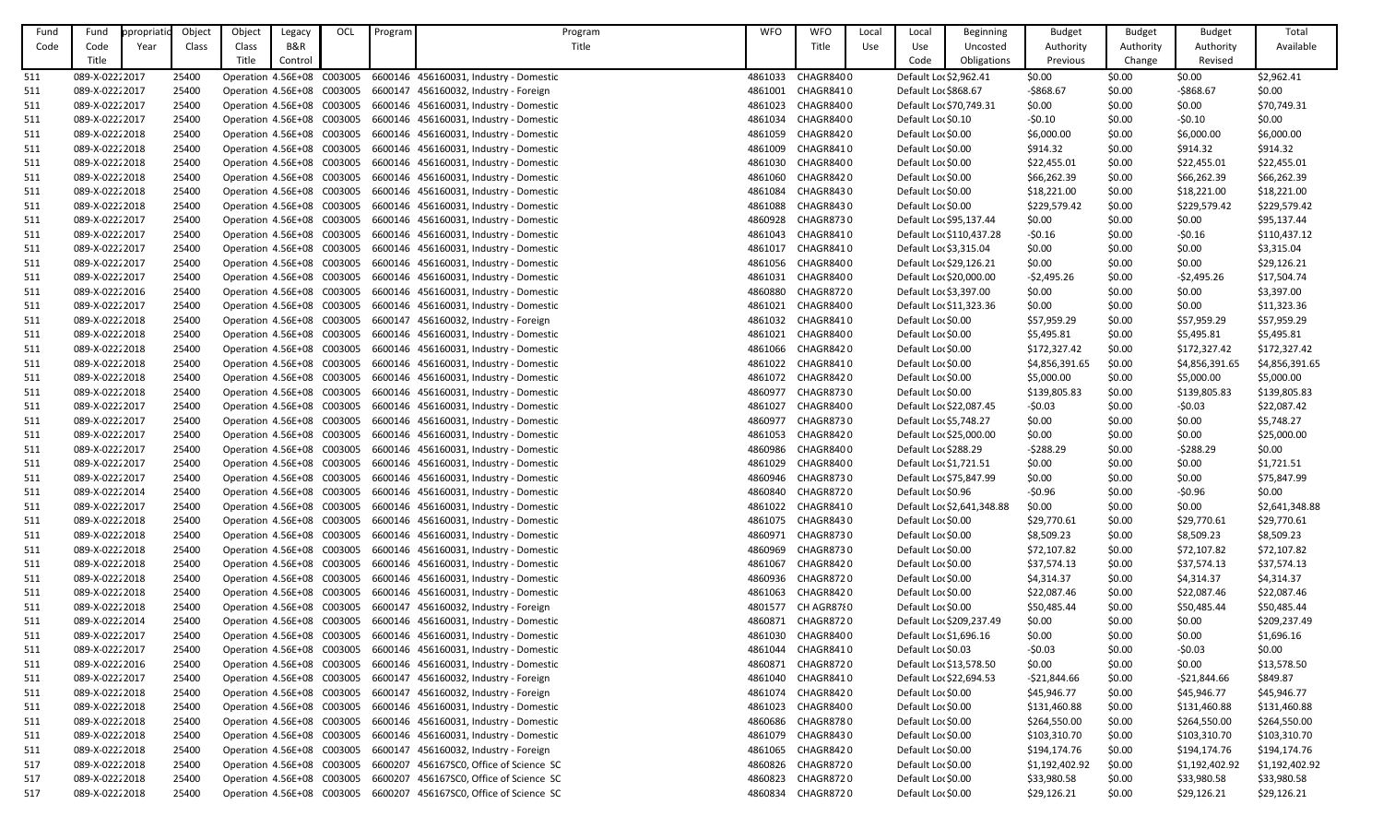| Fund | Fund            | ppropriatic | Object | Object | Legacy                     | OCL | Program | Program                                                            | <b>WFO</b> | <b>WFO</b>        | Local | Local                   | <b>Beginning</b>           | <b>Budget</b>  | <b>Budget</b> | <b>Budget</b>    | Total          |
|------|-----------------|-------------|--------|--------|----------------------------|-----|---------|--------------------------------------------------------------------|------------|-------------------|-------|-------------------------|----------------------------|----------------|---------------|------------------|----------------|
| Code | Code            | Year        | Class  | Class  | B&R                        |     |         | Title                                                              |            | Title             | Use   | Use                     | Uncosted                   | Authority      | Authority     | Authority        | Available      |
|      | Title           |             |        | Title  | Control                    |     |         |                                                                    |            |                   |       | Code                    | Obligations                | Previous       | Change        | Revised          |                |
| 511  | 089-X-02222017  |             | 25400  |        | Operation 4.56E+08 C003005 |     |         | 6600146 456160031, Industry - Domestic                             | 4861033    | CHAGR8400         |       | Default Lor \$2,962.41  |                            | \$0.00         | \$0.00        | \$0.00           | \$2,962.41     |
| 511  | 089-X-0222 2017 |             | 25400  |        |                            |     |         | Operation 4.56E+08 C003005 6600147 456160032, Industry - Foreign   | 4861001    | CHAGR8410         |       | Default Loc \$868.67    |                            | $-5868.67$     | \$0.00        | $-$868.67$       | \$0.00         |
| 511  | 089-X-02222017  |             | 25400  |        |                            |     |         | Operation 4.56E+08 C003005 6600146 456160031, Industry - Domestic  |            | 4861023 CHAGR8400 |       | Default Loc \$70,749.31 |                            | \$0.00         | \$0.00        | \$0.00           | \$70,749.31    |
| 511  | 089-X-0222 2017 |             | 25400  |        | Operation 4.56E+08 C003005 |     |         | 6600146 456160031, Industry - Domestic                             | 4861034    | CHAGR8400         |       | Default Lor \$0.10      |                            | $-50.10$       | \$0.00        | $-50.10$         | \$0.00         |
| 511  | 089-X-02222018  |             | 25400  |        | Operation 4.56E+08 C003005 |     |         | 6600146 456160031, Industry - Domestic                             | 4861059    | CHAGR8420         |       | Default Lor \$0.00      |                            | \$6,000.00     | \$0.00        | \$6,000.00       | \$6,000.00     |
| 511  | 089-X-02222018  |             | 25400  |        | Operation 4.56E+08 C003005 |     |         | 6600146 456160031, Industry - Domestic                             | 4861009    | CHAGR8410         |       | Default Lor \$0.00      |                            | \$914.32       | \$0.00        | \$914.32         | \$914.32       |
| 511  | 089-X-02222018  |             | 25400  |        | Operation 4.56E+08 C003005 |     |         | 6600146 456160031, Industry - Domestic                             | 4861030    | CHAGR8400         |       | Default Lor \$0.00      |                            | \$22,455.01    | \$0.00        | \$22,455.01      | \$22,455.01    |
| 511  | 089-X-02222018  |             | 25400  |        |                            |     |         | Operation 4.56E+08 C003005 6600146 456160031, Industry - Domestic  | 4861060    | CHAGR8420         |       | Default Lor \$0.00      |                            | \$66,262.39    | \$0.00        | \$66,262.39      | \$66,262.39    |
| 511  | 089-X-02222018  |             | 25400  |        | Operation 4.56E+08 C003005 |     |         | 6600146 456160031, Industry - Domestic                             | 4861084    | CHAGR8430         |       | Default Lor \$0.00      |                            | \$18,221.00    | \$0.00        | \$18,221.00      | \$18,221.00    |
| 511  | 089-X-02222018  |             | 25400  |        | Operation 4.56E+08 C003005 |     |         | 6600146 456160031, Industry - Domestic                             | 4861088    | CHAGR8430         |       | Default Lor \$0.00      |                            | \$229,579.42   | \$0.00        | \$229,579.42     | \$229,579.42   |
| 511  | 089-X-0222 2017 |             | 25400  |        | Operation 4.56E+08 C003005 |     |         | 6600146 456160031, Industry - Domestic                             | 4860928    | CHAGR8730         |       | Default Loc \$95,137.44 |                            | \$0.00         | \$0.00        | \$0.00           | \$95,137.44    |
| 511  | 089-X-0222 2017 |             | 25400  |        | Operation 4.56E+08 C003005 |     |         | 6600146 456160031, Industry - Domestic                             | 4861043    | CHAGR8410         |       |                         | Default Loc \$110,437.28   | $-50.16$       | \$0.00        | $-50.16$         | \$110,437.12   |
|      | 089-X-0222 2017 |             | 25400  |        | Operation 4.56E+08 C003005 |     |         | 6600146 456160031, Industry - Domestic                             | 4861017    | CHAGR8410         |       | Default Loc \$3,315.04  |                            | \$0.00         | \$0.00        |                  | \$3,315.04     |
| 511  | 089-X-0222 2017 |             | 25400  |        | Operation 4.56E+08 C003005 |     |         |                                                                    | 4861056    | CHAGR8400         |       | Default Loc \$29,126.21 |                            | \$0.00         | \$0.00        | \$0.00<br>\$0.00 |                |
| 511  |                 |             |        |        |                            |     |         | 6600146 456160031, Industry - Domestic                             |            |                   |       |                         |                            |                |               |                  | \$29,126.21    |
| 511  | 089-X-0222 2017 |             | 25400  |        | Operation 4.56E+08 C003005 |     |         | 6600146 456160031, Industry - Domestic                             | 4861031    | CHAGR8400         |       | Default Lor \$20,000.00 |                            | $-52,495.26$   | \$0.00        | $-52,495.26$     | \$17,504.74    |
| 511  | 089-X-02222016  |             | 25400  |        | Operation 4.56E+08 C003005 |     |         | 6600146 456160031, Industry - Domestic                             | 4860880    | CHAGR8720         |       | Default Lor \$3,397.00  |                            | \$0.00         | \$0.00        | \$0.00           | \$3,397.00     |
| 511  | 089-X-0222 2017 |             | 25400  |        | Operation 4.56E+08 C003005 |     |         | 6600146 456160031, Industry - Domestic                             | 4861021    | CHAGR8400         |       | Default Lo: \$11,323.36 |                            | \$0.00         | \$0.00        | \$0.00           | \$11,323.36    |
| 511  | 089-X-02222018  |             | 25400  |        | Operation 4.56E+08 C003005 |     |         | 6600147 456160032, Industry - Foreign                              | 4861032    | CHAGR8410         |       | Default Lor \$0.00      |                            | \$57,959.29    | \$0.00        | \$57,959.29      | \$57,959.29    |
| 511  | 089-X-0222 2018 |             | 25400  |        | Operation 4.56E+08 C003005 |     |         | 6600146 456160031, Industry - Domestic                             | 4861021    | CHAGR8400         |       | Default Lor \$0.00      |                            | \$5,495.81     | \$0.00        | \$5,495.81       | \$5,495.81     |
| 511  | 089-X-0222 2018 |             | 25400  |        | Operation 4.56E+08 C003005 |     |         | 6600146 456160031, Industry - Domestic                             | 4861066    | CHAGR8420         |       | Default Lor \$0.00      |                            | \$172,327.42   | \$0.00        | \$172,327.42     | \$172,327.42   |
| 511  | 089-X-02222018  |             | 25400  |        | Operation 4.56E+08 C003005 |     |         | 6600146 456160031, Industry - Domestic                             | 4861022    | CHAGR8410         |       | Default Lor \$0.00      |                            | \$4,856,391.65 | \$0.00        | \$4,856,391.65   | \$4,856,391.65 |
| 511  | 089-X-0222 2018 |             | 25400  |        |                            |     |         | Operation 4.56E+08 C003005 6600146 456160031, Industry - Domestic  |            | 4861072 CHAGR8420 |       | Default Lor \$0.00      |                            | \$5,000.00     | \$0.00        | \$5,000.00       | \$5,000.00     |
| 511  | 089-X-02222018  |             | 25400  |        | Operation 4.56E+08 C003005 |     |         | 6600146 456160031, Industry - Domestic                             | 4860977    | <b>CHAGR8730</b>  |       | Default Lor \$0.00      |                            | \$139,805.83   | \$0.00        | \$139,805.83     | \$139,805.83   |
| 511  | 089-X-02222017  |             | 25400  |        | Operation 4.56E+08 C003005 |     |         | 6600146 456160031, Industry - Domestic                             | 4861027    | CHAGR8400         |       | Default Loc \$22,087.45 |                            | $-50.03$       | \$0.00        | $-50.03$         | \$22,087.42    |
| 511  | 089-X-02222017  |             | 25400  |        | Operation 4.56E+08 C003005 |     |         | 6600146 456160031, Industry - Domestic                             | 4860977    | CHAGR8730         |       | Default Loc \$5,748.27  |                            | \$0.00         | \$0.00        | \$0.00           | \$5,748.27     |
| 511  | 089-X-0222 2017 |             | 25400  |        | Operation 4.56E+08 C003005 |     |         | 6600146 456160031, Industry - Domestic                             | 4861053    | CHAGR8420         |       | Default Lor \$25,000.00 |                            | \$0.00         | \$0.00        | \$0.00           | \$25,000.00    |
| 511  | 089-X-02222017  |             | 25400  |        |                            |     |         | Operation 4.56E+08 C003005 6600146 456160031, Industry - Domestic  | 4860986    | CHAGR8400         |       | Default Loc \$288.29    |                            | $-5288.29$     | \$0.00        | $-5288.29$       | \$0.00         |
| 511  | 089-X-0222 2017 |             | 25400  |        |                            |     |         | Operation 4.56E+08 C003005 6600146 456160031, Industry - Domestic  |            | 4861029 CHAGR8400 |       | Default Loc \$1,721.51  |                            | \$0.00         | \$0.00        | \$0.00           | \$1,721.51     |
| 511  | 089-X-02222017  |             | 25400  |        | Operation 4.56E+08 C003005 |     |         | 6600146 456160031, Industry - Domestic                             | 4860946    | CHAGR8730         |       | Default Lo: \$75,847.99 |                            | \$0.00         | \$0.00        | \$0.00           | \$75,847.99    |
| 511  | 089-X-0222 2014 |             | 25400  |        | Operation 4.56E+08 C003005 |     |         | 6600146 456160031, Industry - Domestic                             | 4860840    | CHAGR8720         |       | Default Loc \$0.96      |                            | $-50.96$       | \$0.00        | $-50.96$         | \$0.00         |
| 511  | 089-X-0222 2017 |             | 25400  |        | Operation 4.56E+08 C003005 |     |         | 6600146 456160031, Industry - Domestic                             | 4861022    | CHAGR8410         |       |                         | Default Loc \$2,641,348.88 | \$0.00         | \$0.00        | \$0.00           | \$2,641,348.88 |
| 511  | 089-X-02222018  |             | 25400  |        | Operation 4.56E+08 C003005 |     |         | 6600146 456160031, Industry - Domestic                             | 4861075    | CHAGR8430         |       | Default Lor \$0.00      |                            | \$29,770.61    | \$0.00        | \$29,770.61      | \$29,770.61    |
| 511  | 089-X-02222018  |             | 25400  |        | Operation 4.56E+08 C003005 |     |         | 6600146 456160031, Industry - Domestic                             | 4860971    | CHAGR8730         |       | Default Lor \$0.00      |                            | \$8,509.23     | \$0.00        | \$8,509.23       | \$8,509.23     |
| 511  | 089-X-02222018  |             | 25400  |        | Operation 4.56E+08 C003005 |     |         | 6600146 456160031, Industry - Domestic                             | 4860969    | CHAGR8730         |       | Default Lor \$0.00      |                            | \$72,107.82    | \$0.00        | \$72,107.82      | \$72,107.82    |
| 511  | 089-X-02222018  |             | 25400  |        | Operation 4.56E+08 C003005 |     |         | 6600146 456160031, Industry - Domestic                             | 4861067    | CHAGR8420         |       | Default Lor \$0.00      |                            | \$37,574.13    | \$0.00        | \$37,574.13      | \$37,574.13    |
| 511  | 089-X-02222018  |             | 25400  |        | Operation 4.56E+08 C003005 |     |         | 6600146 456160031, Industry - Domestic                             | 4860936    | CHAGR8720         |       | Default Lor \$0.00      |                            | \$4,314.37     | \$0.00        | \$4,314.37       | \$4,314.37     |
| 511  | 089-X-02222018  |             | 25400  |        | Operation 4.56E+08 C003005 |     |         | 6600146 456160031, Industry - Domestic                             | 4861063    | CHAGR8420         |       | Default Lor \$0.00      |                            | \$22,087.46    | \$0.00        | \$22,087.46      | \$22,087.46    |
| 511  | 089-X-02222018  |             | 25400  |        | Operation 4.56E+08 C003005 |     |         | 6600147 456160032, Industry - Foreign                              | 4801577    | CH AGR8780        |       | Default Lor \$0.00      |                            | \$50,485.44    | \$0.00        | \$50,485.44      | \$50,485.44    |
| 511  | 089-X-02222014  |             | 25400  |        |                            |     |         | Operation 4.56E+08 C003005 6600146 456160031, Industry - Domestic  | 4860871    | CHAGR8720         |       |                         | Default Lor \$209,237.49   | \$0.00         | \$0.00        | \$0.00           | \$209,237.49   |
| 511  | 089-X-0222 2017 |             | 25400  |        | Operation 4.56E+08 C003005 |     |         | 6600146 456160031, Industry - Domestic                             | 4861030    | CHAGR8400         |       | Default Lor \$1,696.16  |                            | \$0.00         | \$0.00        | \$0.00           | \$1,696.16     |
| 511  | 089-X-0222 2017 |             | 25400  |        | Operation 4.56E+08 C003005 |     |         | 6600146 456160031, Industry - Domestic                             | 4861044    | CHAGR8410         |       | Default Lor \$0.03      |                            | $-50.03$       | \$0.00        | $-50.03$         | \$0.00         |
| 511  | 089-X-02222016  |             | 25400  |        | Operation 4.56E+08 C003005 |     |         | 6600146 456160031, Industry - Domestic                             | 4860871    | CHAGR8720         |       | Default Loc \$13,578.50 |                            | \$0.00         | \$0.00        | \$0.00           | \$13,578.50    |
| 511  | 089-X-0222 2017 |             | 25400  |        | Operation 4.56E+08 C003005 |     |         | 6600147 456160032, Industry - Foreign                              | 4861040    | CHAGR8410         |       | Default Loc \$22,694.53 |                            | -\$21,844.66   | \$0.00        | $-521,844.66$    | \$849.87       |
| 511  | 089-X-02222018  |             | 25400  |        |                            |     |         | Operation 4.56E+08 C003005 6600147 456160032, Industry - Foreign   |            | 4861074 CHAGR8420 |       | Default Lor \$0.00      |                            | \$45,946.77    | \$0.00        | \$45,946.77      | \$45,946.77    |
| 511  | 089-X-02222018  |             | 25400  |        |                            |     |         | Operation 4.56E+08 C003005 6600146 456160031, Industry - Domestic  | 4861023    | CHAGR8400         |       | Default Lor \$0.00      |                            | \$131,460.88   | \$0.00        | \$131,460.88     | \$131,460.88   |
| 511  | 089-X-02222018  |             | 25400  |        |                            |     |         | Operation 4.56E+08 C003005 6600146 456160031, Industry - Domestic  | 4860686    | CHAGR8780         |       | Default Lor \$0.00      |                            | \$264,550.00   | \$0.00        | \$264,550.00     | \$264,550.00   |
| 511  | 089-X-0222 2018 |             | 25400  |        | Operation 4.56E+08 C003005 |     |         | 6600146 456160031, Industry - Domestic                             | 4861079    | CHAGR8430         |       | Default Lor \$0.00      |                            | \$103,310.70   | \$0.00        | \$103,310.70     | \$103,310.70   |
| 511  | 089-X-0222 2018 |             | 25400  |        | Operation 4.56E+08 C003005 |     |         | 6600147 456160032, Industry - Foreign                              |            | 4861065 CHAGR8420 |       | Default Lor \$0.00      |                            | \$194,174.76   | \$0.00        | \$194,174.76     | \$194,174.76   |
| 517  | 089-X-02222018  |             | 25400  |        | Operation 4.56E+08 C003005 |     |         | 6600207 456167SC0, Office of Science SC                            | 4860826    | CHAGR8720         |       | Default Lor \$0.00      |                            | \$1,192,402.92 | \$0.00        | \$1,192,402.92   | \$1,192,402.92 |
| 517  | 089-X-0222 2018 |             | 25400  |        | Operation 4.56E+08 C003005 |     |         | 6600207 456167SC0, Office of Science SC                            | 4860823    | CHAGR8720         |       | Default Lor \$0.00      |                            | \$33,980.58    | \$0.00        | \$33,980.58      | \$33,980.58    |
| 517  | 089-X-02222018  |             | 25400  |        |                            |     |         | Operation 4.56E+08 C003005 6600207 456167SC0, Office of Science SC | 4860834    | CHAGR8720         |       | Default Lor \$0.00      |                            | \$29,126.21    | \$0.00        | \$29,126.21      | \$29,126.21    |
|      |                 |             |        |        |                            |     |         |                                                                    |            |                   |       |                         |                            |                |               |                  |                |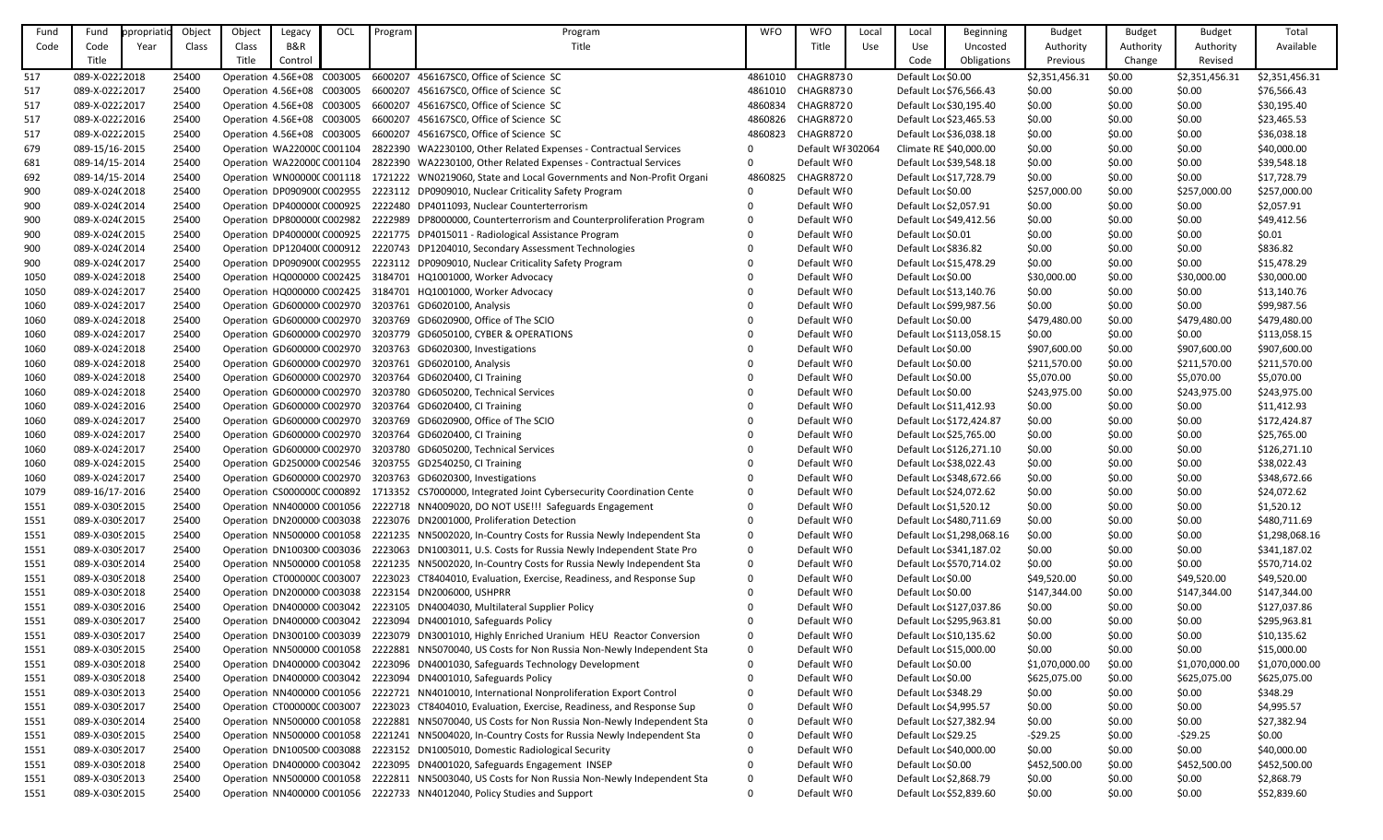| Fund | Fund            | ppropriati | Object | Object                      | Legacy  | OCL | Program | Program                                                                                          | <b>WFO</b>   | <b>WFO</b>        | Local | Local                   | <b>Beginning</b>           | <b>Budget</b>  | <b>Budget</b> | <b>Budget</b>  | Total          |
|------|-----------------|------------|--------|-----------------------------|---------|-----|---------|--------------------------------------------------------------------------------------------------|--------------|-------------------|-------|-------------------------|----------------------------|----------------|---------------|----------------|----------------|
| Code | Code            | Year       | Class  | Class                       | B&R     |     |         | Title                                                                                            |              | Title             | Use   | Use                     | Uncosted                   | Authority      | Authority     | Authority      | Available      |
|      | Title           |            |        | Title                       | Control |     |         |                                                                                                  |              |                   |       | Code                    | Obligations                | Previous       | Change        | Revised        |                |
| 517  | 089-X-0222 2018 |            | 25400  | Operation 4.56E+08 C003005  |         |     | 6600207 | 456167SC0, Office of Science SC                                                                  | 4861010      | <b>CHAGR8730</b>  |       | Default Lor \$0.00      |                            | \$2,351,456.31 | \$0.00        | \$2,351,456.31 | \$2,351,456.31 |
| 517  | 089-X-02222017  |            | 25400  | Operation 4.56E+08 C003005  |         |     |         | 6600207 456167SC0, Office of Science SC                                                          | 4861010      | CHAGR8730         |       | Default Lor \$76,566.43 |                            | \$0.00         | \$0.00        | \$0.00         | \$76,566.43    |
| 517  | 089-X-02222017  |            | 25400  | Operation 4.56E+08 C003005  |         |     |         | 6600207 456167SC0, Office of Science SC                                                          | 4860834      | CHAGR8720         |       | Default Lor \$30,195.40 |                            | \$0.00         | \$0.00        | \$0.00         | \$30,195.40    |
| 517  | 089-X-0222 2016 |            | 25400  | Operation 4.56E+08 C003005  |         |     |         | 6600207 456167SC0, Office of Science SC                                                          | 4860826      | CHAGR8720         |       | Default Loc \$23,465.53 |                            | \$0.00         | \$0.00        | \$0.00         | \$23,465.53    |
| 517  | 089-X-0222 2015 |            | 25400  | Operation 4.56E+08 C003005  |         |     |         | 6600207 456167SC0, Office of Science SC                                                          | 4860823      | CHAGR8720         |       | Default Lo: \$36,038.18 |                            | \$0.00         | \$0.00        | \$0.00         | \$36,038.18    |
| 679  | 089-15/16-2015  |            | 25400  | Operation WA220000 C001104  |         |     |         | 2822390 WA2230100, Other Related Expenses - Contractual Services                                 | $\mathbf 0$  | Default WI 302064 |       | Climate RE \$40,000.00  |                            | \$0.00         | \$0.00        | \$0.00         | \$40,000.00    |
| 681  | 089-14/15-2014  |            | 25400  | Operation WA220000 C001104  |         |     |         | 2822390 WA2230100, Other Related Expenses - Contractual Services                                 | $\mathbf{0}$ | Default WI0       |       | Default Lor \$39,548.18 |                            | \$0.00         | \$0.00        | \$0.00         | \$39,548.18    |
| 692  | 089-14/15-2014  |            | 25400  |                             |         |     |         | Operation WN00000C C001118 1721222 WN0219060, State and Local Governments and Non-Profit Organi  | 4860825      | CHAGR8720         |       | Default Loc \$17,728.79 |                            | \$0.00         | \$0.00        | \$0.00         | \$17,728.79    |
| 900  | 089-X-024(2018  |            | 25400  |                             |         |     |         | Operation DP090900(C002955 2223112 DP0909010, Nuclear Criticality Safety Program                 |              | Default WI0       |       | Default Lor \$0.00      |                            | \$257,000.00   | \$0.00        | \$257,000.00   | \$257,000.00   |
| 900  | 089-X-024(2014  |            | 25400  |                             |         |     |         | Operation DP400000(C000925 2222480 DP4011093, Nuclear Counterterrorism                           | 0            | Default WI0       |       | Default Lo: \$2,057.91  |                            | \$0.00         | \$0.00        | \$0.00         | \$2,057.91     |
| 900  | 089-X-024(2015  |            | 25400  |                             |         |     |         | Operation DP800000(C002982 2222989 DP8000000, Counterterrorism and Counterproliferation Program  | $\mathbf 0$  | Default WI0       |       | Default Loc \$49,412.56 |                            | \$0.00         | \$0.00        | \$0.00         | \$49,412.56    |
| 900  | 089-X-024(2015  |            | 25400  |                             |         |     |         | Operation DP400000(C000925 2221775 DP4015011 - Radiological Assistance Program                   | $\Omega$     | Default WI0       |       | Default Loc \$0.01      |                            | \$0.00         | \$0.00        | \$0.00         | \$0.01         |
| 900  | 089-X-024(2014  |            | 25400  |                             |         |     |         | Operation DP120400(C000912 2220743 DP1204010, Secondary Assessment Technologies                  | $\Omega$     | Default WI0       |       | Default Lor \$836.82    |                            | \$0.00         | \$0.00        | \$0.00         | \$836.82       |
| 900  | 089-X-024(2017  |            | 25400  |                             |         |     |         | Operation DP090900(C002955 2223112 DP0909010, Nuclear Criticality Safety Program                 |              | Default WI0       |       | Default Loc \$15,478.29 |                            | \$0.00         | \$0.00        | \$0.00         | \$15,478.29    |
| 1050 | 089-X-024: 2018 |            | 25400  |                             |         |     |         | Operation HQ000000 C002425 3184701 HQ1001000, Worker Advocacy                                    |              | Default WI0       |       | Default Lor \$0.00      |                            | \$30,000.00    | \$0.00        | \$30,000.00    | \$30,000.00    |
| 1050 | 089-X-024: 2017 |            | 25400  |                             |         |     |         | Operation HQ000000 C002425 3184701 HQ1001000, Worker Advocacy                                    | 0            | Default WI0       |       | Default Loc \$13,140.76 |                            | \$0.00         | \$0.00        | \$0.00         | \$13,140.76    |
| 1060 | 089-X-024: 2017 |            | 25400  |                             |         |     |         | Operation GD600000 C002970 3203761 GD6020100, Analysis                                           | $\Omega$     | Default WI0       |       | Default Loc \$99,987.56 |                            | \$0.00         | \$0.00        | \$0.00         | \$99,987.56    |
| 1060 | 089-X-024: 2018 |            | 25400  |                             |         |     |         | Operation GD600000 C002970 3203769 GD6020900, Office of The SCIO                                 | $\Omega$     | Default WI0       |       | Default Lor \$0.00      |                            | \$479,480.00   | \$0.00        | \$479,480.00   | \$479,480.00   |
| 1060 | 089-X-024: 2017 |            | 25400  |                             |         |     |         | Operation GD600000 C002970 3203779 GD6050100, CYBER & OPERATIONS                                 |              | Default WI0       |       |                         | Default Loc \$113,058.15   | \$0.00         | \$0.00        | \$0.00         | \$113,058.15   |
| 1060 | 089-X-024: 2018 |            | 25400  |                             |         |     |         | Operation GD600000 C002970 3203763 GD6020300, Investigations                                     | 0            | Default WI0       |       | Default Lor \$0.00      |                            | \$907,600.00   | \$0.00        | \$907,600.00   | \$907,600.00   |
| 1060 | 089-X-024: 2018 |            | 25400  |                             |         |     |         | Operation GD600000 C002970 3203761 GD6020100, Analysis                                           | $\Omega$     | Default WI0       |       | Default Loc \$0.00      |                            | \$211,570.00   | \$0.00        | \$211,570.00   | \$211,570.00   |
| 1060 | 089-X-024: 2018 |            | 25400  |                             |         |     |         | Operation GD600000 C002970 3203764 GD6020400, CI Training                                        |              | Default WI0       |       | Default Lor \$0.00      |                            | \$5,070.00     | \$0.00        | \$5,070.00     | \$5,070.00     |
| 1060 | 089-X-024: 2018 |            | 25400  |                             |         |     |         | Operation GD600000 C002970 3203780 GD6050200, Technical Services                                 |              | Default WI0       |       | Default Lor \$0.00      |                            | \$243,975.00   | \$0.00        | \$243,975.00   | \$243,975.00   |
| 1060 | 089-X-024: 2016 |            | 25400  |                             |         |     |         | Operation GD600000 C002970 3203764 GD6020400, CI Training                                        |              | Default WI0       |       | Default Loc \$11,412.93 |                            | \$0.00         | \$0.00        | \$0.00         | \$11,412.93    |
| 1060 | 089-X-024: 2017 |            | 25400  | Operation GD600000 C002970  |         |     |         | 3203769 GD6020900, Office of The SCIO                                                            |              | Default WI0       |       |                         | Default Loc \$172,424.87   | \$0.00         | \$0.00        | \$0.00         | \$172,424.87   |
| 1060 | 089-X-024: 2017 |            | 25400  |                             |         |     |         | Operation GD600000 C002970 3203764 GD6020400, CI Training                                        |              | Default WI0       |       | Default Loc \$25,765.00 |                            | \$0.00         | \$0.00        | \$0.00         | \$25,765.00    |
| 1060 | 089-X-024: 2017 |            | 25400  |                             |         |     |         | Operation GD600000 C002970 3203780 GD6050200, Technical Services                                 |              | Default WI0       |       |                         | Default Lo: \$126,271.10   | \$0.00         | \$0.00        | \$0.00         | \$126,271.10   |
| 1060 | 089-X-024: 2015 |            | 25400  |                             |         |     |         | Operation GD250000 C002546 3203755 GD2540250, CI Training                                        |              | Default WI0       |       | Default Loc \$38,022.43 |                            | \$0.00         | \$0.00        | \$0.00         | \$38,022.43    |
| 1060 | 089-X-024: 2017 |            | 25400  |                             |         |     |         | Operation GD600000 C002970 3203763 GD6020300, Investigations                                     | 0            | Default WI0       |       |                         | Default Loc \$348,672.66   | \$0.00         | \$0.00        | \$0.00         | \$348,672.66   |
| 1079 | 089-16/17-2016  |            | 25400  |                             |         |     |         | Operation CS000000C C000892 1713352 CS7000000, Integrated Joint Cybersecurity Coordination Cente | $\Omega$     | Default WI0       |       | Default Loc \$24,072.62 |                            | \$0.00         | \$0.00        | \$0.00         | \$24,072.62    |
| 1551 | 089-X-0309 2015 |            | 25400  |                             |         |     |         | Operation NN400000 C001056 2222718 NN4009020, DO NOT USE!!! Safeguards Engagement                |              | Default WI0       |       | Default Lor \$1,520.12  |                            | \$0.00         | \$0.00        | \$0.00         | \$1,520.12     |
| 1551 | 089-X-0309 2017 |            | 25400  | Operation DN200000 C003038  |         |     |         | 2223076 DN2001000, Proliferation Detection                                                       |              | Default WI0       |       |                         | Default Loc \$480,711.69   | \$0.00         | \$0.00        | \$0.00         | \$480,711.69   |
| 1551 | 089-X-0309 2015 |            | 25400  |                             |         |     |         | Operation NN500000 C001058 2221235 NN5002020, In-Country Costs for Russia Newly Independent Sta  | 0            | Default WI0       |       |                         | Default Loc \$1,298,068.16 | \$0.00         | \$0.00        | \$0.00         | \$1,298,068.16 |
| 1551 | 089-X-0309 2017 |            | 25400  |                             |         |     |         | Operation DN100300 C003036 2223063 DN1003011, U.S. Costs for Russia Newly Independent State Pro  | $\mathbf{0}$ | Default WI0       |       |                         | Default Loc \$341,187.02   | \$0.00         | \$0.00        | \$0.00         | \$341,187.02   |
| 1551 | 089-X-0309 2014 |            | 25400  |                             |         |     |         | Operation NN500000 C001058 2221235 NN5002020, In-Country Costs for Russia Newly Independent Sta  | $\mathbf 0$  | Default WI0       |       |                         | Default Lor \$570,714.02   | \$0.00         | \$0.00        | \$0.00         | \$570,714.02   |
| 1551 | 089-X-0309 2018 |            | 25400  | Operation CT000000C C003007 |         |     |         | 2223023 CT8404010, Evaluation, Exercise, Readiness, and Response Sup                             | $\Omega$     | Default WI0       |       | Default Lor \$0.00      |                            | \$49,520.00    | \$0.00        | \$49,520.00    | \$49,520.00    |
| 1551 | 089-X-0309 2018 |            | 25400  | Operation DN200000 C003038  |         |     |         | 2223154 DN2006000, USHPRR                                                                        |              | Default WI0       |       | Default Lor \$0.00      |                            | \$147,344.00   | \$0.00        | \$147,344.00   | \$147,344.00   |
| 1551 | 089-X-0309 2016 |            | 25400  |                             |         |     |         | Operation DN400000 C003042 2223105 DN4004030, Multilateral Supplier Policy                       |              | Default WI0       |       |                         | Default Loc \$127,037.86   | \$0.00         | \$0.00        | \$0.00         | \$127,037.86   |
| 1551 | 089-X-0309 2017 |            | 25400  |                             |         |     |         | Operation DN400000 C003042 2223094 DN4001010, Safeguards Policy                                  |              | Default WI0       |       |                         | Default Lor \$295,963.81   | \$0.00         | \$0.00        | \$0.00         | \$295,963.81   |
| 1551 | 089-X-0309 2017 |            | 25400  |                             |         |     |         | Operation DN300100 C003039 2223079 DN3001010, Highly Enriched Uranium HEU Reactor Conversion     | 0            | Default WI0       |       | Default Loc \$10,135.62 |                            | \$0.00         | \$0.00        | \$0.00         | \$10,135.62    |
| 1551 | 089-X-0309 2015 |            | 25400  |                             |         |     |         | Operation NN500000 C001058 2222881 NN5070040, US Costs for Non Russia Non-Newly Independent Sta  | $\mathbf{0}$ | Default WI0       |       | Default Lo: \$15,000.00 |                            | \$0.00         | \$0.00        | \$0.00         | \$15,000.00    |
| 1551 | 089-X-0309 2018 |            | 25400  |                             |         |     |         | Operation DN400000 C003042 2223096 DN4001030, Safeguards Technology Development                  |              | Default WI0       |       | Default Lor \$0.00      |                            | \$1,070,000.00 | \$0.00        | \$1,070,000.00 | \$1,070,000.00 |
| 1551 | 089-X-0309 2018 |            | 25400  |                             |         |     |         | Operation DN400000 C003042 2223094 DN4001010, Safeguards Policy                                  |              | Default WI0       |       | Default Lor \$0.00      |                            | \$625,075.00   | \$0.00        | \$625,075.00   | \$625,075.00   |
| 1551 | 089-X-0309 2013 |            | 25400  |                             |         |     |         | Operation NN400000 C001056 2222721 NN4010010, International Nonproliferation Export Control      | 0            | Default WI0       |       | Default Lor \$348.29    |                            | \$0.00         | \$0.00        | \$0.00         | \$348.29       |
| 1551 | 089-X-0309 2017 |            | 25400  | Operation CT000000C C003007 |         |     |         | 2223023 CT8404010, Evaluation, Exercise, Readiness, and Response Sup                             | 0            | Default WI0       |       | Default Loc \$4,995.57  |                            | \$0.00         | \$0.00        | \$0.00         | \$4,995.57     |
| 1551 | 089-X-0309 2014 |            | 25400  | Operation NN500000 C001058  |         |     |         | 2222881 NN5070040, US Costs for Non Russia Non-Newly Independent Sta                             | $\mathbf{0}$ | Default WI0       |       | Default Loc \$27,382.94 |                            | \$0.00         | \$0.00        | \$0.00         | \$27,382.94    |
| 1551 | 089-X-0309 2015 |            | 25400  |                             |         |     |         | Operation NN500000 C001058 2221241 NN5004020, In-Country Costs for Russia Newly Independent Sta  |              | Default WI0       |       | Default Lor \$29.25     |                            | $-529.25$      | \$0.00        | $-529.25$      | \$0.00         |
| 1551 | 089-X-0309 2017 |            | 25400  |                             |         |     |         | Operation DN100500 C003088 2223152 DN1005010, Domestic Radiological Security                     |              | Default WI0       |       | Default Lor \$40,000.00 |                            | \$0.00         | \$0.00        | \$0.00         | \$40,000.00    |
| 1551 | 089-X-0309 2018 |            | 25400  |                             |         |     |         | Operation DN400000 C003042 2223095 DN4001020, Safeguards Engagement INSEP                        |              | Default WI0       |       | Default Lor \$0.00      |                            | \$452,500.00   | \$0.00        | \$452,500.00   | \$452,500.00   |
| 1551 | 089-X-0309 2013 |            | 25400  |                             |         |     |         | Operation NN500000 C001058 2222811 NN5003040, US Costs for Non Russia Non-Newly Independent Sta  |              | Default WI0       |       | Default Loc \$2,868.79  |                            | \$0.00         | \$0.00        | \$0.00         | \$2,868.79     |
| 1551 | 089-X-0309 2015 |            | 25400  |                             |         |     |         | Operation NN400000 C001056 2222733 NN4012040, Policy Studies and Support                         | 0            | Default WI0       |       | Default Lor \$52,839.60 |                            | \$0.00         | \$0.00        | \$0.00         | \$52,839.60    |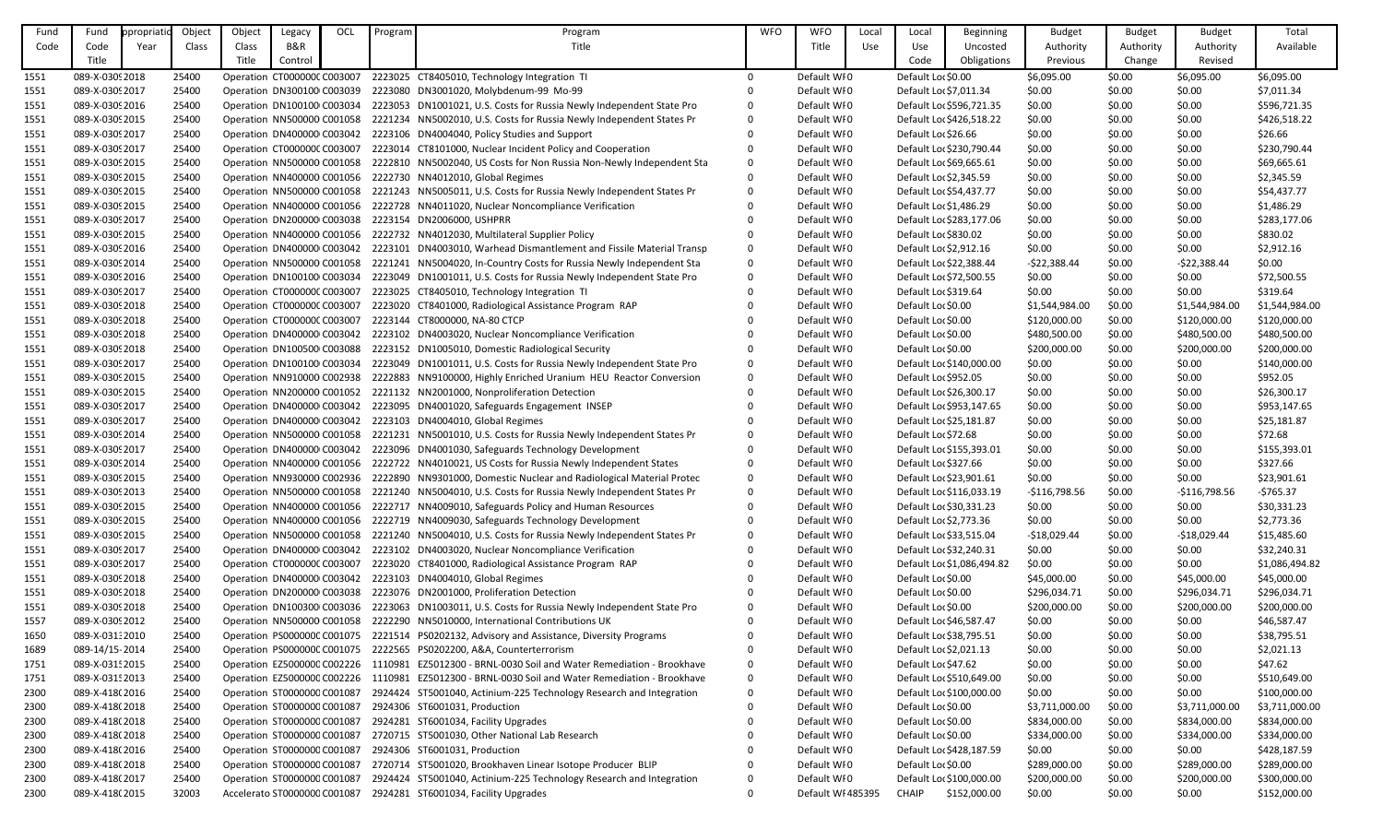| Fund | Fund            | ppropriatio | Object | Object                      | Legacy         | OCL | Program | Program                                                                                          | <b>WFO</b>     | <b>WFO</b>        | Local | Local                  | <b>Beginning</b>           | <b>Budget</b>  | <b>Budget</b> | <b>Budget</b>  | Total          |
|------|-----------------|-------------|--------|-----------------------------|----------------|-----|---------|--------------------------------------------------------------------------------------------------|----------------|-------------------|-------|------------------------|----------------------------|----------------|---------------|----------------|----------------|
| Code | Code            | Year        | Class  | Class                       | <b>B&amp;R</b> |     |         | Title                                                                                            |                | Title             | Use   | Use                    | Uncosted                   | Authority      | Authority     | Authority      | Available      |
|      | Title           |             |        | Title                       | Control        |     |         |                                                                                                  |                |                   |       | Code                   | Obligations                | Previous       | Change        | Revised        |                |
| 1551 | 089-X-0309 2018 |             | 25400  |                             |                |     |         | Operation CT000000C C003007 2223025 CT8405010, Technology Integration TI                         | $\overline{0}$ | Default WI0       |       | Default Lor \$0.00     |                            | \$6,095.00     | \$0.00        | \$6,095.00     | \$6,095.00     |
| 1551 | 089-X-0309 2017 |             | 25400  |                             |                |     |         | Operation DN300100 C003039 2223080 DN3001020, Molybdenum-99 Mo-99                                |                | Default WI0       |       | Default Loc \$7,011.34 |                            | \$0.00         | \$0.00        | \$0.00         | \$7,011.34     |
| 1551 | 089-X-0309 2016 |             | 25400  |                             |                |     |         | Operation DN100100 C003034 2223053 DN1001021, U.S. Costs for Russia Newly Independent State Pro  | $\Omega$       | Default WI0       |       |                        | Default Loc \$596,721.35   | \$0.00         | \$0.00        | \$0.00         | \$596,721.35   |
| 1551 | 089-X-0309 2015 |             | 25400  |                             |                |     |         | Operation NN500000 C001058 2221234 NN5002010, U.S. Costs for Russia Newly Independent States Pr  | $\Omega$       | Default WI0       |       |                        | Default Loc \$426,518.22   | \$0.00         | \$0.00        | \$0.00         | \$426,518.22   |
| 1551 | 089-X-0309 2017 |             | 25400  |                             |                |     |         | Operation DN400000 C003042 2223106 DN4004040, Policy Studies and Support                         |                | Default WI0       |       | Default Lor \$26.66    |                            | \$0.00         | \$0.00        | \$0.00         | \$26.66        |
| 1551 | 089-X-0309 2017 |             | 25400  |                             |                |     |         | Operation CT000000C C003007 2223014 CT8101000, Nuclear Incident Policy and Cooperation           |                | Default WI0       |       |                        | Default Loc \$230,790.44   | \$0.00         | \$0.00        | \$0.00         | \$230,790.44   |
| 1551 | 089-X-0309 2015 |             | 25400  |                             |                |     |         | Operation NN500000 C001058 2222810 NN5002040, US Costs for Non Russia Non-Newly Independent Sta  | $\Omega$       | Default WI0       |       |                        | Default Lor \$69,665.61    | \$0.00         | \$0.00        | \$0.00         | \$69,665.61    |
| 1551 | 089-X-0309 2015 |             | 25400  |                             |                |     |         | Operation NN400000 C001056 2222730 NN4012010, Global Regimes                                     |                | Default WI0       |       | Default Loc \$2,345.59 |                            | \$0.00         | \$0.00        | \$0.00         | \$2,345.59     |
| 1551 | 089-X-0309 2015 |             | 25400  |                             |                |     |         | Operation NN500000 C001058 2221243 NN5005011, U.S. Costs for Russia Newly Independent States Pr  | $\Omega$       | Default WI0       |       |                        | Default Loc \$54,437.77    | \$0.00         | \$0.00        | \$0.00         | \$54,437.77    |
| 1551 | 089-X-0309 2015 |             | 25400  |                             |                |     |         | Operation NN400000 C001056 2222728 NN4011020, Nuclear Noncompliance Verification                 |                | Default WI0       |       | Default Loc \$1,486.29 |                            | \$0.00         | \$0.00        | \$0.00         | \$1,486.29     |
| 1551 | 089-X-0309 2017 |             | 25400  |                             |                |     |         | Operation DN200000 C003038 2223154 DN2006000, USHPRR                                             |                | Default WI0       |       |                        | Default Loc \$283,177.06   | \$0.00         | \$0.00        | \$0.00         | \$283,177.06   |
| 1551 | 089-X-0309 2015 |             | 25400  |                             |                |     |         | Operation NN400000 C001056 2222732 NN4012030, Multilateral Supplier Policy                       |                | Default WI0       |       | Default Loc \$830.02   |                            | \$0.00         | \$0.00        | \$0.00         | \$830.02       |
| 1551 | 089-X-0309 2016 |             | 25400  |                             |                |     |         | Operation DN400000 C003042 2223101 DN4003010, Warhead Dismantlement and Fissile Material Transp  | $\Omega$       | Default WI0       |       | Default Lor \$2,912.16 |                            | \$0.00         | \$0.00        | \$0.00         | \$2,912.16     |
| 1551 | 089-X-0309 2014 |             | 25400  |                             |                |     |         | Operation NN500000 C001058 2221241 NN5004020, In-Country Costs for Russia Newly Independent Sta  | $\mathbf{0}$   | Default WI0       |       |                        | Default Loc \$22,388.44    | $-522,388.44$  | \$0.00        | $-522,388.44$  | \$0.00         |
| 1551 | 089-X-0309 2016 |             | 25400  |                             |                |     |         | Operation DN100100 C003034 2223049 DN1001011, U.S. Costs for Russia Newly Independent State Pro  | $\mathbf{0}$   | Default WI0       |       |                        | Default Loc \$72,500.55    | \$0.00         | \$0.00        | \$0.00         | \$72,500.55    |
| 1551 | 089-X-0309 2017 |             | 25400  |                             |                |     |         | Operation CT000000C C003007 2223025 CT8405010, Technology Integration TI                         | $\Omega$       | Default WI0       |       | Default Lor \$319.64   |                            | \$0.00         | \$0.00        | \$0.00         | \$319.64       |
| 1551 | 089-X-0309 2018 |             | 25400  |                             |                |     |         | Operation CT000000C C003007 2223020 CT8401000, Radiological Assistance Program RAP               |                | Default WI0       |       | Default Lor \$0.00     |                            | \$1,544,984.00 | \$0.00        | \$1,544,984.00 | \$1,544,984.00 |
| 1551 | 089-X-0309 2018 |             | 25400  |                             |                |     |         | Operation CT000000C C003007 2223144 CT8000000, NA-80 CTCP                                        |                | Default WI0       |       | Default Lor \$0.00     |                            | \$120,000.00   | \$0.00        | \$120,000.00   | \$120,000.00   |
| 1551 | 089-X-0309 2018 |             | 25400  |                             |                |     |         | Operation DN400000 C003042 2223102 DN4003020, Nuclear Noncompliance Verification                 |                | Default WI0       |       | Default Loc \$0.00     |                            | \$480,500.00   | \$0.00        | \$480,500.00   | \$480,500.00   |
| 1551 | 089-X-0309 2018 |             | 25400  |                             |                |     |         | Operation DN100500 C003088 2223152 DN1005010, Domestic Radiological Security                     | $\Omega$       | Default WI0       |       | Default Lor \$0.00     |                            | \$200,000.00   | \$0.00        | \$200,000.00   | \$200,000.00   |
| 1551 | 089-X-0309 2017 |             | 25400  |                             |                |     |         | Operation DN100100 C003034 2223049 DN1001011, U.S. Costs for Russia Newly Independent State Pro  | $\Omega$       | Default WI0       |       |                        | Default Lor \$140,000.00   | \$0.00         | \$0.00        | \$0.00         | \$140,000.00   |
| 1551 | 089-X-0309 2015 |             | 25400  |                             |                |     |         | Operation NN910000 C002938 2222883 NN9100000, Highly Enriched Uranium HEU Reactor Conversion     | $\Omega$       | Default WI0       |       | Default Lor \$952.05   |                            | \$0.00         | \$0.00        | \$0.00         | \$952.05       |
| 1551 | 089-X-0309 2015 |             | 25400  |                             |                |     |         | Operation NN200000 C001052 2221132 NN2001000, Nonproliferation Detection                         |                | Default WI0       |       |                        | Default Loc \$26,300.17    | \$0.00         | \$0.00        | \$0.00         | \$26,300.17    |
| 1551 | 089-X-0309 2017 |             | 25400  |                             |                |     |         | Operation DN400000 C003042 2223095 DN4001020, Safeguards Engagement INSEP                        |                | Default WI0       |       |                        | Default Loc \$953,147.65   | \$0.00         | \$0.00        | \$0.00         | \$953,147.65   |
| 1551 | 089-X-0309 2017 |             | 25400  |                             |                |     |         | Operation DN400000 C003042 2223103 DN4004010, Global Regimes                                     |                | Default WI0       |       |                        | Default Loc \$25,181.87    | \$0.00         | \$0.00        | \$0.00         | \$25,181.87    |
| 1551 | 089-X-0309 2014 |             | 25400  |                             |                |     |         | Operation NN500000 C001058 2221231 NN5001010, U.S. Costs for Russia Newly Independent States Pr  | $\Omega$       | Default WI0       |       | Default Loc \$72.68    |                            | \$0.00         | \$0.00        | \$0.00         | \$72.68        |
| 1551 | 089-X-0309 2017 |             | 25400  |                             |                |     |         | Operation DN400000 C003042 2223096 DN4001030, Safeguards Technology Development                  |                | Default WI0       |       |                        | Default Loc \$155,393.01   | \$0.00         | \$0.00        | \$0.00         | \$155,393.01   |
| 1551 | 089-X-0309 2014 |             | 25400  |                             |                |     |         | Operation NN400000 C001056 2222722 NN4010021, US Costs for Russia Newly Independent States       |                | Default WI0       |       | Default Loc \$327.66   |                            | \$0.00         | \$0.00        | \$0.00         | \$327.66       |
| 1551 | 089-X-0309 2015 |             | 25400  |                             |                |     |         | Operation NN930000 C002936 2222890 NN9301000, Domestic Nuclear and Radiological Material Protec  | 0              | Default WI0       |       |                        | Default Loc \$23,901.61    | \$0.00         | \$0.00        | \$0.00         | \$23,901.61    |
| 1551 | 089-X-0309 2013 |             | 25400  |                             |                |     |         | Operation NN500000 C001058 2221240 NN5004010, U.S. Costs for Russia Newly Independent States Pr  | 0              | Default WI0       |       |                        | Default Loc \$116,033.19   | -\$116,798.56  | \$0.00        | $-$116,798.56$ | -\$765.37      |
| 1551 | 089-X-0309 2015 |             | 25400  |                             |                |     |         | Operation NN400000 C001056 2222717 NN4009010, Safeguards Policy and Human Resources              |                | Default WI0       |       |                        | Default Loc \$30,331.23    | \$0.00         | \$0.00        | \$0.00         | \$30,331.23    |
| 1551 | 089-X-0309 2015 |             | 25400  |                             |                |     |         | Operation NN400000 C001056 2222719 NN4009030, Safeguards Technology Development                  |                | Default WI0       |       | Default Loc \$2,773.36 |                            | \$0.00         | \$0.00        | \$0.00         | \$2,773.36     |
| 1551 | 089-X-0309 2015 |             | 25400  |                             |                |     |         | Operation NN500000 C001058 2221240 NN5004010, U.S. Costs for Russia Newly Independent States Pr  | $\Omega$       | Default WI0       |       |                        | Default Loc \$33,515.04    | $-$18,029.44$  | \$0.00        | $-$18,029.44$  | \$15,485.60    |
| 1551 | 089-X-0309 2017 |             | 25400  |                             |                |     |         | Operation DN400000 C003042 2223102 DN4003020, Nuclear Noncompliance Verification                 |                | Default WI0       |       |                        | Default Loc \$32,240.31    | \$0.00         | \$0.00        | \$0.00         | \$32,240.31    |
| 1551 | 089-X-0309 2017 |             | 25400  |                             |                |     |         | Operation CT000000C C003007 2223020 CT8401000, Radiological Assistance Program RAP               |                | Default WI0       |       |                        | Default Lor \$1,086,494.82 | \$0.00         | \$0.00        | \$0.00         | \$1,086,494.82 |
| 1551 | 089-X-0309 2018 |             | 25400  |                             |                |     |         | Operation DN400000 C003042 2223103 DN4004010, Global Regimes                                     |                | Default WI0       |       | Default Lor \$0.00     |                            | \$45,000.00    | \$0.00        | \$45,000.00    | \$45,000.00    |
| 1551 | 089-X-0309 2018 |             | 25400  |                             |                |     |         | Operation DN200000 C003038 2223076 DN2001000, Proliferation Detection                            |                | Default WI0       |       | Default Lor \$0.00     |                            | \$296,034.71   | \$0.00        | \$296,034.71   | \$296,034.71   |
| 1551 | 089-X-0309 2018 |             | 25400  |                             |                |     |         | Operation DN100300 C003036 2223063 DN1003011, U.S. Costs for Russia Newly Independent State Pro  | $\Omega$       | Default WI0       |       | Default Lor \$0.00     |                            | \$200,000.00   | \$0.00        | \$200,000.00   | \$200,000.00   |
| 1557 | 089-X-0309 2012 |             | 25400  |                             |                |     |         | Operation NN500000 C001058 2222290 NN5010000, International Contributions UK                     |                | Default WI0       |       |                        | Default Loc \$46,587.47    | \$0.00         | \$0.00        | \$0.00         | \$46,587.47    |
| 1650 | 089-X-031:2010  |             | 25400  |                             |                |     |         | Operation PS0000000 C001075 2221514 PS0202132, Advisory and Assistance, Diversity Programs       |                | Default WI0       |       |                        | Default Loc \$38,795.51    | \$0.00         | \$0.00        | \$0.00         | \$38,795.51    |
| 1689 | 089-14/15-2014  |             | 25400  |                             |                |     |         | Operation PS0000000 C001075 2222565 PS0202200, A&A, Counterterrorism                             |                | Default WI0       |       | Default Loc \$2,021.13 |                            | \$0.00         | \$0.00        | \$0.00         | \$2,021.13     |
| 1751 | 089-X-031! 2015 |             | 25400  |                             |                |     |         | Operation EZ5000000 C002226 1110981 EZ5012300 - BRNL-0030 Soil and Water Remediation - Brookhave |                | Default WI0       |       | Default Loc \$47.62    |                            | \$0.00         | \$0.00        | \$0.00         | \$47.62        |
| 1751 | 089-X-031! 2013 |             | 25400  |                             |                |     |         | Operation EZ5000000 C002226 1110981 EZ5012300 - BRNL-0030 Soil and Water Remediation - Brookhave | $\Omega$       | Default WI0       |       |                        | Default Lor \$510,649.00   | \$0.00         | \$0.00        | \$0.00         | \$510,649.00   |
| 2300 | 089-X-418(2016  |             | 25400  |                             |                |     |         | Operation ST0000000 C001087 2924424 ST5001040, Actinium-225 Technology Research and Integration  | $\mathbf{0}$   | Default WI0       |       |                        | Default Lor \$100,000.00   | \$0.00         | \$0.00        | \$0.00         | \$100,000.00   |
| 2300 | 089-X-418(2018  |             | 25400  |                             |                |     |         | Operation ST0000000 C001087 2924306 ST6001031, Production                                        |                | Default WI0       |       | Default Lor \$0.00     |                            | \$3,711,000.00 | \$0.00        | \$3,711,000.00 | \$3,711,000.00 |
| 2300 | 089-X-418(2018  |             | 25400  | Operation ST0000000 C001087 |                |     |         | 2924281 ST6001034, Facility Upgrades                                                             |                | Default WI0       |       | Default Loc \$0.00     |                            | \$834,000.00   | \$0.00        | \$834,000.00   | \$834,000.00   |
| 2300 | 089-X-418(2018  |             | 25400  | Operation ST0000000 C001087 |                |     |         | 2720715 ST5001030, Other National Lab Research                                                   |                | Default WI0       |       | Default Lor \$0.00     |                            | \$334,000.00   | \$0.00        | \$334,000.00   | \$334,000.00   |
| 2300 | 089-X-418(2016  |             | 25400  |                             |                |     |         | Operation ST0000000 C001087 2924306 ST6001031, Production                                        |                | Default WI0       |       |                        | Default Loc \$428,187.59   | \$0.00         | \$0.00        | \$0.00         | \$428,187.59   |
| 2300 | 089-X-418(2018  |             | 25400  | Operation ST0000000 C001087 |                |     |         | 2720714 ST5001020, Brookhaven Linear Isotope Producer BLIP                                       |                | Default WI0       |       | Default Lor \$0.00     |                            | \$289,000.00   | \$0.00        | \$289,000.00   | \$289,000.00   |
| 2300 | 089-X-418(2017  |             | 25400  | Operation ST0000000 C001087 |                |     |         | 2924424 ST5001040, Actinium-225 Technology Research and Integration                              |                | Default WI0       |       |                        | Default Lor \$100,000.00   | \$200,000.00   | \$0.00        | \$200,000.00   | \$300,000.00   |
| 2300 | 089-X-418(2015  |             | 32003  |                             |                |     |         | Accelerato ST0000000 C001087 2924281 ST6001034, Facility Upgrades                                | $\Omega$       | Default WI 485395 |       | CHAIP                  | \$152,000.00               | \$0.00         | \$0.00        | \$0.00         | \$152,000.00   |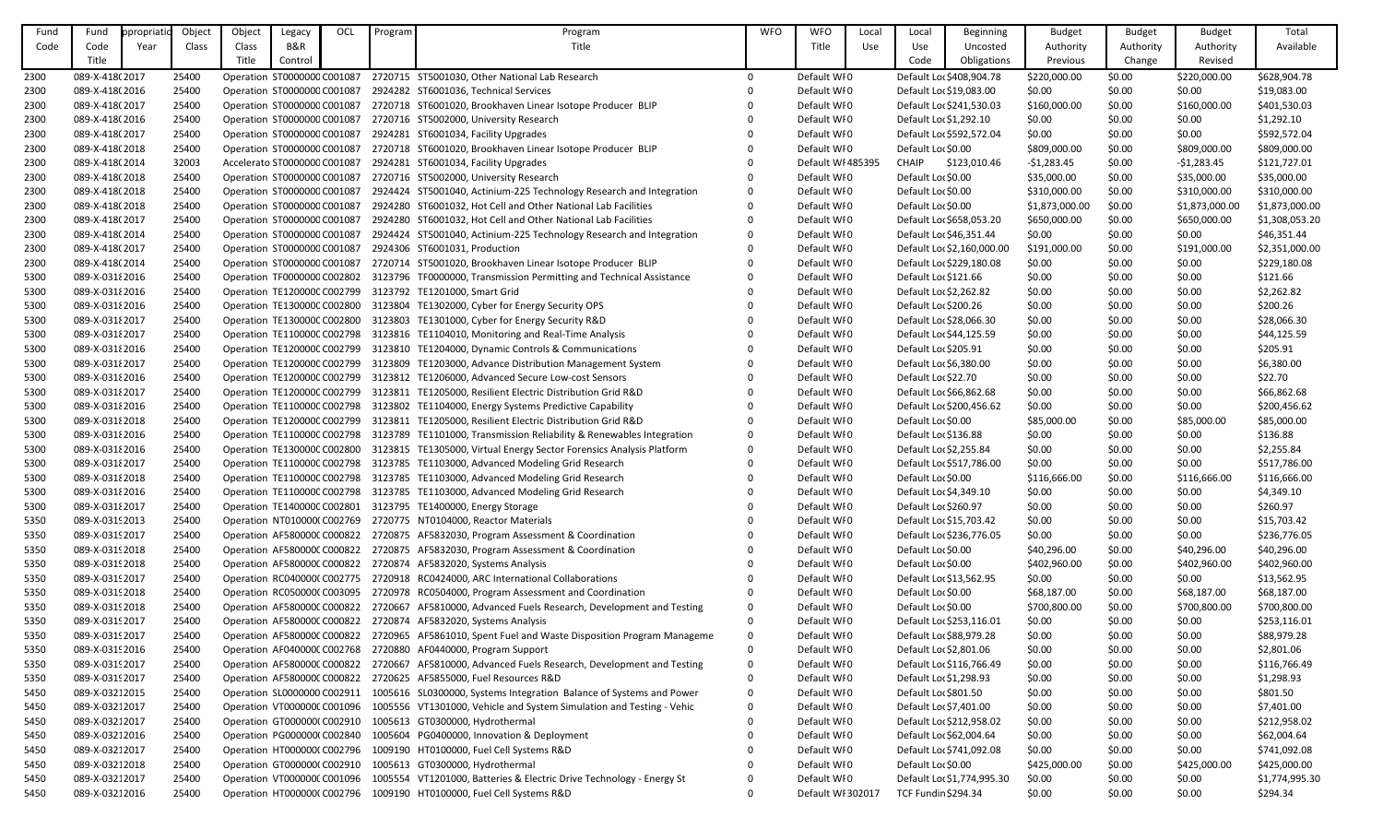| Fund | Fund            | ppropriatio | Object | Object                       | Legacy         | OCL | Program | Program                                                                                          | <b>WFO</b> | <b>WFO</b>        | Local | Local                      | Beginning                  | <b>Budget</b>  | <b>Budget</b> | <b>Budget</b>  | Total          |
|------|-----------------|-------------|--------|------------------------------|----------------|-----|---------|--------------------------------------------------------------------------------------------------|------------|-------------------|-------|----------------------------|----------------------------|----------------|---------------|----------------|----------------|
| Code | Code            | Year        | Class  | Class                        | <b>B&amp;R</b> |     |         | Title                                                                                            |            | Title             | Use   | Use                        | Uncosted                   | Authority      | Authority     | Authority      | Available      |
|      | Title           |             |        | Title                        | Control        |     |         |                                                                                                  |            |                   |       | Code                       | Obligations                | Previous       | Change        | Revised        |                |
| 2300 | 089-X-418(2017  |             | 25400  | Operation ST0000000 C001087  |                |     |         | 2720715 ST5001030, Other National Lab Research                                                   | $\Omega$   | Default WI0       |       |                            | Default Lor \$408,904.78   | \$220,000.00   | \$0.00        | \$220,000.00   | \$628,904.78   |
| 2300 | 089-X-418(2016  |             | 25400  | Operation ST0000000 C001087  |                |     |         | 2924282 ST6001036, Technical Services                                                            |            | Default WI0       |       | Default Lor \$19,083.00    |                            | \$0.00         | \$0.00        | \$0.00         | \$19,083.00    |
| 2300 | 089-X-418(2017  |             | 25400  | Operation ST0000000 C001087  |                |     |         | 2720718 ST6001020, Brookhaven Linear Isotope Producer BLIP                                       |            | Default WI0       |       |                            | Default Loc \$241,530.03   | \$160,000.00   | \$0.00        | \$160,000.00   | \$401,530.03   |
| 2300 | 089-X-418(2016  |             | 25400  | Operation ST0000000 C001087  |                |     |         | 2720716 ST5002000, University Research                                                           |            | Default WI0       |       | Default Lor \$1,292.10     |                            | \$0.00         | \$0.00        | \$0.00         | \$1,292.10     |
| 2300 | 089-X-418(2017  |             | 25400  | Operation ST0000000 C001087  |                |     |         | 2924281 ST6001034, Facility Upgrades                                                             |            | Default WI0       |       |                            | Default Lor \$592,572.04   | \$0.00         | \$0.00        | \$0.00         | \$592,572.04   |
| 2300 | 089-X-418(2018  |             | 25400  | Operation ST0000000 C001087  |                |     |         | 2720718 ST6001020, Brookhaven Linear Isotope Producer BLIP                                       |            | Default WI0       |       | Default Lor \$0.00         |                            | \$809,000.00   | \$0.00        | \$809,000.00   | \$809,000.00   |
| 2300 | 089-X-418(2014  |             | 32003  | Accelerato ST0000000 C001087 |                |     |         | 2924281 ST6001034, Facility Upgrades                                                             | 0          | Default WI 485395 |       | <b>CHAIP</b>               | \$123,010.46               | $-$1,283.45$   | \$0.00        | $-$1,283.45$   | \$121,727.01   |
| 2300 | 089-X-418(2018  |             | 25400  | Operation ST0000000 C001087  |                |     |         | 2720716 ST5002000, University Research                                                           | 0          | Default WI0       |       | Default Lor \$0.00         |                            | \$35,000.00    | \$0.00        | \$35,000.00    | \$35,000.00    |
| 2300 | 089-X-418(2018  |             | 25400  | Operation ST0000000 C001087  |                |     |         | 2924424 ST5001040, Actinium-225 Technology Research and Integration                              |            | Default WI0       |       | Default Lor \$0.00         |                            | \$310,000.00   | \$0.00        | \$310,000.00   | \$310,000.00   |
| 2300 | 089-X-418(2018  |             | 25400  | Operation ST0000000 C001087  |                |     |         | 2924280 ST6001032, Hot Cell and Other National Lab Facilities                                    | $\Omega$   | Default WI0       |       | Default Lor \$0.00         |                            | \$1,873,000.00 | \$0.00        | \$1,873,000.00 | \$1,873,000.00 |
| 2300 | 089-X-418(2017  |             | 25400  | Operation ST0000000 C001087  |                |     |         | 2924280 ST6001032, Hot Cell and Other National Lab Facilities                                    | 0          | Default WI0       |       |                            | Default Lor \$658,053.20   | \$650,000.00   | \$0.00        | \$650,000.00   | \$1,308,053.20 |
| 2300 | 089-X-418(2014  |             | 25400  | Operation ST0000000 C001087  |                |     |         | 2924424 ST5001040, Actinium-225 Technology Research and Integration                              | $\Omega$   | Default WI0       |       | Default Loc \$46,351.44    |                            | \$0.00         | \$0.00        | \$0.00         | \$46,351.44    |
| 2300 | 089-X-418(2017  |             | 25400  | Operation ST0000000 C001087  |                |     |         | 2924306 ST6001031, Production                                                                    |            | Default WI0       |       |                            | Default Lor \$2,160,000.00 | \$191,000.00   | \$0.00        | \$191,000.00   | \$2,351,000.00 |
| 2300 | 089-X-418(2014  |             | 25400  | Operation ST0000000 C001087  |                |     |         | 2720714 ST5001020, Brookhaven Linear Isotope Producer BLIP                                       |            | Default WI0       |       |                            | Default Lor \$229,180.08   | \$0.00         | \$0.00        | \$0.00         | \$229,180.08   |
| 5300 | 089-X-0318 2016 |             | 25400  | Operation TF0000000 C002802  |                |     |         | 3123796 TF0000000, Transmission Permitting and Technical Assistance                              |            | Default WI0       |       | Default Loc \$121.66       |                            | \$0.00         | \$0.00        | \$0.00         | \$121.66       |
| 5300 | 089-X-0318 2016 |             | 25400  |                              |                |     |         | Operation TE1200000 C002799 3123792 TE1201000, Smart Grid                                        |            | Default WI0       |       | Default Lor \$2,262.82     |                            | \$0.00         | \$0.00        | \$0.00         | \$2,262.82     |
| 5300 | 089-X-0318 2016 |             | 25400  |                              |                |     |         | Operation TE1300000 C002800 3123804 TE1302000, Cyber for Energy Security OPS                     |            | Default WI0       |       | Default Lor \$200.26       |                            | \$0.00         | \$0.00        | \$0.00         | \$200.26       |
| 5300 | 089-X-031 {2017 |             | 25400  | Operation TE1300000 C002800  |                |     |         | 3123803 TE1301000, Cyber for Energy Security R&D                                                 |            | Default WI0       |       | Default Lor \$28,066.30    |                            | \$0.00         | \$0.00        | \$0.00         | \$28,066.30    |
| 5300 | 089-X-031 2017  |             | 25400  |                              |                |     |         | Operation TE1100000 C002798 3123816 TE1104010, Monitoring and Real-Time Analysis                 |            | Default WI0       |       | Default Loc \$44,125.59    |                            | \$0.00         | \$0.00        | \$0.00         | \$44,125.59    |
| 5300 | 089-X-0318 2016 |             | 25400  | Operation TE1200000 C002799  |                |     |         | 3123810 TE1204000, Dynamic Controls & Communications                                             |            | Default WI0       |       | Default Lor \$205.91       |                            | \$0.00         | \$0.00        | \$0.00         | \$205.91       |
| 5300 | 089-X-031 {2017 |             | 25400  |                              |                |     |         | Operation TE1200000 C002799 3123809 TE1203000, Advance Distribution Management System            |            | Default WI0       |       | Default Loc \$6,380.00     |                            | \$0.00         | \$0.00        | \$0.00         | \$6,380.00     |
| 5300 | 089-X-031 2016  |             | 25400  |                              |                |     |         | Operation TE1200000 C002799 3123812 TE1206000, Advanced Secure Low-cost Sensors                  | $\Omega$   | Default WI0       |       | Default Lor \$22.70        |                            | \$0.00         | \$0.00        | \$0.00         | \$22.70        |
| 5300 | 089-X-031 {2017 |             | 25400  | Operation TE1200000 C002799  |                |     |         | 3123811 TE1205000, Resilient Electric Distribution Grid R&D                                      |            | Default WI0       |       | Default Lor \$66,862.68    |                            | \$0.00         | \$0.00        | \$0.00         | \$66,862.68    |
| 5300 | 089-X-031 2016  |             | 25400  |                              |                |     |         | Operation TE1100000 C002798 3123802 TE1104000, Energy Systems Predictive Capability              |            | Default WI0       |       |                            | Default Lor \$200,456.62   | \$0.00         | \$0.00        | \$0.00         | \$200,456.62   |
| 5300 | 089-X-031 2018  |             | 25400  | Operation TE1200000 C002799  |                |     |         | 3123811 TE1205000, Resilient Electric Distribution Grid R&D                                      | 0          | Default WI0       |       | Default Lor \$0.00         |                            | \$85,000.00    | \$0.00        | \$85,000.00    | \$85,000.00    |
| 5300 | 089-X-0318 2016 |             | 25400  |                              |                |     |         | Operation TE1100000 C002798 3123789 TE1101000, Transmission Reliability & Renewables Integration | 0          | Default WI0       |       | Default Loc \$136.88       |                            | \$0.00         | \$0.00        | \$0.00         | \$136.88       |
| 5300 | 089-X-031 2016  |             | 25400  |                              |                |     |         | Operation TE1300000 C002800 3123815 TE1305000, Virtual Energy Sector Forensics Analysis Platform | $\Omega$   | Default WI0       |       | Default Lor \$2,255.84     |                            | \$0.00         | \$0.00        | \$0.00         | \$2,255.84     |
| 5300 | 089-X-031 2017  |             | 25400  |                              |                |     |         | Operation TE1100000 C002798 3123785 TE1103000, Advanced Modeling Grid Research                   | $\Omega$   | Default WI0       |       |                            | Default Loc \$517,786.00   | \$0.00         | \$0.00        | \$0.00         | \$517,786.00   |
| 5300 | 089-X-031 {2018 |             | 25400  |                              |                |     |         | Operation TE1100000 C002798 3123785 TE1103000, Advanced Modeling Grid Research                   | 0          | Default WI0       |       | Default Lor \$0.00         |                            | \$116,666.00   | \$0.00        | \$116,666.00   | \$116,666.00   |
| 5300 | 089-X-031 {2016 |             | 25400  |                              |                |     |         | Operation TE1100000 C002798 3123785 TE1103000, Advanced Modeling Grid Research                   |            | Default WI0       |       | Default Loc \$4,349.10     |                            | \$0.00         | \$0.00        | \$0.00         | \$4,349.10     |
| 5300 | 089-X-031 {2017 |             | 25400  |                              |                |     |         | Operation TE1400000 C002801 3123795 TE1400000, Energy Storage                                    |            | Default WI0       |       | Default Lor \$260.97       |                            | \$0.00         | \$0.00        | \$0.00         | \$260.97       |
| 5350 | 089-X-0319 2013 |             | 25400  |                              |                |     |         | Operation NT010000(C002769 2720775 NT0104000, Reactor Materials                                  |            | Default WI0       |       | Default Lo: \$15,703.42    |                            | \$0.00         | \$0.00        | \$0.00         | \$15,703.42    |
| 5350 | 089-X-0319 2017 |             | 25400  |                              |                |     |         | Operation AF580000C C000822 2720875 AF5832030, Program Assessment & Coordination                 |            | Default WI0       |       |                            | Default Lor \$236,776.05   | \$0.00         | \$0.00        | \$0.00         | \$236,776.05   |
| 5350 | 089-X-0319 2018 |             | 25400  |                              |                |     |         | Operation AF580000C C000822 2720875 AF5832030, Program Assessment & Coordination                 |            | Default WI0       |       | Default Lor \$0.00         |                            | \$40,296.00    | \$0.00        | \$40,296.00    | \$40,296.00    |
| 5350 | 089-X-0319 2018 |             | 25400  |                              |                |     |         | Operation AF580000C C000822 2720874 AF5832020, Systems Analysis                                  |            | Default WI0       |       | Default Lor \$0.00         |                            | \$402,960.00   | \$0.00        | \$402,960.00   | \$402,960.00   |
| 5350 | 089-X-03192017  |             | 25400  |                              |                |     |         | Operation RC040000(C002775 2720918 RC0424000, ARC International Collaborations                   |            | Default WI0       |       | Default Loc \$13,562.95    |                            | \$0.00         | \$0.00        | \$0.00         | \$13,562.95    |
| 5350 | 089-X-0319 2018 |             | 25400  | Operation RC050000(C003095   |                |     |         | 2720978 RC0504000, Program Assessment and Coordination                                           |            | Default WI0       |       | Default Lor \$0.00         |                            | \$68,187.00    | \$0.00        | \$68,187.00    | \$68,187.00    |
| 5350 | 089-X-03192018  |             | 25400  |                              |                |     |         | Operation AF580000C C000822 2720667 AF5810000, Advanced Fuels Research, Development and Testing  | 0          | Default WI0       |       | Default Lor \$0.00         |                            | \$700,800.00   | \$0.00        | \$700,800.00   | \$700,800.00   |
| 5350 | 089-X-03192017  |             | 25400  |                              |                |     |         | Operation AF580000C C000822 2720874 AF5832020, Systems Analysis                                  | 0          | Default WI0       |       |                            | Default Lor \$253,116.01   | \$0.00         | \$0.00        | \$0.00         | \$253,116.01   |
| 5350 | 089-X-03192017  |             | 25400  |                              |                |     |         | Operation AF580000C C000822 2720965 AF5861010, Spent Fuel and Waste Disposition Program Manageme | 0          | Default WI0       |       | Default Loc \$88,979.28    |                            | \$0.00         | \$0.00        | \$0.00         | \$88,979.28    |
| 5350 | 089-X-0319 2016 |             | 25400  |                              |                |     |         | Operation AF040000C C002768 2720880 AF0440000, Program Support                                   | $\Omega$   | Default WI0       |       | Default Lor \$2,801.06     |                            | \$0.00         | \$0.00        | \$0.00         | \$2,801.06     |
| 5350 | 089-X-03192017  |             | 25400  |                              |                |     |         | Operation AF580000C C000822 2720667 AF5810000, Advanced Fuels Research, Development and Testing  | 0          | Default WI0       |       |                            | Default Loc \$116,766.49   | \$0.00         | \$0.00        | \$0.00         | \$116,766.49   |
| 5350 | 089-X-03192017  |             | 25400  |                              |                |     |         | Operation AF580000C C000822 2720625 AF5855000, Fuel Resources R&D                                | $\Omega$   | Default WI0       |       | Default Lor \$1,298.93     |                            | \$0.00         | \$0.00        | \$0.00         | \$1,298.93     |
| 5450 | 089-X-03212015  |             | 25400  |                              |                |     |         | Operation SL0000000 C002911 1005616 SL0300000, Systems Integration Balance of Systems and Power  | 0          | Default WI0       |       | Default Lor \$801.50       |                            | \$0.00         | \$0.00        | \$0.00         | \$801.50       |
| 5450 | 089-X-03212017  |             | 25400  |                              |                |     |         | Operation VT000000C C001096 1005556 VT1301000, Vehicle and System Simulation and Testing - Vehic | 0          | Default WI0       |       | Default Lor \$7,401.00     |                            | \$0.00         | \$0.00        | \$0.00         | \$7,401.00     |
| 5450 | 089-X-03212017  |             | 25400  |                              |                |     |         | Operation GT000000(C002910 1005613 GT0300000, Hydrothermal                                       |            | Default WI0       |       |                            | Default Lor \$212,958.02   | \$0.00         | \$0.00        | \$0.00         | \$212,958.02   |
| 5450 | 089-X-03212016  |             | 25400  |                              |                |     |         | Operation PG000000(C002840 1005604 PG0400000, Innovation & Deployment                            |            | Default WI0       |       | Default Lor \$62,004.64    |                            | \$0.00         | \$0.00        | \$0.00         | \$62,004.64    |
| 5450 | 089-X-03212017  |             | 25400  |                              |                |     |         | Operation HT000000(C002796 1009190 HT0100000, Fuel Cell Systems R&D                              |            | Default WI0       |       |                            | Default Lor \$741,092.08   | \$0.00         | \$0.00        | \$0.00         | \$741,092.08   |
| 5450 | 089-X-03212018  |             | 25400  |                              |                |     |         | Operation GT000000(C002910 1005613 GT0300000, Hydrothermal                                       |            | Default WI0       |       | Default Lor \$0.00         |                            | \$425,000.00   | \$0.00        | \$425,000.00   | \$425,000.00   |
| 5450 | 089-X-03212017  |             | 25400  |                              |                |     |         | Operation VT000000C C001096 1005554 VT1201000, Batteries & Electric Drive Technology - Energy St |            | Default WI0       |       |                            | Default Loc \$1,774,995.30 | \$0.00         | \$0.00        | \$0.00         | \$1,774,995.30 |
| 5450 | 089-X-03212016  |             | 25400  |                              |                |     |         | Operation HT000000(C002796 1009190 HT0100000, Fuel Cell Systems R&D                              | 0          | Default WI 302017 |       | <b>TCF Fundin \$294.34</b> |                            | \$0.00         | \$0.00        | \$0.00         | \$294.34       |